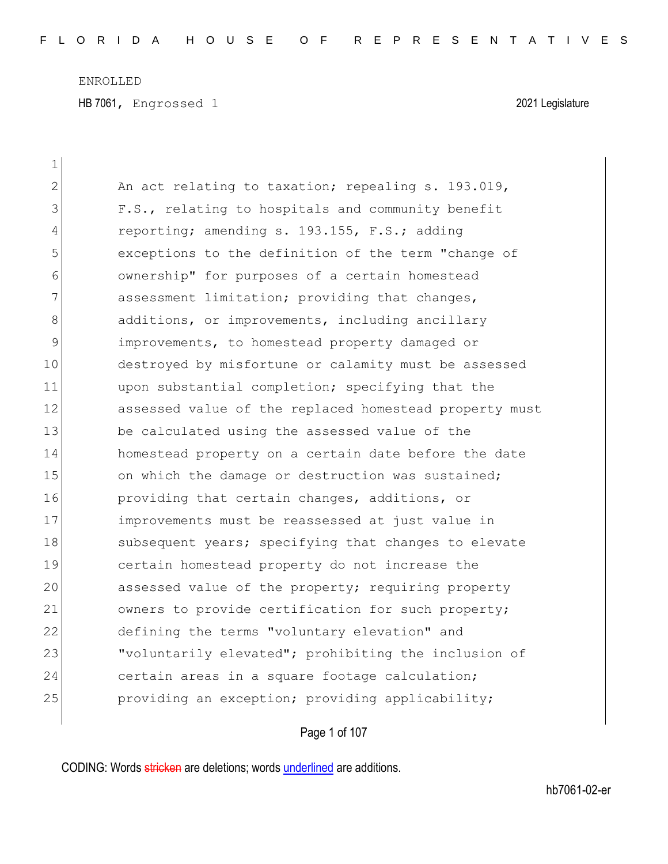HB 7061, Engrossed 1 2021 Legislature

| 1           |                                                        |
|-------------|--------------------------------------------------------|
| 2           | An act relating to taxation; repealing s. 193.019,     |
| 3           | F.S., relating to hospitals and community benefit      |
| 4           | reporting; amending s. 193.155, F.S.; adding           |
| 5           | exceptions to the definition of the term "change of    |
| 6           | ownership" for purposes of a certain homestead         |
| 7           | assessment limitation; providing that changes,         |
| 8           | additions, or improvements, including ancillary        |
| $\mathsf 9$ | improvements, to homestead property damaged or         |
| 10          | destroyed by misfortune or calamity must be assessed   |
| 11          | upon substantial completion; specifying that the       |
| 12          | assessed value of the replaced homestead property must |
| 13          | be calculated using the assessed value of the          |
| 14          | homestead property on a certain date before the date   |
| 15          | on which the damage or destruction was sustained;      |
| 16          | providing that certain changes, additions, or          |
| 17          | improvements must be reassessed at just value in       |
| 18          | subsequent years; specifying that changes to elevate   |
| 19          | certain homestead property do not increase the         |
| 20          | assessed value of the property; requiring property     |
| 21          | owners to provide certification for such property;     |
| 22          | defining the terms "voluntary elevation" and           |
| 23          | "voluntarily elevated"; prohibiting the inclusion of   |
| 24          | certain areas in a square footage calculation;         |
| 25          | providing an exception; providing applicability;       |
|             |                                                        |

# Page 1 of 107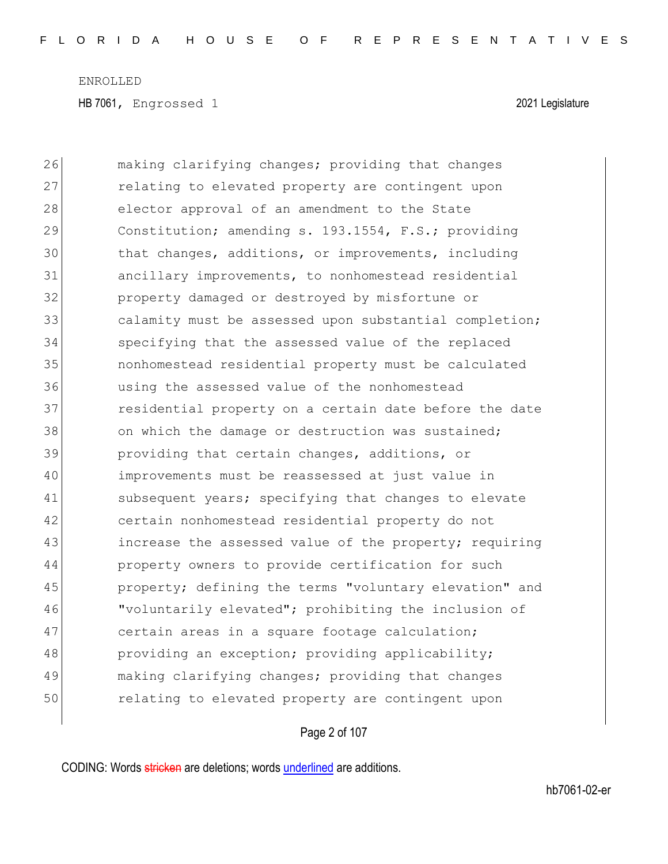| 26 | making clarifying changes; providing that changes      |
|----|--------------------------------------------------------|
| 27 | relating to elevated property are contingent upon      |
| 28 | elector approval of an amendment to the State          |
| 29 | Constitution; amending s. 193.1554, F.S.; providing    |
| 30 | that changes, additions, or improvements, including    |
| 31 | ancillary improvements, to nonhomestead residential    |
| 32 | property damaged or destroyed by misfortune or         |
| 33 | calamity must be assessed upon substantial completion; |
| 34 | specifying that the assessed value of the replaced     |
| 35 | nonhomestead residential property must be calculated   |
| 36 | using the assessed value of the nonhomestead           |
| 37 | residential property on a certain date before the date |
| 38 | on which the damage or destruction was sustained;      |
| 39 | providing that certain changes, additions, or          |
| 40 | improvements must be reassessed at just value in       |
| 41 | subsequent years; specifying that changes to elevate   |
| 42 | certain nonhomestead residential property do not       |
| 43 | increase the assessed value of the property; requiring |
| 44 | property owners to provide certification for such      |
| 45 | property; defining the terms "voluntary elevation" and |
| 46 | "voluntarily elevated"; prohibiting the inclusion of   |
| 47 | certain areas in a square footage calculation;         |
| 48 | providing an exception; providing applicability;       |
| 49 | making clarifying changes; providing that changes      |
| 50 | relating to elevated property are contingent upon      |

# Page 2 of 107

CODING: Words stricken are deletions; words underlined are additions.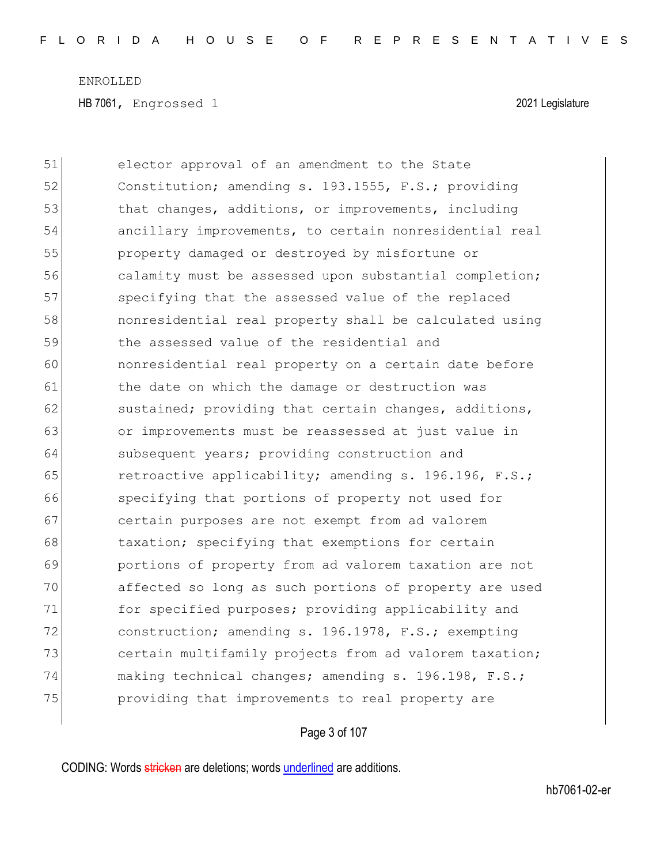51 elector approval of an amendment to the State 52 Constitution; amending s. 193.1555, F.S.; providing 53 that changes, additions, or improvements, including 54 ancillary improvements, to certain nonresidential real 55 property damaged or destroyed by misfortune or 56 calamity must be assessed upon substantial completion; 57 specifying that the assessed value of the replaced 58 nonresidential real property shall be calculated using 59 the assessed value of the residential and 60 nonresidential real property on a certain date before 61 b the date on which the damage or destruction was 62 sustained; providing that certain changes, additions, 63 or improvements must be reassessed at just value in 64 subsequent years; providing construction and 65 retroactive applicability; amending s. 196.196, F.S.; 66 specifying that portions of property not used for 67 certain purposes are not exempt from ad valorem 68 taxation; specifying that exemptions for certain 69 portions of property from ad valorem taxation are not 70 affected so long as such portions of property are used 71 for specified purposes; providing applicability and 72 construction; amending s. 196.1978, F.S.; exempting 73 certain multifamily projects from ad valorem taxation; 74 making technical changes; amending s. 196.198, F.S.; 75 providing that improvements to real property are

#### Page 3 of 107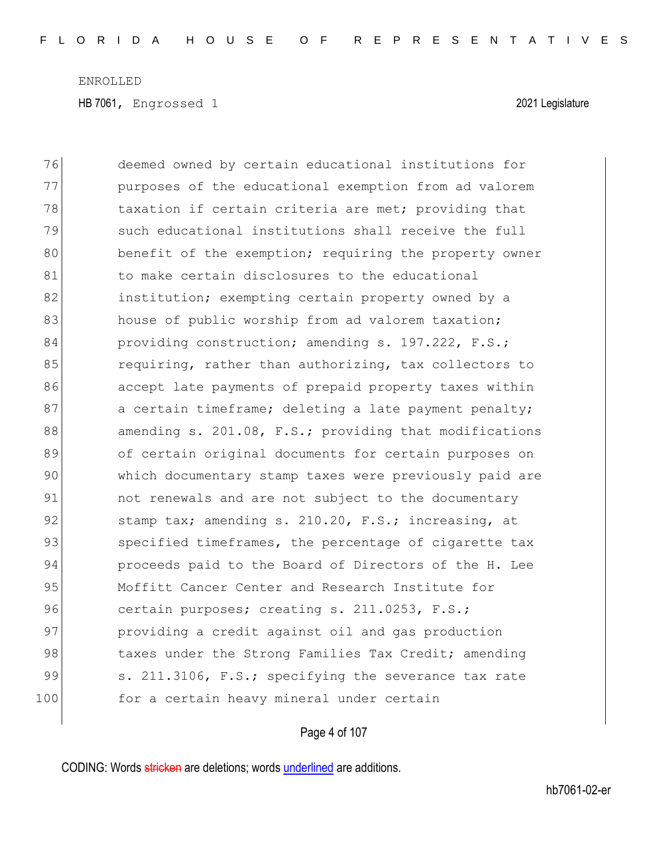HB 7061, Engrossed 1 2021 Legislature

76 deemed owned by certain educational institutions for 77 purposes of the educational exemption from ad valorem 78 taxation if certain criteria are met; providing that 79 such educational institutions shall receive the full 80 benefit of the exemption; requiring the property owner 81 bo make certain disclosures to the educational 82 **institution;** exempting certain property owned by a 83 house of public worship from ad valorem taxation; 84 providing construction; amending s. 197.222, F.S.; 85 requiring, rather than authorizing, tax collectors to 86 accept late payments of prepaid property taxes within 87 a certain timeframe; deleting a late payment penalty; 88 amending s. 201.08, F.S.; providing that modifications 89 of certain original documents for certain purposes on 90 which documentary stamp taxes were previously paid are 91 ont renewals and are not subject to the documentary 92 stamp tax; amending s. 210.20, F.S.; increasing, at 93 specified timeframes, the percentage of cigarette tax 94 proceeds paid to the Board of Directors of the H. Lee 95 Moffitt Cancer Center and Research Institute for 96 certain purposes; creating s. 211.0253, F.S.; 97 **providing a credit against oil and gas production** 98 108 taxes under the Strong Families Tax Credit; amending 99 S. 211.3106, F.S.; specifying the severance tax rate 100 for a certain heavy mineral under certain

### Page 4 of 107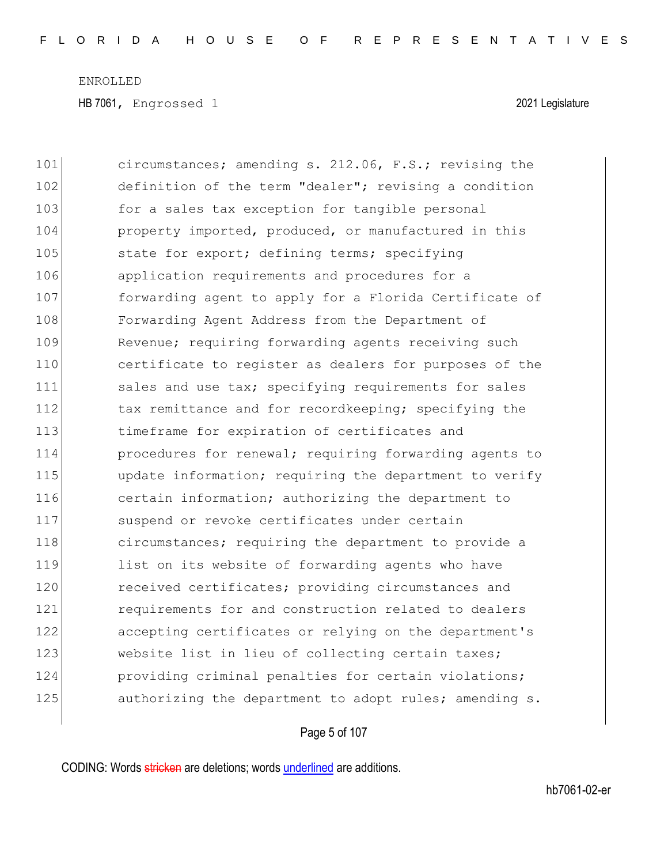101 circumstances; amending s. 212.06, F.S.; revising the 102 definition of the term "dealer"; revising a condition 103 for a sales tax exception for tangible personal 104 **property imported, produced, or manufactured in this** 105 state for export; defining terms; specifying 106 application requirements and procedures for a 107 **forwarding agent to apply for a Florida Certificate of** 108 Forwarding Agent Address from the Department of 109 Revenue; requiring forwarding agents receiving such 110 certificate to register as dealers for purposes of the 111 sales and use tax; specifying requirements for sales 112 tax remittance and for recordkeeping; specifying the 113 **timeframe for expiration of certificates and** 114 procedures for renewal; requiring forwarding agents to 115 **update information;** requiring the department to verify 116 certain information; authorizing the department to 117 Suspend or revoke certificates under certain 118 circumstances; requiring the department to provide a 119 list on its website of forwarding agents who have 120 received certificates; providing circumstances and 121 **requirements** for and construction related to dealers 122 accepting certificates or relying on the department's 123 website list in lieu of collecting certain taxes; 124 **providing criminal penalties for certain violations;** 125 authorizing the department to adopt rules; amending s.

### Page 5 of 107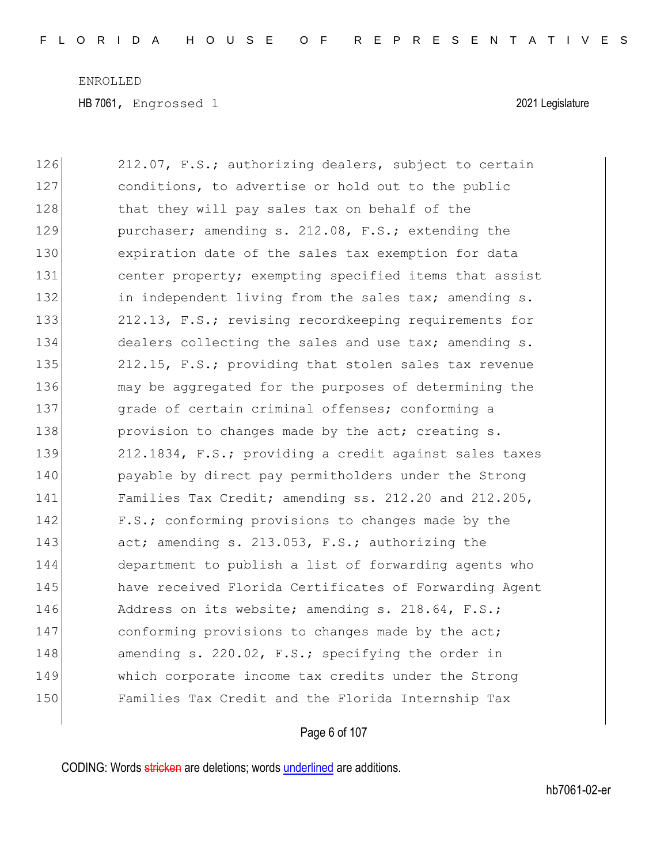HB 7061, Engrossed 1 2021 Legislature

| 126 | 212.07, F.S.; authorizing dealers, subject to certain  |
|-----|--------------------------------------------------------|
| 127 | conditions, to advertise or hold out to the public     |
| 128 | that they will pay sales tax on behalf of the          |
| 129 | purchaser; amending s. 212.08, F.S.; extending the     |
| 130 | expiration date of the sales tax exemption for data    |
| 131 | center property; exempting specified items that assist |
| 132 | in independent living from the sales tax; amending s.  |
| 133 | 212.13, F.S.; revising recordkeeping requirements for  |
| 134 | dealers collecting the sales and use tax; amending s.  |
| 135 | 212.15, F.S.; providing that stolen sales tax revenue  |
| 136 | may be aggregated for the purposes of determining the  |
| 137 | grade of certain criminal offenses; conforming a       |
| 138 | provision to changes made by the act; creating s.      |
| 139 | 212.1834, F.S.; providing a credit against sales taxes |
| 140 | payable by direct pay permitholders under the Strong   |
| 141 | Families Tax Credit; amending ss. 212.20 and 212.205,  |
| 142 | F.S.; conforming provisions to changes made by the     |
| 143 | act; amending s. 213.053, F.S.; authorizing the        |
| 144 | department to publish a list of forwarding agents who  |
| 145 | have received Florida Certificates of Forwarding Agent |
| 146 | Address on its website; amending s. 218.64, F.S.;      |
| 147 | conforming provisions to changes made by the act;      |
| 148 | amending s. 220.02, F.S.; specifying the order in      |
| 149 | which corporate income tax credits under the Strong    |
| 150 | Families Tax Credit and the Florida Internship Tax     |

# Page 6 of 107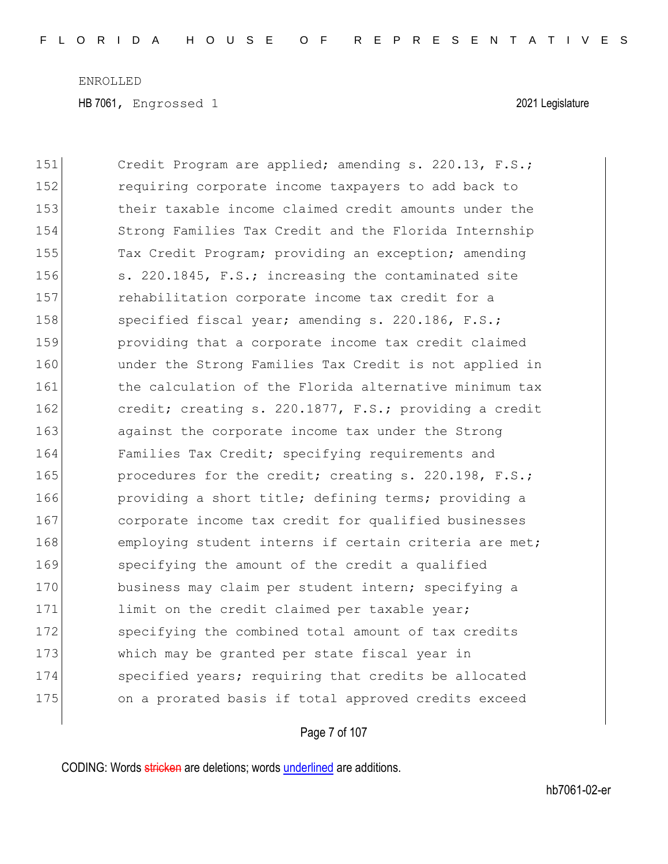HB 7061, Engrossed 1 2021 Legislature

151 Credit Program are applied; amending s. 220.13, F.S.; 152 requiring corporate income taxpayers to add back to 153 their taxable income claimed credit amounts under the 154 Strong Families Tax Credit and the Florida Internship 155 Tax Credit Program; providing an exception; amending 156 s. 220.1845, F.S.; increasing the contaminated site 157 **rehabilitation corporate income tax credit for a** 158 specified fiscal year; amending s. 220.186, F.S.; 159 providing that a corporate income tax credit claimed 160 ander the Strong Families Tax Credit is not applied in 161 block the calculation of the Florida alternative minimum tax 162 **credit;** creating s. 220.1877, F.S.; providing a credit 163 against the corporate income tax under the Strong 164 Families Tax Credit; specifying requirements and 165 **procedures for the credit; creating s. 220.198, F.S.;** 166 **providing a short title; defining terms;** providing a 167 corporate income tax credit for qualified businesses 168 employing student interns if certain criteria are met; 169 specifying the amount of the credit a qualified 170 business may claim per student intern; specifying a 171 limit on the credit claimed per taxable year; 172 specifying the combined total amount of tax credits 173 which may be granted per state fiscal year in 174 specified years; requiring that credits be allocated 175 on a prorated basis if total approved credits exceed

### Page 7 of 107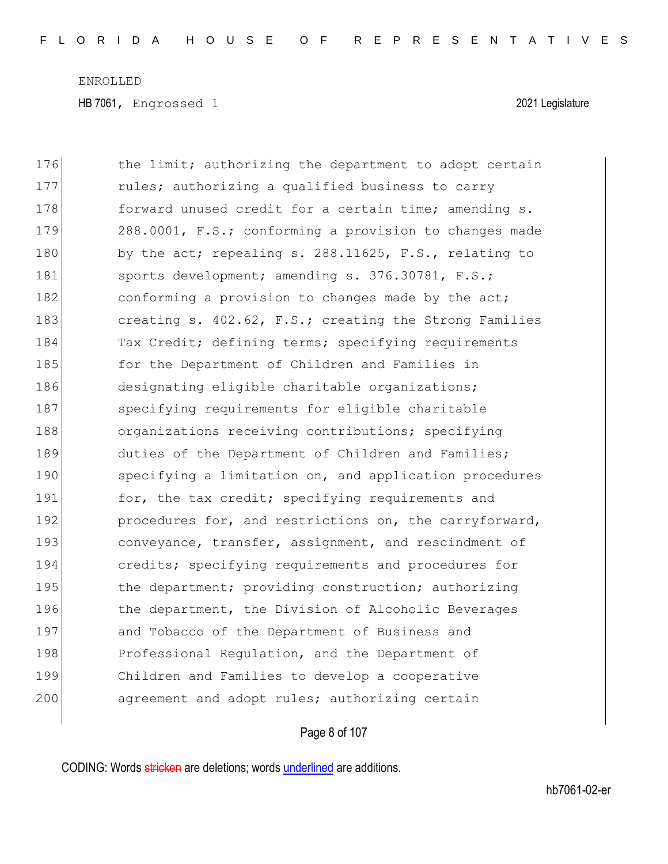HB 7061, Engrossed 1 2021 Legislature

| 176 | the limit; authorizing the department to adopt certain |
|-----|--------------------------------------------------------|
| 177 | rules; authorizing a qualified business to carry       |
| 178 | forward unused credit for a certain time; amending s.  |
| 179 | 288.0001, F.S.; conforming a provision to changes made |
| 180 | by the act; repealing s. 288.11625, F.S., relating to  |
| 181 | sports development; amending s. 376.30781, F.S.;       |
| 182 | conforming a provision to changes made by the act;     |
| 183 | creating s. 402.62, F.S.; creating the Strong Families |
| 184 | Tax Credit; defining terms; specifying requirements    |
| 185 | for the Department of Children and Families in         |
| 186 | designating eligible charitable organizations;         |
| 187 | specifying requirements for eligible charitable        |
| 188 | organizations receiving contributions; specifying      |
| 189 | duties of the Department of Children and Families;     |
| 190 | specifying a limitation on, and application procedures |
| 191 | for, the tax credit; specifying requirements and       |
| 192 | procedures for, and restrictions on, the carryforward, |
| 193 | conveyance, transfer, assignment, and rescindment of   |
| 194 | credits; specifying requirements and procedures for    |
| 195 | the department; providing construction; authorizing    |
| 196 | the department, the Division of Alcoholic Beverages    |
| 197 | and Tobacco of the Department of Business and          |
| 198 | Professional Regulation, and the Department of         |
| 199 | Children and Families to develop a cooperative         |
| 200 | agreement and adopt rules; authorizing certain         |

# Page 8 of 107

CODING: Words stricken are deletions; words underlined are additions.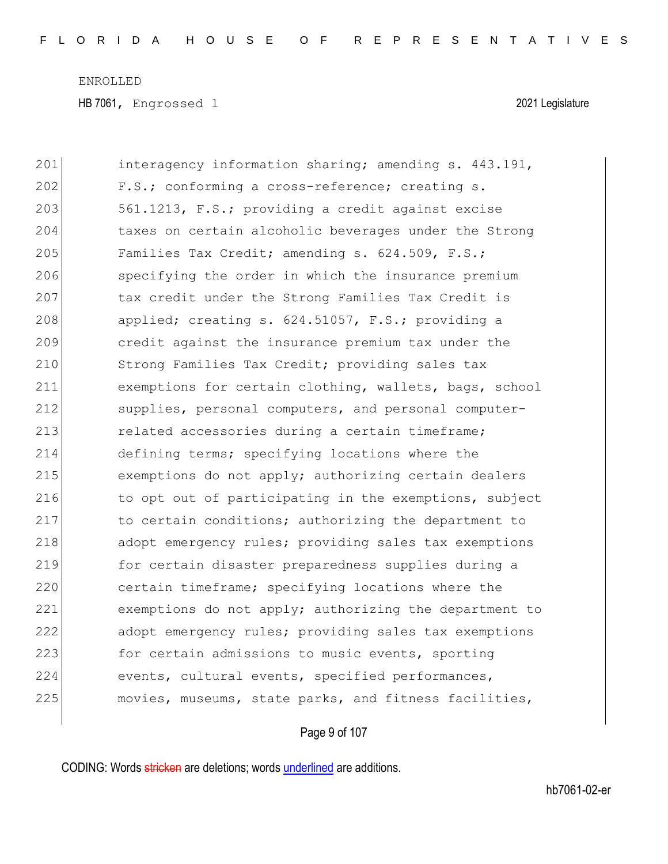HB 7061, Engrossed 1 2021 Legislature

| 201 | interagency information sharing; amending s. 443.191,  |
|-----|--------------------------------------------------------|
| 202 | F.S.; conforming a cross-reference; creating s.        |
| 203 | 561.1213, F.S.; providing a credit against excise      |
| 204 | taxes on certain alcoholic beverages under the Strong  |
| 205 | Families Tax Credit; amending s. 624.509, F.S.;        |
| 206 | specifying the order in which the insurance premium    |
| 207 | tax credit under the Strong Families Tax Credit is     |
| 208 | applied; creating s. 624.51057, F.S.; providing a      |
| 209 | credit against the insurance premium tax under the     |
| 210 | Strong Families Tax Credit; providing sales tax        |
| 211 | exemptions for certain clothing, wallets, bags, school |
| 212 | supplies, personal computers, and personal computer-   |
| 213 | related accessories during a certain timeframe;        |
| 214 | defining terms; specifying locations where the         |
| 215 | exemptions do not apply; authorizing certain dealers   |
| 216 | to opt out of participating in the exemptions, subject |
| 217 | to certain conditions; authorizing the department to   |
| 218 | adopt emergency rules; providing sales tax exemptions  |
| 219 | for certain disaster preparedness supplies during a    |
| 220 | certain timeframe; specifying locations where the      |
| 221 | exemptions do not apply; authorizing the department to |
| 222 | adopt emergency rules; providing sales tax exemptions  |
| 223 | for certain admissions to music events, sporting       |
| 224 | events, cultural events, specified performances,       |
| 225 | movies, museums, state parks, and fitness facilities,  |

# Page 9 of 107

CODING: Words stricken are deletions; words underlined are additions.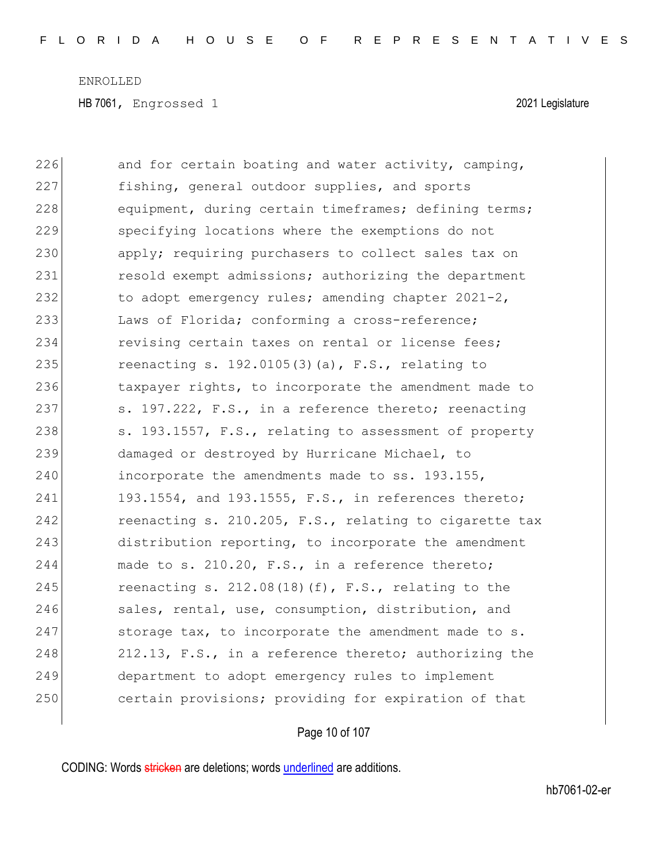| 226 | and for certain boating and water activity, camping,   |
|-----|--------------------------------------------------------|
| 227 | fishing, general outdoor supplies, and sports          |
| 228 | equipment, during certain timeframes; defining terms;  |
| 229 | specifying locations where the exemptions do not       |
| 230 | apply; requiring purchasers to collect sales tax on    |
| 231 | resold exempt admissions; authorizing the department   |
| 232 | to adopt emergency rules; amending chapter 2021-2,     |
| 233 | Laws of Florida; conforming a cross-reference;         |
| 234 | revising certain taxes on rental or license fees;      |
| 235 | reenacting s. 192.0105(3)(a), F.S., relating to        |
| 236 | taxpayer rights, to incorporate the amendment made to  |
| 237 | s. 197.222, F.S., in a reference thereto; reenacting   |
| 238 | s. 193.1557, F.S., relating to assessment of property  |
| 239 | damaged or destroyed by Hurricane Michael, to          |
| 240 | incorporate the amendments made to ss. 193.155,        |
| 241 | 193.1554, and 193.1555, F.S., in references thereto;   |
| 242 | reenacting s. 210.205, F.S., relating to cigarette tax |
| 243 | distribution reporting, to incorporate the amendment   |
| 244 | made to s. 210.20, F.S., in a reference thereto;       |
| 245 | reenacting s. $212.08(18)(f)$ , F.S., relating to the  |
| 246 | sales, rental, use, consumption, distribution, and     |
| 247 | storage tax, to incorporate the amendment made to s.   |
| 248 | 212.13, F.S., in a reference thereto; authorizing the  |
| 249 | department to adopt emergency rules to implement       |
| 250 | certain provisions; providing for expiration of that   |

# Page 10 of 107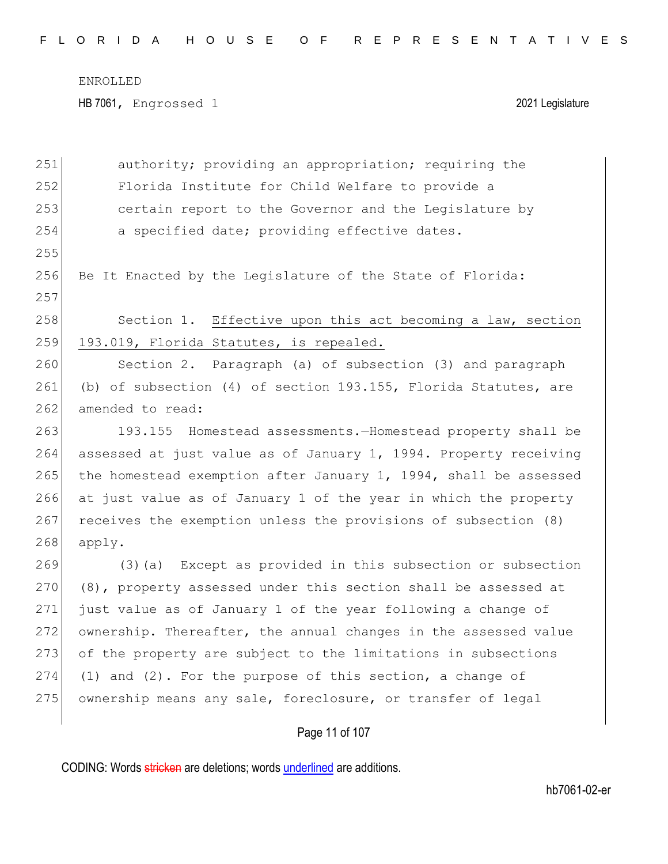HB 7061, Engrossed 1 2021 Legislature

| 251 | authority; providing an appropriation; requiring the               |
|-----|--------------------------------------------------------------------|
| 252 | Florida Institute for Child Welfare to provide a                   |
| 253 | certain report to the Governor and the Legislature by              |
| 254 | a specified date; providing effective dates.                       |
| 255 |                                                                    |
| 256 | Be It Enacted by the Legislature of the State of Florida:          |
| 257 |                                                                    |
| 258 | Section 1. Effective upon this act becoming a law, section         |
| 259 | 193.019, Florida Statutes, is repealed.                            |
| 260 | Section 2. Paragraph (a) of subsection (3) and paragraph           |
| 261 | (b) of subsection (4) of section 193.155, Florida Statutes, are    |
| 262 | amended to read:                                                   |
| 263 | 193.155 Homestead assessments. Homestead property shall be         |
| 264 | assessed at just value as of January 1, 1994. Property receiving   |
| 265 | the homestead exemption after January $1, 1994,$ shall be assessed |
| 266 | at just value as of January 1 of the year in which the property    |
| 267 | receives the exemption unless the provisions of subsection (8)     |
| 268 | apply.                                                             |
| 269 | (3) (a) Except as provided in this subsection or subsection        |
| 270 | (8), property assessed under this section shall be assessed at     |
| 271 | just value as of January 1 of the year following a change of       |
| 272 | ownership. Thereafter, the annual changes in the assessed value    |
| 273 | of the property are subject to the limitations in subsections      |
| 274 | $(1)$ and $(2)$ . For the purpose of this section, a change of     |
| 275 | ownership means any sale, foreclosure, or transfer of legal        |
|     |                                                                    |

Page 11 of 107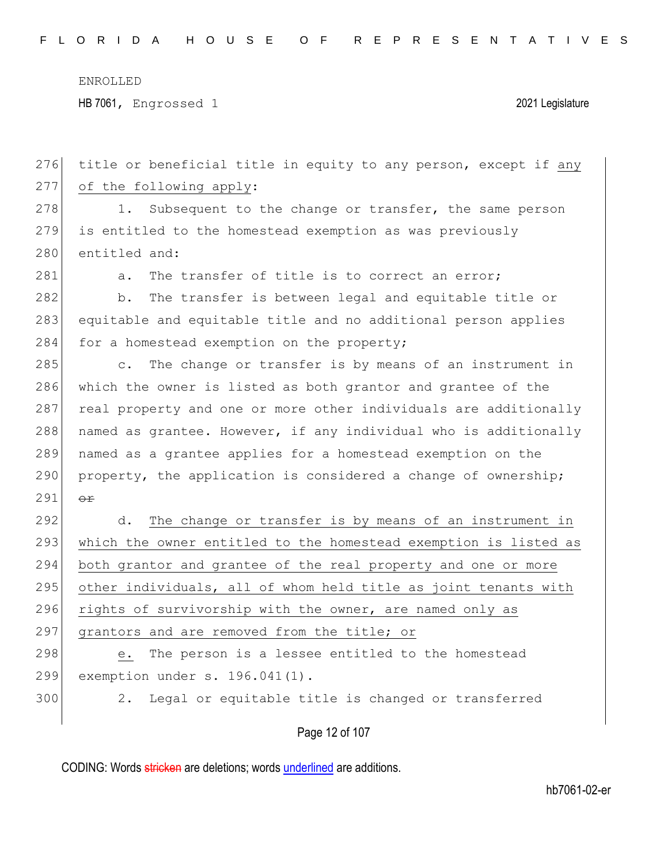276 title or beneficial title in equity to any person, except if any

ENROLLED

HB 7061, Engrossed 1 2021 Legislature

277 of the following apply:

CODING: Words stricken are deletions; words underlined are additions. Page 12 of 107 278 1. Subsequent to the change or transfer, the same person 279 is entitled to the homestead exemption as was previously 280 entitled and: 281 a. The transfer of title is to correct an error; 282 b. The transfer is between legal and equitable title or 283 equitable and equitable title and no additional person applies 284 for a homestead exemption on the property; 285 c. The change or transfer is by means of an instrument in 286 which the owner is listed as both grantor and grantee of the 287 real property and one or more other individuals are additionally  $288$  named as grantee. However, if any individual who is additionally 289 named as a grantee applies for a homestead exemption on the  $290$  property, the application is considered a change of ownership; 291  $\theta$ 292 d. The change or transfer is by means of an instrument in 293 which the owner entitled to the homestead exemption is listed as 294 both grantor and grantee of the real property and one or more  $295$  other individuals, all of whom held title as joint tenants with 296 rights of survivorship with the owner, are named only as 297 grantors and are removed from the title; or 298 e. The person is a lessee entitled to the homestead 299 exemption under s. 196.041(1). 300 2. Legal or equitable title is changed or transferred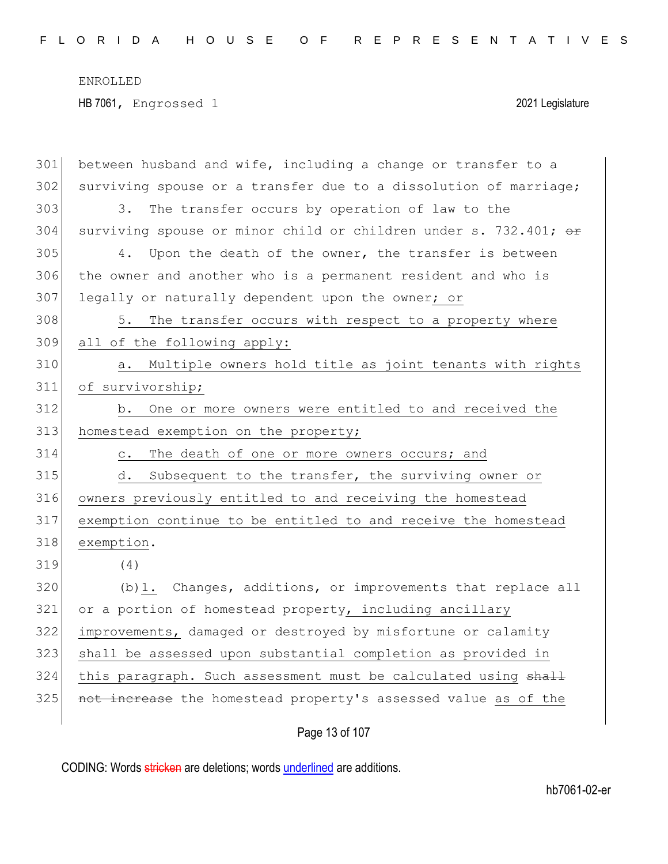| 301 | between husband and wife, including a change or transfer to a    |
|-----|------------------------------------------------------------------|
| 302 | surviving spouse or a transfer due to a dissolution of marriage; |
| 303 | The transfer occurs by operation of law to the<br>3.             |
| 304 | surviving spouse or minor child or children under s. 732.401; or |
| 305 | Upon the death of the owner, the transfer is between<br>4.       |
| 306 | the owner and another who is a permanent resident and who is     |
| 307 | legally or naturally dependent upon the owner; or                |
| 308 | The transfer occurs with respect to a property where<br>5.       |
| 309 | all of the following apply:                                      |
| 310 | Multiple owners hold title as joint tenants with rights<br>а.    |
| 311 | of survivorship;                                                 |
| 312 | b. One or more owners were entitled to and received the          |
| 313 | homestead exemption on the property;                             |
| 314 | The death of one or more owners occurs; and<br>$\circ$ .         |
| 315 | Subsequent to the transfer, the surviving owner or<br>d.         |
| 316 | owners previously entitled to and receiving the homestead        |
| 317 | exemption continue to be entitled to and receive the homestead   |
| 318 | exemption.                                                       |
| 319 | (4)                                                              |
| 320 | (b) 1. Changes, additions, or improvements that replace all      |
| 321 | or a portion of homestead property, including ancillary          |
| 322 | improvements, damaged or destroyed by misfortune or calamity     |
| 323 | shall be assessed upon substantial completion as provided in     |
| 324 | this paragraph. Such assessment must be calculated using shall   |
| 325 | not increase the homestead property's assessed value as of the   |
|     |                                                                  |

Page 13 of 107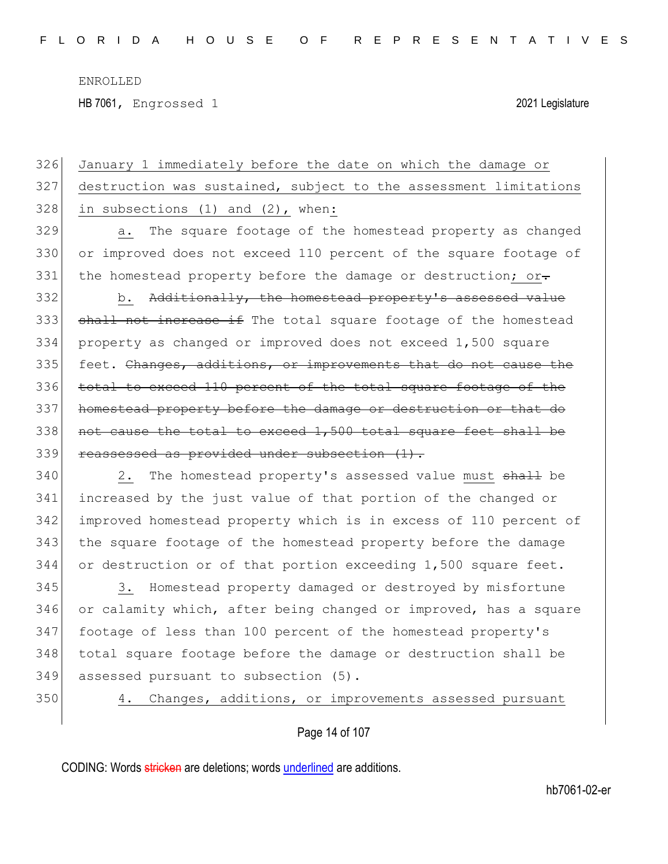HB 7061, Engrossed 1 2021 Legislature

| 326 | January 1 immediately before the date on which the damage or     |
|-----|------------------------------------------------------------------|
| 327 | destruction was sustained, subject to the assessment limitations |
| 328 | in subsections $(1)$ and $(2)$ , when:                           |
| 329 | The square footage of the homestead property as changed<br>a.    |
| 330 | or improved does not exceed 110 percent of the square footage of |
| 331 | the homestead property before the damage or destruction; or-     |
| 332 | b. Additionally, the homestead property's assessed value         |
| 333 | shall not increase if The total square footage of the homestead  |
| 334 | property as changed or improved does not exceed 1,500 square     |
| 335 | feet. Changes, additions, or improvements that do not cause the  |
| 336 | total to exceed 110 percent of the total square footage of the   |
| 337 | homestead property before the damage or destruction or that do   |
| 338 | not cause the total to exceed 1,500 total square feet shall be   |
| 339 | reassessed as provided under subsection (1).                     |
| 340 | The homestead property's assessed value must shall be<br>2.      |
| 341 | increased by the just value of that portion of the changed or    |
| 342 | improved homestead property which is in excess of 110 percent of |
| 343 | the square footage of the homestead property before the damage   |
| 344 | or destruction or of that portion exceeding 1,500 square feet.   |
|     |                                                                  |

345 345 3. Homestead property damaged or destroyed by misfortune 346 or calamity which, after being changed or improved, has a square footage of less than 100 percent of the homestead property's total square footage before the damage or destruction shall be 349 assessed pursuant to subsection (5).

350 4. Changes, additions, or improvements assessed pursuant

Page 14 of 107

CODING: Words stricken are deletions; words underlined are additions.

hb7061-02-er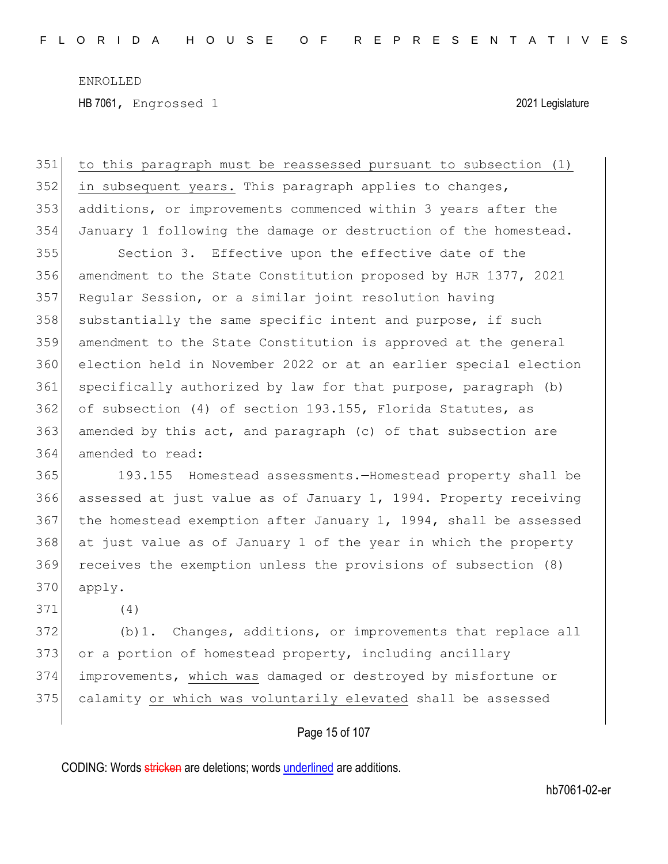HB 7061, Engrossed 1 2021 Legislature

 to this paragraph must be reassessed pursuant to subsection (1) in subsequent years. This paragraph applies to changes, additions, or improvements commenced within 3 years after the January 1 following the damage or destruction of the homestead. Section 3. Effective upon the effective date of the amendment to the State Constitution proposed by HJR 1377, 2021 Regular Session, or a similar joint resolution having 358 substantially the same specific intent and purpose, if such amendment to the State Constitution is approved at the general election held in November 2022 or at an earlier special election specifically authorized by law for that purpose, paragraph (b) of subsection (4) of section 193.155, Florida Statutes, as amended by this act, and paragraph (c) of that subsection are amended to read:

 193.155 Homestead assessments.—Homestead property shall be assessed at just value as of January 1, 1994. Property receiving the homestead exemption after January 1, 1994, shall be assessed at just value as of January 1 of the year in which the property receives the exemption unless the provisions of subsection (8) apply.

(4)

372 (b) 1. Changes, additions, or improvements that replace all 373 or a portion of homestead property, including ancillary improvements, which was damaged or destroyed by misfortune or calamity or which was voluntarily elevated shall be assessed

### Page 15 of 107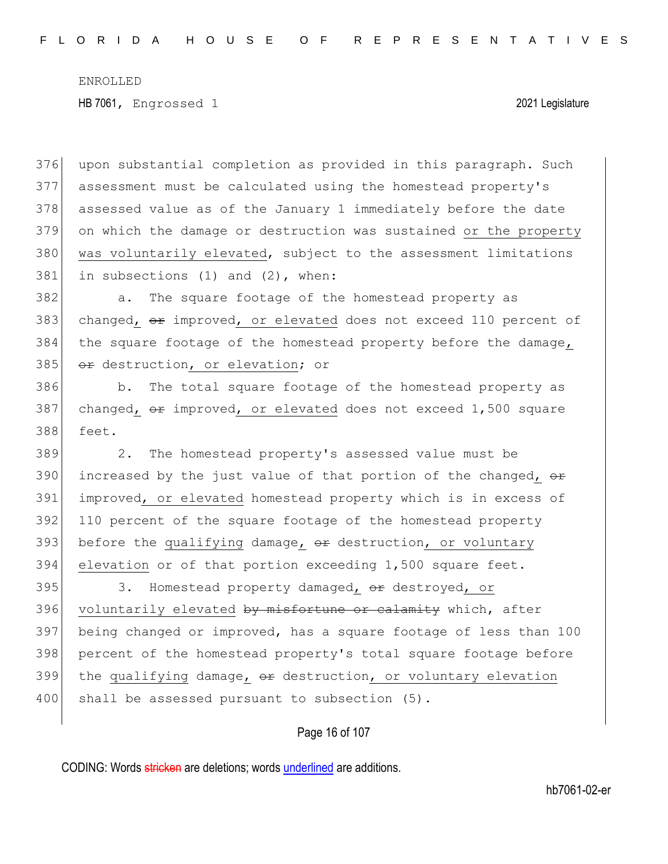upon substantial completion as provided in this paragraph. Such assessment must be calculated using the homestead property's assessed value as of the January 1 immediately before the date on which the damage or destruction was sustained or the property 380 was voluntarily elevated, subject to the assessment limitations in subsections (1) and (2), when:

382 a. The square footage of the homestead property as 383 changed,  $\theta$  improved, or elevated does not exceed 110 percent of 384 the square footage of the homestead property before the damage, 385 or destruction, or elevation; or

386 b. The total square footage of the homestead property as 387 changed,  $\theta$  improved, or elevated does not exceed 1,500 square 388 feet.

 2. The homestead property's assessed value must be 390 increased by the just value of that portion of the changed,  $\theta$  improved, or elevated homestead property which is in excess of 110 percent of the square footage of the homestead property 393 before the qualifying damage,  $\theta$ r destruction, or voluntary elevation or of that portion exceeding 1,500 square feet.

395 3. Homestead property damaged, or destroyed, or 396 voluntarily elevated by misfortune or calamity which, after 397 being changed or improved, has a square footage of less than 100 398 percent of the homestead property's total square footage before 399 the qualifying damage,  $\theta$  destruction, or voluntary elevation 400 shall be assessed pursuant to subsection (5).

### Page 16 of 107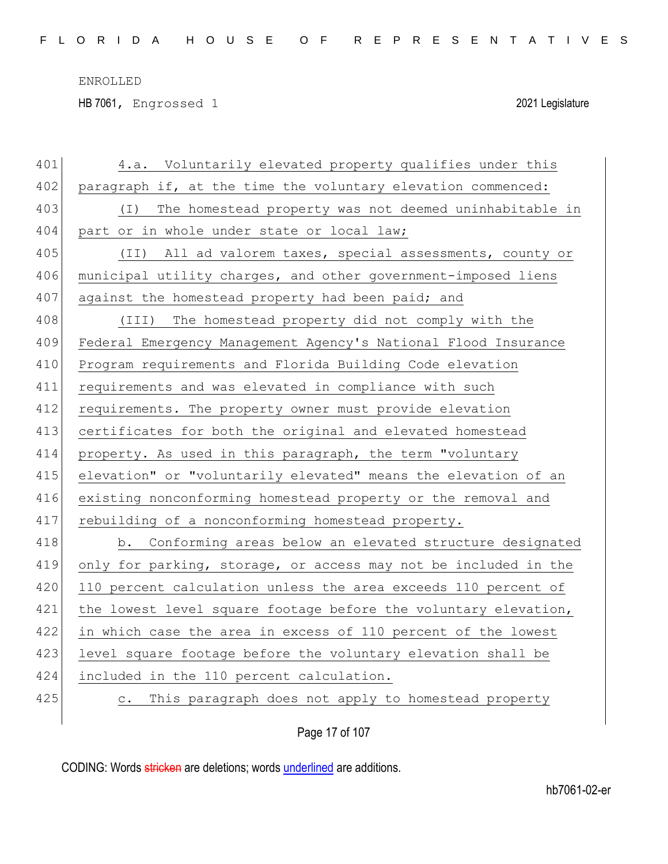HB 7061, Engrossed 1 2021 Legislature

| 401 | 4.a. Voluntarily elevated property qualifies under this         |
|-----|-----------------------------------------------------------------|
| 402 | paragraph if, at the time the voluntary elevation commenced:    |
| 403 | The homestead property was not deemed uninhabitable in<br>( I ) |
| 404 | part or in whole under state or local law;                      |
| 405 | (II) All ad valorem taxes, special assessments, county or       |
| 406 | municipal utility charges, and other government-imposed liens   |
| 407 | against the homestead property had been paid; and               |
| 408 | (III) The homestead property did not comply with the            |
| 409 | Federal Emergency Management Agency's National Flood Insurance  |
| 410 | Program requirements and Florida Building Code elevation        |
| 411 | requirements and was elevated in compliance with such           |
| 412 | requirements. The property owner must provide elevation         |
| 413 | certificates for both the original and elevated homestead       |
| 414 | property. As used in this paragraph, the term "voluntary        |
| 415 | elevation" or "voluntarily elevated" means the elevation of an  |
| 416 | existing nonconforming homestead property or the removal and    |
| 417 | rebuilding of a nonconforming homestead property.               |
| 418 | b. Conforming areas below an elevated structure designated      |
| 419 | only for parking, storage, or access may not be included in the |
| 420 | 110 percent calculation unless the area exceeds 110 percent of  |
| 421 | the lowest level square footage before the voluntary elevation, |
| 422 | in which case the area in excess of 110 percent of the lowest   |
| 423 | level square footage before the voluntary elevation shall be    |
| 424 | included in the 110 percent calculation.                        |
| 425 | c. This paragraph does not apply to homestead property          |
|     |                                                                 |

Page 17 of 107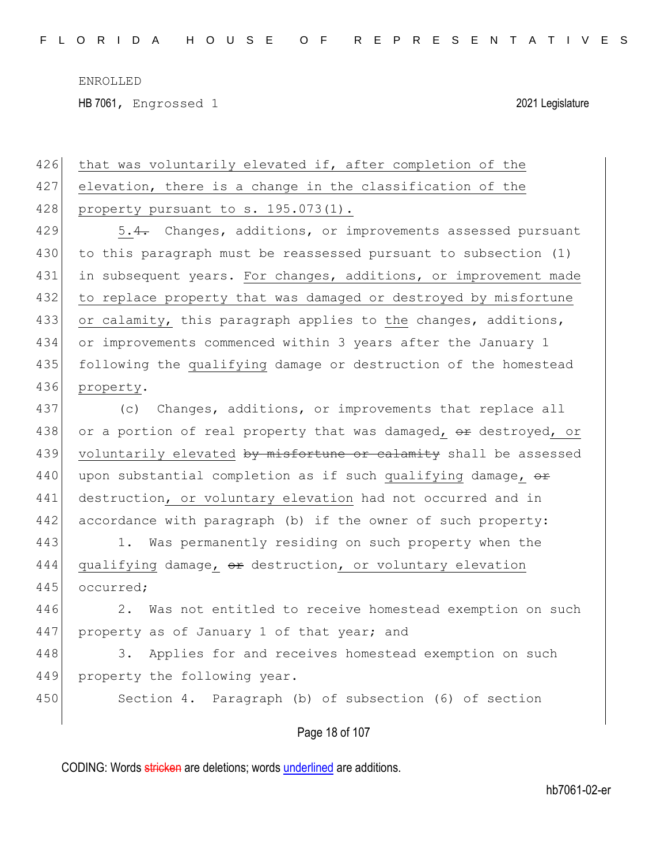HB 7061, Engrossed 1 2021 Legislature

| 426 | that was voluntarily elevated if, after completion of the        |
|-----|------------------------------------------------------------------|
| 427 | elevation, there is a change in the classification of the        |
| 428 | property pursuant to s. 195.073(1).                              |
| 429 | 5.4. Changes, additions, or improvements assessed pursuant       |
| 430 | to this paragraph must be reassessed pursuant to subsection (1)  |
| 431 | in subsequent years. For changes, additions, or improvement made |
| 432 | to replace property that was damaged or destroyed by misfortune  |
| 433 | or calamity, this paragraph applies to the changes, additions,   |
| 434 | or improvements commenced within 3 years after the January 1     |
| 435 | following the qualifying damage or destruction of the homestead  |
| 436 | property.                                                        |
| 437 | Changes, additions, or improvements that replace all<br>(C)      |
| 438 | or a portion of real property that was damaged, or destroyed, or |
| 439 | voluntarily elevated by misfortune or calamity shall be assessed |
| 440 | upon substantial completion as if such qualifying damage, or     |
| 441 | destruction, or voluntary elevation had not occurred and in      |
| 442 | accordance with paragraph (b) if the owner of such property:     |
| 443 | 1. Was permanently residing on such property when the            |
| 444 | qualifying damage, or destruction, or voluntary elevation        |
| 445 | occurred;                                                        |
| 446 | Was not entitled to receive homestead exemption on such<br>2.    |
| 447 | property as of January 1 of that year; and                       |
| 448 | Applies for and receives homestead exemption on such<br>3.       |
| 449 | property the following year.                                     |
| 450 | Section 4. Paragraph (b) of subsection (6) of section            |
|     |                                                                  |

Page 18 of 107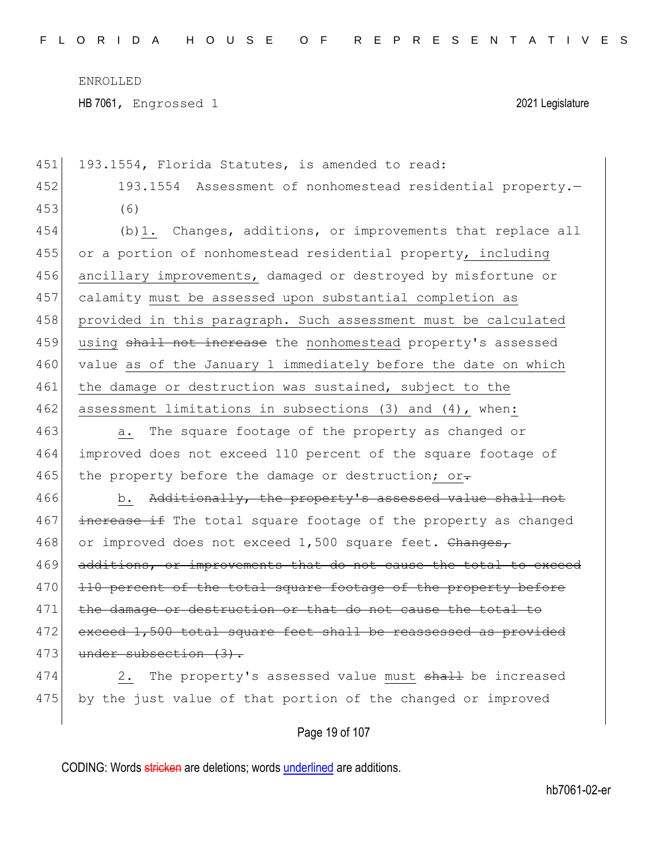HB 7061, Engrossed 1 2021 Legislature

451 193.1554, Florida Statutes, is amended to read: 452 193.1554 Assessment of nonhomestead residential property.— 453 (6) 454 (b)1. Changes, additions, or improvements that replace all 455 or a portion of nonhomestead residential property, including 456 ancillary improvements, damaged or destroyed by misfortune or 457 calamity must be assessed upon substantial completion as 458 provided in this paragraph. Such assessment must be calculated 459 using shall not increase the nonhomestead property's assessed 460 value as of the January 1 immediately before the date on which 461 the damage or destruction was sustained, subject to the 462 assessment limitations in subsections (3) and (4), when: 463 a. The square footage of the property as changed or 464 improved does not exceed 110 percent of the square footage of 465 the property before the damage or destruction; or-466 b. Additionally, the property's assessed value shall not 467 increase if The total square footage of the property as changed 468 or improved does not exceed 1,500 square feet. Changes, 469 additions, or improvements that do not cause the total to exceed 470 110 percent of the total square footage of the property before 471 the damage or destruction or that do not cause the total to 472 exceed 1,500 total square feet shall be reassessed as provided 473 under subsection (3). 474 2. The property's assessed value must shall be increased

Page 19 of 107

475 by the just value of that portion of the changed or improved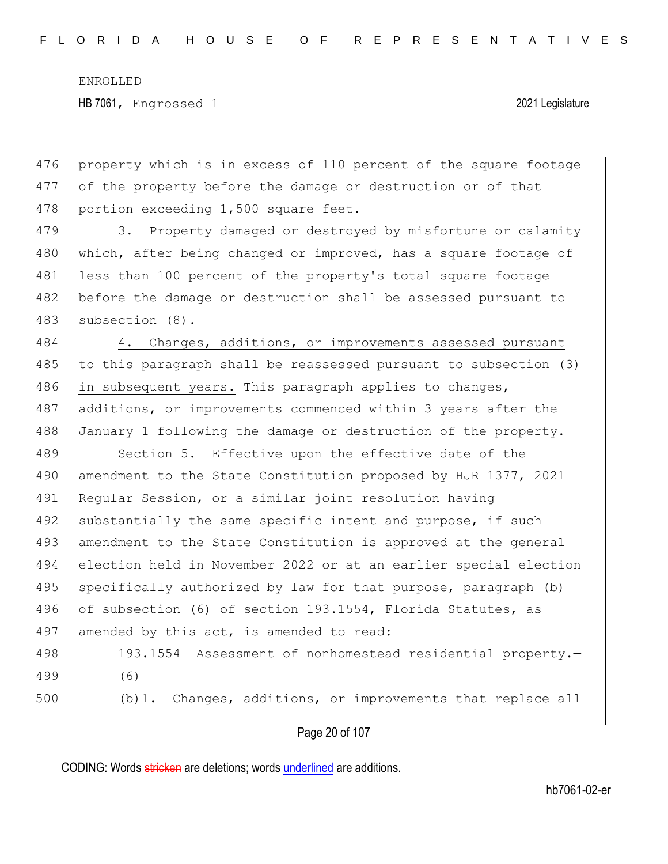476 property which is in excess of 110 percent of the square footage 477 of the property before the damage or destruction or of that 478 portion exceeding 1,500 square feet.

479 3. Property damaged or destroyed by misfortune or calamity 480 which, after being changed or improved, has a square footage of 481 less than 100 percent of the property's total square footage 482 before the damage or destruction shall be assessed pursuant to 483 subsection (8).

484 4. Changes, additions, or improvements assessed pursuant 485 to this paragraph shall be reassessed pursuant to subsection (3) 486 in subsequent years. This paragraph applies to changes, 487 additions, or improvements commenced within 3 years after the 488 January 1 following the damage or destruction of the property.

489 Section 5. Effective upon the effective date of the 490 amendment to the State Constitution proposed by HJR 1377, 2021 491 Regular Session, or a similar joint resolution having 492 substantially the same specific intent and purpose, if such 493 amendment to the State Constitution is approved at the general 494 election held in November 2022 or at an earlier special election 495 specifically authorized by law for that purpose, paragraph (b) 496 of subsection (6) of section 193.1554, Florida Statutes, as 497 amended by this act, is amended to read:

498 193.1554 Assessment of nonhomestead residential property. 499 (6) 500 (b)1. Changes, additions, or improvements that replace all

Page 20 of 107

CODING: Words stricken are deletions; words underlined are additions.

hb7061-02-er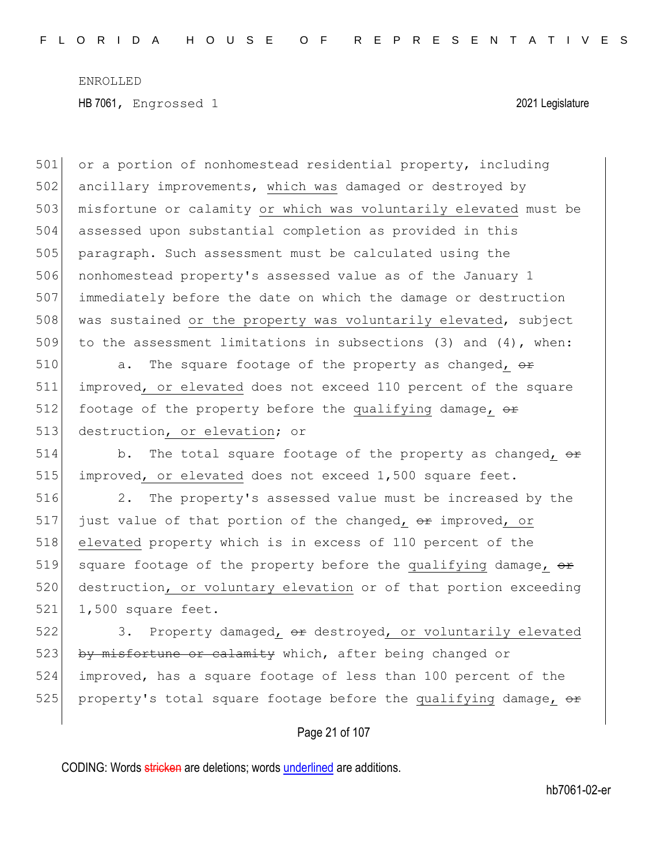501 or a portion of nonhomestead residential property, including 502 ancillary improvements, which was damaged or destroyed by 503 misfortune or calamity or which was voluntarily elevated must be 504 assessed upon substantial completion as provided in this 505 paragraph. Such assessment must be calculated using the 506 nonhomestead property's assessed value as of the January 1 507 immediately before the date on which the damage or destruction 508 was sustained or the property was voluntarily elevated, subject 509 to the assessment limitations in subsections (3) and  $(4)$ , when: 510  $\vert$  a. The square footage of the property as changed,  $\sigma$ 511 improved, or elevated does not exceed 110 percent of the square 512 footage of the property before the qualifying damage,  $\theta$ 513 destruction, or elevation; or 514 b. The total square footage of the property as changed,  $\theta$ 515 improved, or elevated does not exceed 1,500 square feet. 516 2. The property's assessed value must be increased by the 517 just value of that portion of the changed,  $\Theta$  improved, or 518 elevated property which is in excess of 110 percent of the 519 square footage of the property before the qualifying damage,  $\theta$ 520 destruction, or voluntary elevation or of that portion exceeding 521 1,500 square feet. 522 3. Property damaged, or destroyed, or voluntarily elevated 523 by misfortune or calamity which, after being changed or 524 improved, has a square footage of less than 100 percent of the

Page 21 of 107

525 property's total square footage before the qualifying damage,  $\theta$ 

CODING: Words stricken are deletions; words underlined are additions.

hb7061-02-er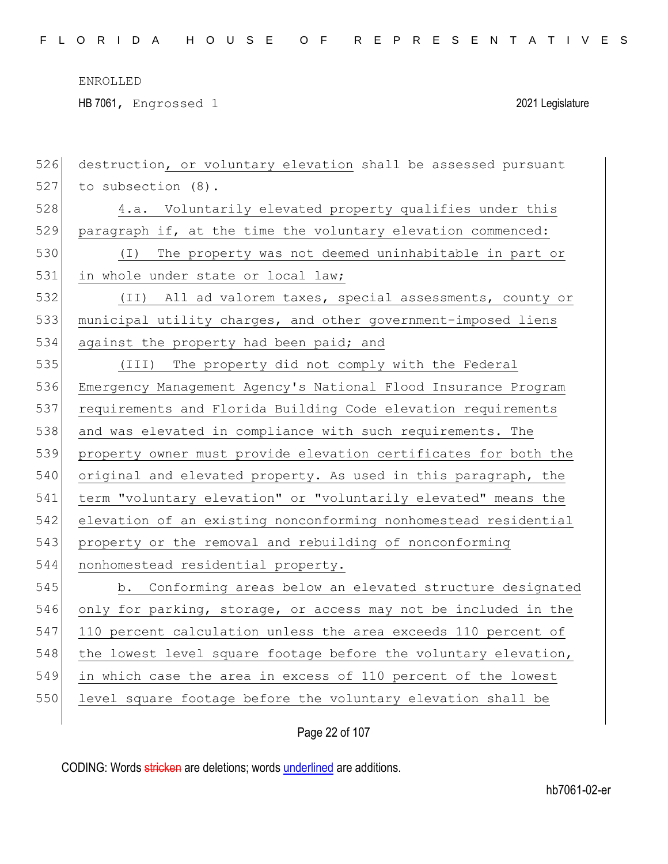HB 7061, Engrossed 1 2021 Legislature

| 526 | destruction, or voluntary elevation shall be assessed pursuant  |
|-----|-----------------------------------------------------------------|
| 527 | to subsection (8).                                              |
| 528 | 4.a. Voluntarily elevated property qualifies under this         |
| 529 | paragraph if, at the time the voluntary elevation commenced:    |
| 530 | (I) The property was not deemed uninhabitable in part or        |
| 531 | in whole under state or local law;                              |
| 532 | (II) All ad valorem taxes, special assessments, county or       |
| 533 | municipal utility charges, and other government-imposed liens   |
| 534 | against the property had been paid; and                         |
| 535 | (III) The property did not comply with the Federal              |
| 536 | Emergency Management Agency's National Flood Insurance Program  |
| 537 | requirements and Florida Building Code elevation requirements   |
| 538 | and was elevated in compliance with such requirements. The      |
| 539 | property owner must provide elevation certificates for both the |
| 540 | original and elevated property. As used in this paragraph, the  |
| 541 | term "voluntary elevation" or "voluntarily elevated" means the  |
| 542 | elevation of an existing nonconforming nonhomestead residential |
| 543 | property or the removal and rebuilding of nonconforming         |
| 544 | nonhomestead residential property.                              |
| 545 | b. Conforming areas below an elevated structure designated      |
| 546 | only for parking, storage, or access may not be included in the |
| 547 | 110 percent calculation unless the area exceeds 110 percent of  |
| 548 | the lowest level square footage before the voluntary elevation, |
| 549 | in which case the area in excess of 110 percent of the lowest   |
| 550 | level square footage before the voluntary elevation shall be    |
|     |                                                                 |

Page 22 of 107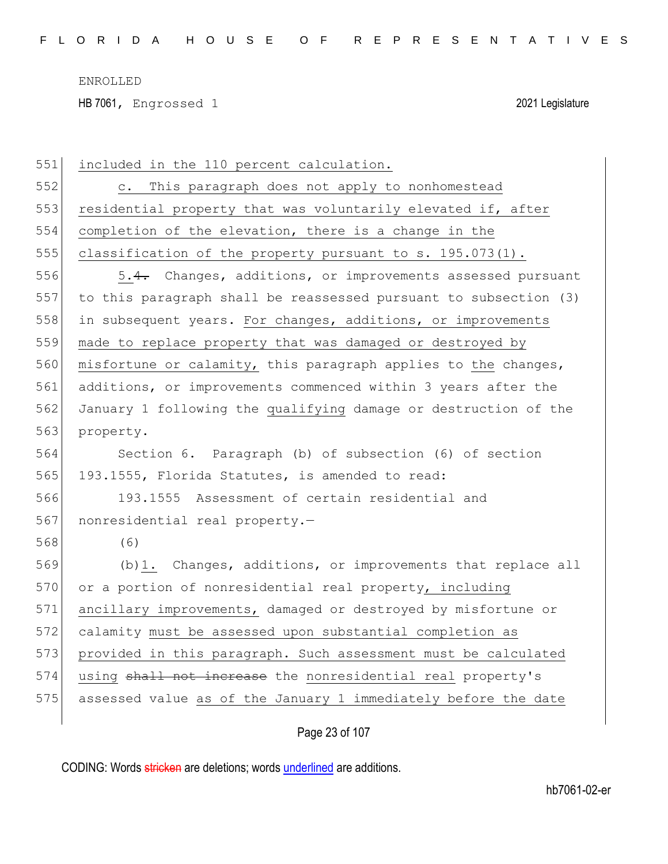HB 7061, Engrossed 1 2021 Legislature

| 551 | included in the 110 percent calculation.                         |
|-----|------------------------------------------------------------------|
| 552 | This paragraph does not apply to nonhomestead<br>$\circ$ .       |
| 553 | residential property that was voluntarily elevated if, after     |
| 554 | completion of the elevation, there is a change in the            |
| 555 | classification of the property pursuant to s. 195.073(1).        |
| 556 | 5.4. Changes, additions, or improvements assessed pursuant       |
| 557 | to this paragraph shall be reassessed pursuant to subsection (3) |
| 558 | in subsequent years. For changes, additions, or improvements     |
| 559 | made to replace property that was damaged or destroyed by        |
| 560 | misfortune or calamity, this paragraph applies to the changes,   |
| 561 | additions, or improvements commenced within 3 years after the    |
| 562 | January 1 following the qualifying damage or destruction of the  |
| 563 | property.                                                        |
| 564 | Section 6. Paragraph (b) of subsection (6) of section            |
| 565 | 193.1555, Florida Statutes, is amended to read:                  |
| 566 | 193.1555 Assessment of certain residential and                   |
| 567 | nonresidential real property.-                                   |
| 568 | (6)                                                              |
| 569 | (b) 1. Changes, additions, or improvements that replace all      |
| 570 | or a portion of nonresidential real property, including          |
| 571 | ancillary improvements, damaged or destroyed by misfortune or    |
| 572 | calamity must be assessed upon substantial completion as         |
| 573 | provided in this paragraph. Such assessment must be calculated   |
| 574 | using shall not increase the nonresidential real property's      |
| 575 | assessed value as of the January 1 immediately before the date   |
|     |                                                                  |

### Page 23 of 107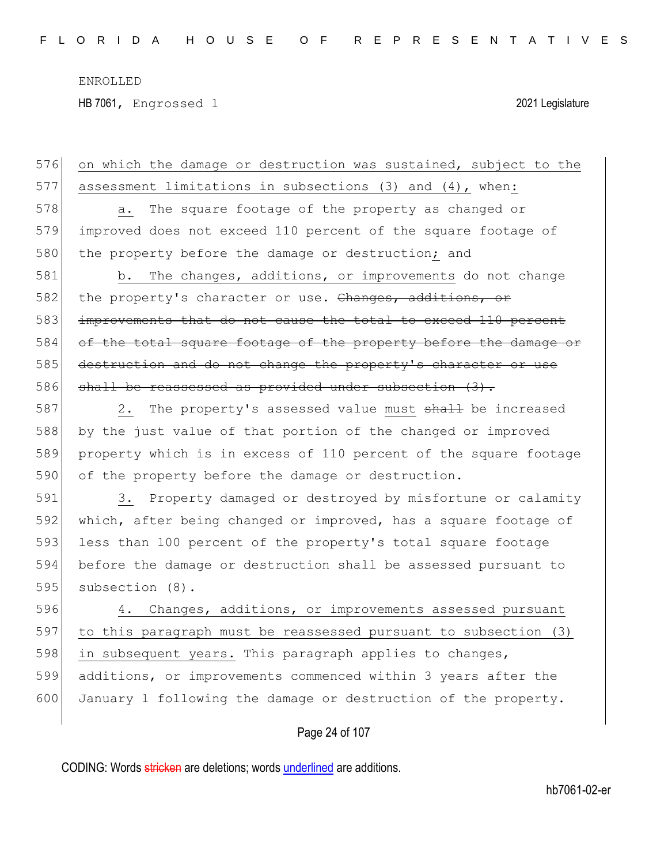HB 7061, Engrossed 1 2021 Legislature

CODING: Words stricken are deletions; words underlined are additions. Page 24 of 107 576 on which the damage or destruction was sustained, subject to the 577 assessment limitations in subsections (3) and (4), when: 578 a. The square footage of the property as changed or 579 improved does not exceed 110 percent of the square footage of 580 the property before the damage or destruction; and 581 b. The changes, additions, or improvements do not change 582 the property's character or use. Changes, additions, or 583 improvements that do not cause the total to exceed 110 percent 584 of the total square footage of the property before the damage or 585 destruction and do not change the property's character or use 586 shall be reassessed as provided under subsection (3). 587 2. The property's assessed value must shall be increased 588 by the just value of that portion of the changed or improved 589 property which is in excess of 110 percent of the square footage 590 of the property before the damage or destruction. 591 3. Property damaged or destroyed by misfortune or calamity 592 which, after being changed or improved, has a square footage of 593 less than 100 percent of the property's total square footage 594 before the damage or destruction shall be assessed pursuant to 595 subsection (8). 596 4. Changes, additions, or improvements assessed pursuant 597 to this paragraph must be reassessed pursuant to subsection (3) 598 in subsequent years. This paragraph applies to changes, 599 additions, or improvements commenced within 3 years after the 600 January 1 following the damage or destruction of the property.

hb7061-02-er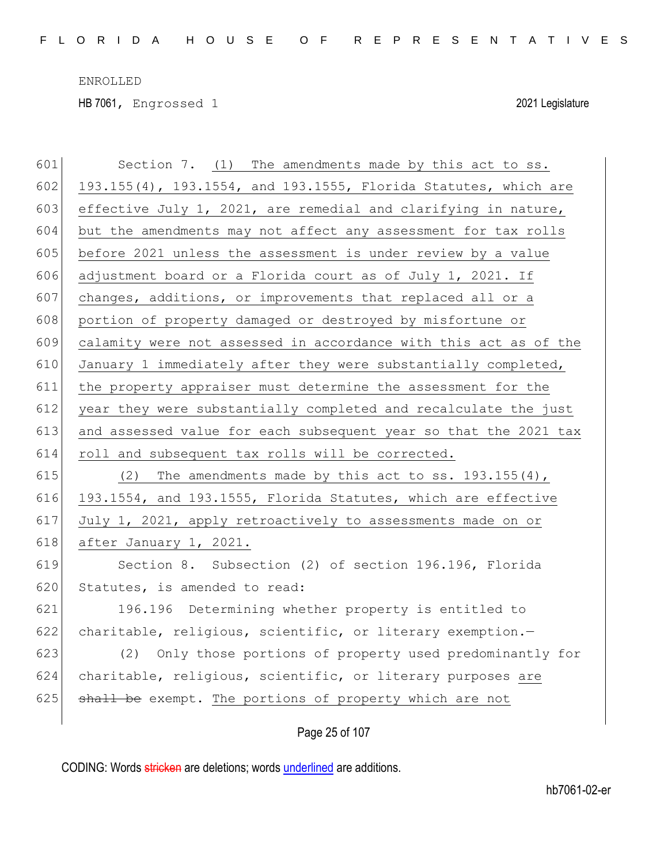HB 7061, Engrossed 1 2021 Legislature

| 601 | Section 7. (1) The amendments made by this act to ss.            |
|-----|------------------------------------------------------------------|
| 602 | 193.155(4), 193.1554, and 193.1555, Florida Statutes, which are  |
| 603 | effective July 1, 2021, are remedial and clarifying in nature,   |
| 604 | but the amendments may not affect any assessment for tax rolls   |
| 605 | before 2021 unless the assessment is under review by a value     |
| 606 | adjustment board or a Florida court as of July 1, 2021. If       |
| 607 | changes, additions, or improvements that replaced all or a       |
| 608 | portion of property damaged or destroyed by misfortune or        |
| 609 | calamity were not assessed in accordance with this act as of the |
| 610 | January 1 immediately after they were substantially completed,   |
| 611 | the property appraiser must determine the assessment for the     |
| 612 | year they were substantially completed and recalculate the just  |
| 613 | and assessed value for each subsequent year so that the 2021 tax |
|     |                                                                  |
| 614 | roll and subsequent tax rolls will be corrected.                 |
| 615 | (2) The amendments made by this act to ss. $193.155(4)$ ,        |
| 616 | 193.1554, and 193.1555, Florida Statutes, which are effective    |
| 617 | July 1, 2021, apply retroactively to assessments made on or      |
| 618 | after January 1, 2021.                                           |
| 619 | Section 8. Subsection (2) of section 196.196, Florida            |
| 620 | Statutes, is amended to read:                                    |
| 621 | 196.196 Determining whether property is entitled to              |
| 622 | charitable, religious, scientific, or literary exemption.-       |
| 623 | (2) Only those portions of property used predominantly for       |
| 624 | charitable, religious, scientific, or literary purposes are      |
| 625 | shall be exempt. The portions of property which are not          |

Page 25 of 107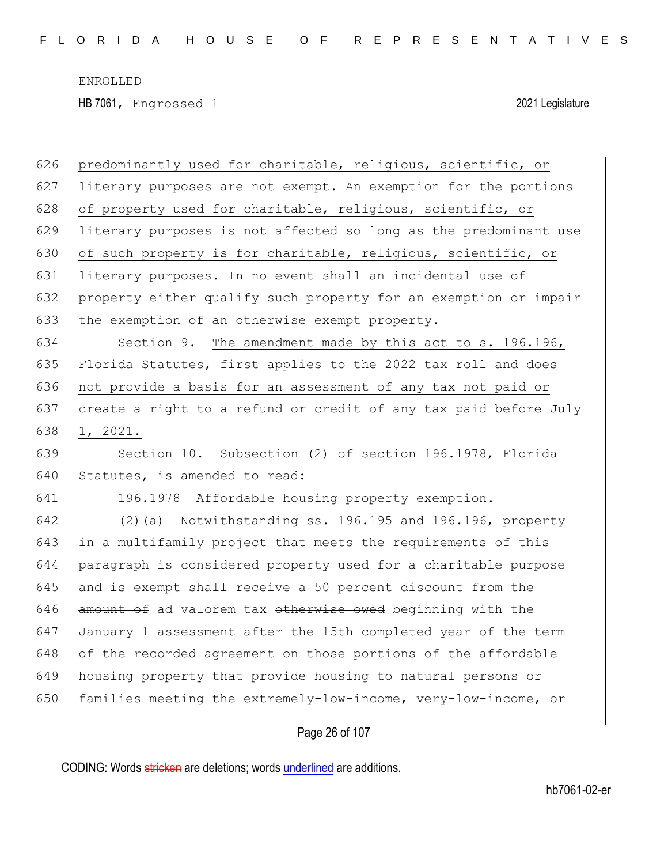| 626 | predominantly used for charitable, religious, scientific, or     |
|-----|------------------------------------------------------------------|
| 627 | literary purposes are not exempt. An exemption for the portions  |
| 628 | of property used for charitable, religious, scientific, or       |
| 629 | literary purposes is not affected so long as the predominant use |
| 630 | of such property is for charitable, religious, scientific, or    |
| 631 | literary purposes. In no event shall an incidental use of        |
| 632 | property either qualify such property for an exemption or impair |
| 633 | the exemption of an otherwise exempt property.                   |
| 634 | Section 9. The amendment made by this act to s. 196.196,         |
| 635 | Florida Statutes, first applies to the 2022 tax roll and does    |
| 636 | not provide a basis for an assessment of any tax not paid or     |
| 637 | create a right to a refund or credit of any tax paid before July |
| 638 | 1, 2021.                                                         |
| 639 | Section 10. Subsection (2) of section 196.1978, Florida          |
| 640 | Statutes, is amended to read:                                    |
| 641 | 196.1978 Affordable housing property exemption.-                 |
| 642 | (2) (a) Notwithstanding ss. 196.195 and 196.196, property        |
| 643 | in a multifamily project that meets the requirements of this     |
| 644 | paragraph is considered property used for a charitable purpose   |
| 645 | and is exempt shall receive a 50 percent discount from the       |
| 646 | amount of ad valorem tax otherwise owed beginning with the       |
| 647 | January 1 assessment after the 15th completed year of the term   |
| 648 | of the recorded agreement on those portions of the affordable    |
| 649 | housing property that provide housing to natural persons or      |
| 650 |                                                                  |
|     | families meeting the extremely-low-income, very-low-income, or   |

Page 26 of 107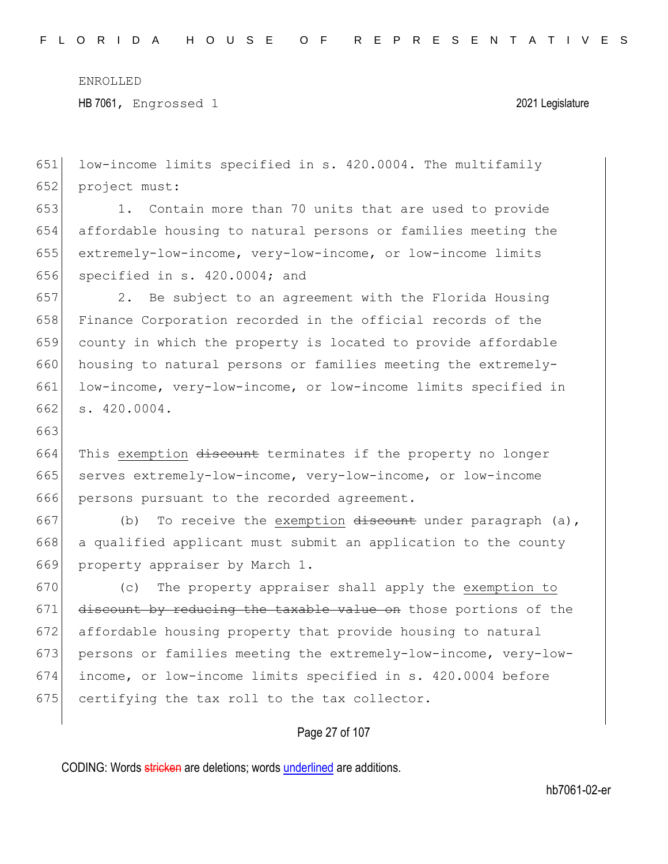663

HB 7061, Engrossed 1 2021 Legislature

651 low-income limits specified in s. 420.0004. The multifamily 652 project must:

 1. Contain more than 70 units that are used to provide affordable housing to natural persons or families meeting the extremely-low-income, very-low-income, or low-income limits specified in s. 420.0004; and

 2. Be subject to an agreement with the Florida Housing Finance Corporation recorded in the official records of the county in which the property is located to provide affordable housing to natural persons or families meeting the extremely-661 low-income, very-low-income, or low-income limits specified in s. 420.0004.

664 This exemption discount terminates if the property no longer 665 serves extremely-low-income, very-low-income, or low-income 666 persons pursuant to the recorded agreement.

667 (b) To receive the exemption  $d$  is the under paragraph (a), 668 a qualified applicant must submit an application to the county 669 property appraiser by March 1.

670 (c) The property appraiser shall apply the exemption to 671 discount by reducing the taxable value on those portions of the 672 affordable housing property that provide housing to natural 673 persons or families meeting the extremely-low-income, very-low-674 income, or low-income limits specified in s. 420.0004 before 675 certifying the tax roll to the tax collector.

### Page 27 of 107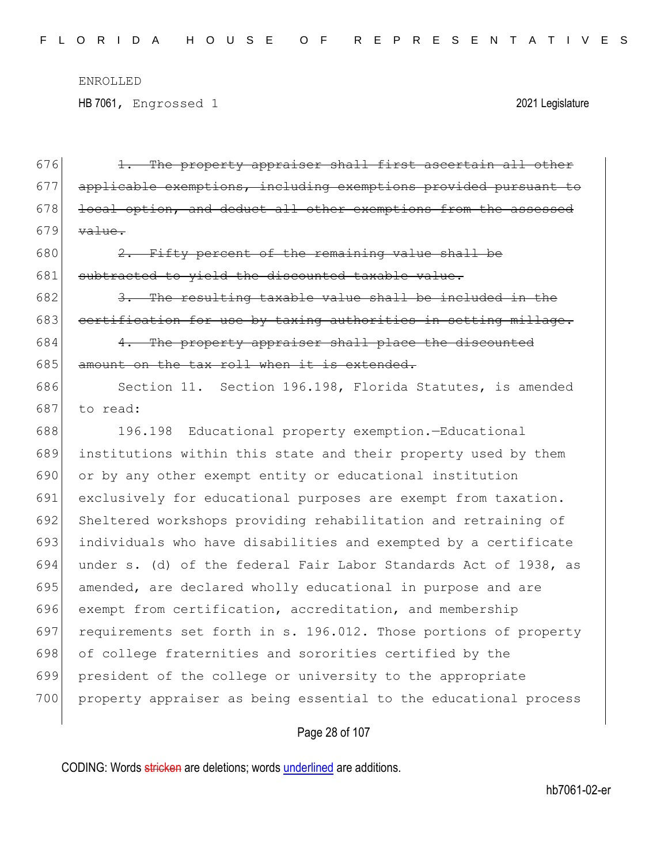HB 7061, Engrossed 1 2021 Legislature

 1. The property appraiser shall first ascertain all other applicable exemptions, including exemptions provided pursuant to 678 local option, and deduct all other exemptions from the assessed  $\overline{\text{value}}$ .  $\left| \right|$  2. Fifty percent of the remaining value shall be 681 subtracted to yield the discounted taxable value. 3. The resulting taxable value shall be included in the 683 certification for use by taxing authorities in setting millage. 4. The property appraiser shall place the discounted amount on the tax roll when it is extended. 686 Section 11. Section 196.198, Florida Statutes, is amended 687 to read: 196.198 Educational property exemption.—Educational institutions within this state and their property used by them or by any other exempt entity or educational institution exclusively for educational purposes are exempt from taxation. Sheltered workshops providing rehabilitation and retraining of individuals who have disabilities and exempted by a certificate under s. (d) of the federal Fair Labor Standards Act of 1938, as 695 amended, are declared wholly educational in purpose and are exempt from certification, accreditation, and membership requirements set forth in s. 196.012. Those portions of property 698 of college fraternities and sororities certified by the president of the college or university to the appropriate 700 property appraiser as being essential to the educational process

### Page 28 of 107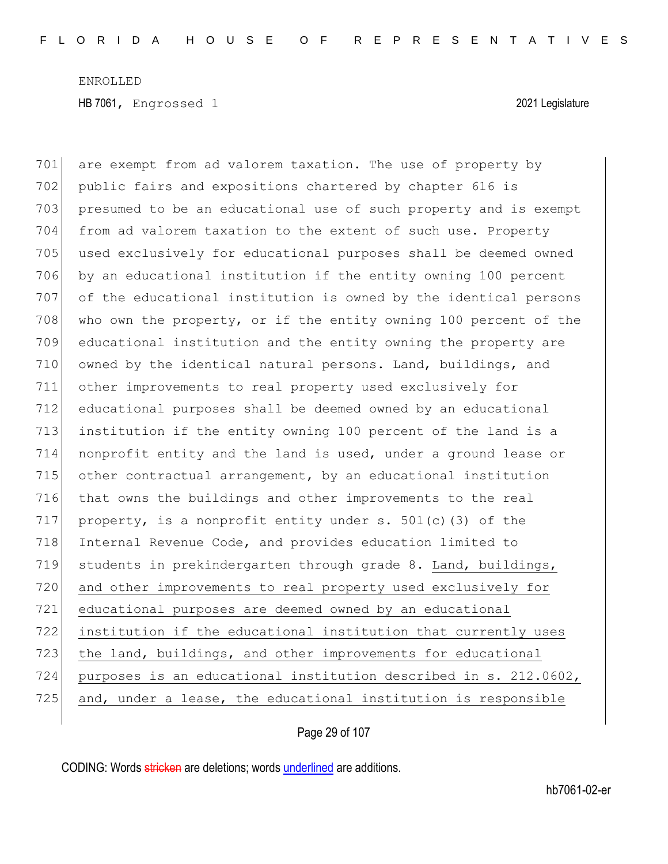701 are exempt from ad valorem taxation. The use of property by 702 public fairs and expositions chartered by chapter 616 is 703 presumed to be an educational use of such property and is exempt 704 from ad valorem taxation to the extent of such use. Property 705 used exclusively for educational purposes shall be deemed owned 706 by an educational institution if the entity owning 100 percent 707 of the educational institution is owned by the identical persons 708 who own the property, or if the entity owning 100 percent of the 709 educational institution and the entity owning the property are 710 owned by the identical natural persons. Land, buildings, and 711 other improvements to real property used exclusively for 712 educational purposes shall be deemed owned by an educational 713 institution if the entity owning 100 percent of the land is a 714 nonprofit entity and the land is used, under a ground lease or 715 other contractual arrangement, by an educational institution 716 that owns the buildings and other improvements to the real 717 property, is a nonprofit entity under  $s. 501(c)$  (3) of the 718 Internal Revenue Code, and provides education limited to 719 students in prekindergarten through grade 8. Land, buildings, 720 and other improvements to real property used exclusively for 721 educational purposes are deemed owned by an educational 722 institution if the educational institution that currently uses 723 the land, buildings, and other improvements for educational 724 purposes is an educational institution described in s. 212.0602, 725 and, under a lease, the educational institution is responsible

Page 29 of 107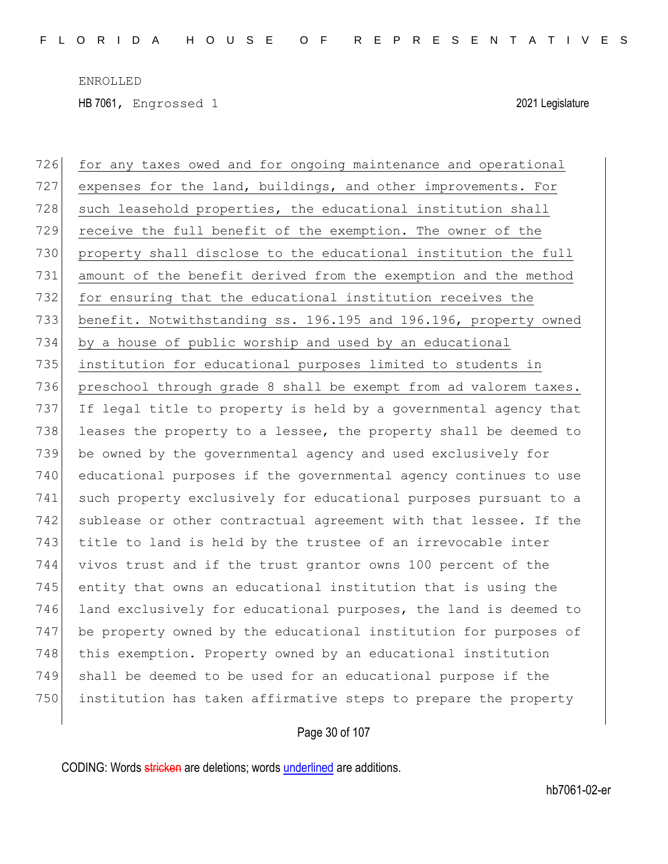726 for any taxes owed and for ongoing maintenance and operational 727 expenses for the land, buildings, and other improvements. For 728 such leasehold properties, the educational institution shall receive the full benefit of the exemption. The owner of the property shall disclose to the educational institution the full amount of the benefit derived from the exemption and the method for ensuring that the educational institution receives the benefit. Notwithstanding ss. 196.195 and 196.196, property owned by a house of public worship and used by an educational institution for educational purposes limited to students in 736 preschool through grade 8 shall be exempt from ad valorem taxes. 737 If legal title to property is held by a governmental agency that 738 leases the property to a lessee, the property shall be deemed to be owned by the governmental agency and used exclusively for educational purposes if the governmental agency continues to use such property exclusively for educational purposes pursuant to a 742 sublease or other contractual agreement with that lessee. If the 743 title to land is held by the trustee of an irrevocable inter vivos trust and if the trust grantor owns 100 percent of the entity that owns an educational institution that is using the land exclusively for educational purposes, the land is deemed to be property owned by the educational institution for purposes of 748 this exemption. Property owned by an educational institution shall be deemed to be used for an educational purpose if the institution has taken affirmative steps to prepare the property

Page 30 of 107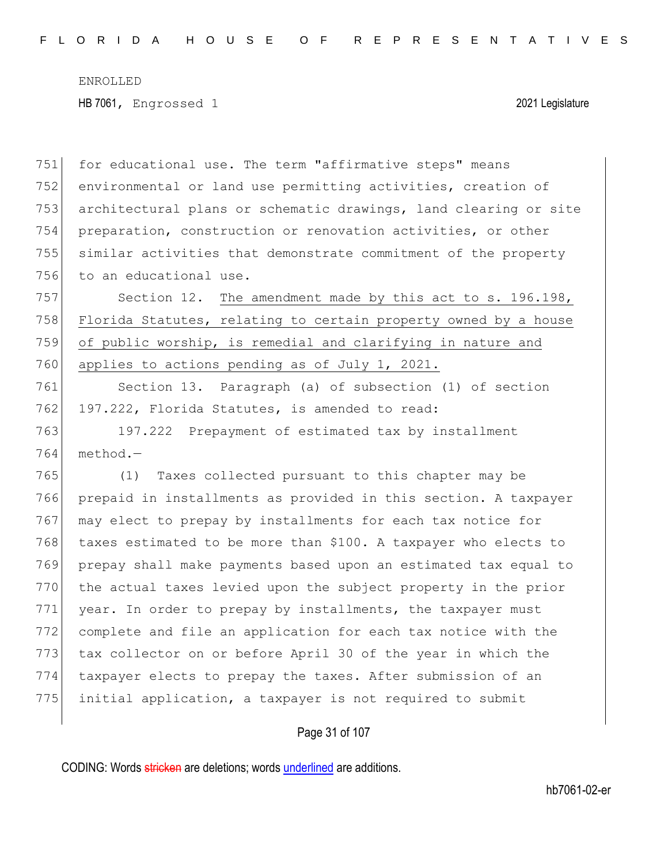751 for educational use. The term "affirmative steps" means 752 environmental or land use permitting activities, creation of 753 architectural plans or schematic drawings, land clearing or site 754 preparation, construction or renovation activities, or other 755 similar activities that demonstrate commitment of the property 756 to an educational use. 757 Section 12. The amendment made by this act to s. 196.198, 758 Florida Statutes, relating to certain property owned by a house 759 of public worship, is remedial and clarifying in nature and 760 applies to actions pending as of July 1, 2021. 761 Section 13. Paragraph (a) of subsection (1) of section 762 197.222, Florida Statutes, is amended to read: 763 197.222 Prepayment of estimated tax by installment  $764$  method. $-$ 765 (1) Taxes collected pursuant to this chapter may be 766 prepaid in installments as provided in this section. A taxpayer 767 may elect to prepay by installments for each tax notice for 768 taxes estimated to be more than \$100. A taxpayer who elects to 769 prepay shall make payments based upon an estimated tax equal to 770 the actual taxes levied upon the subject property in the prior 771 year. In order to prepay by installments, the taxpayer must 772 complete and file an application for each tax notice with the 773 tax collector on or before April 30 of the year in which the 774 taxpayer elects to prepay the taxes. After submission of an 775 initial application, a taxpayer is not required to submit

### Page 31 of 107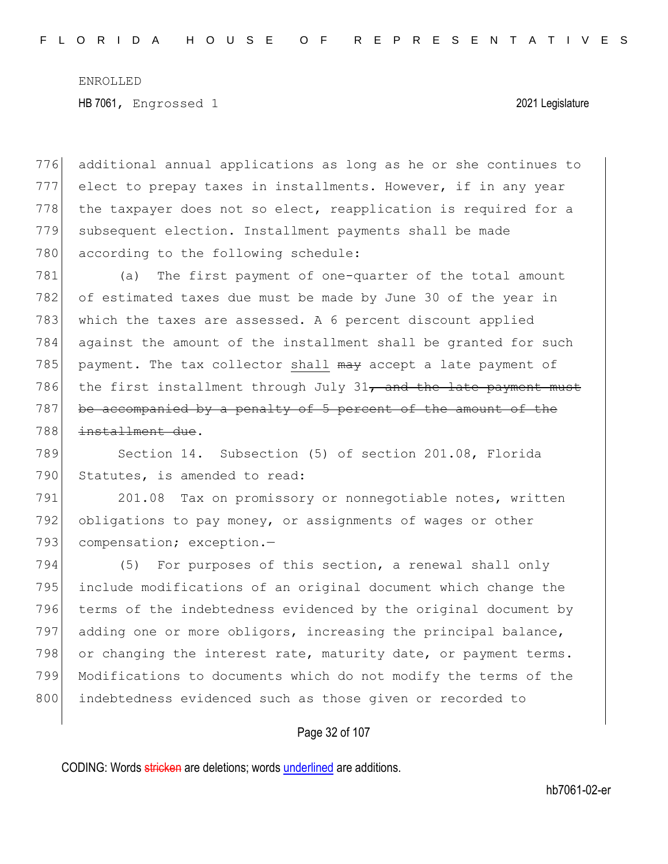776 additional annual applications as long as he or she continues to 777 elect to prepay taxes in installments. However, if in any year 778 the taxpayer does not so elect, reapplication is required for a 779 subsequent election. Installment payments shall be made 780 according to the following schedule:

781 (a) The first payment of one-quarter of the total amount 782 of estimated taxes due must be made by June 30 of the year in 783 which the taxes are assessed. A 6 percent discount applied 784 against the amount of the installment shall be granted for such 785 payment. The tax collector shall  $\frac{m}{x}$  accept a late payment of 786 the first installment through July 31, and the late payment must 787 be accompanied by a penalty of 5 percent of the amount of the 788 installment due.

789 Section 14. Subsection (5) of section 201.08, Florida 790 Statutes, is amended to read:

791 201.08 Tax on promissory or nonnegotiable notes, written 792 obligations to pay money, or assignments of wages or other 793 compensation; exception.-

794 (5) For purposes of this section, a renewal shall only 795 include modifications of an original document which change the 796 terms of the indebtedness evidenced by the original document by 797 adding one or more obligors, increasing the principal balance, 798 or changing the interest rate, maturity date, or payment terms. 799 Modifications to documents which do not modify the terms of the 800 indebtedness evidenced such as those given or recorded to

### Page 32 of 107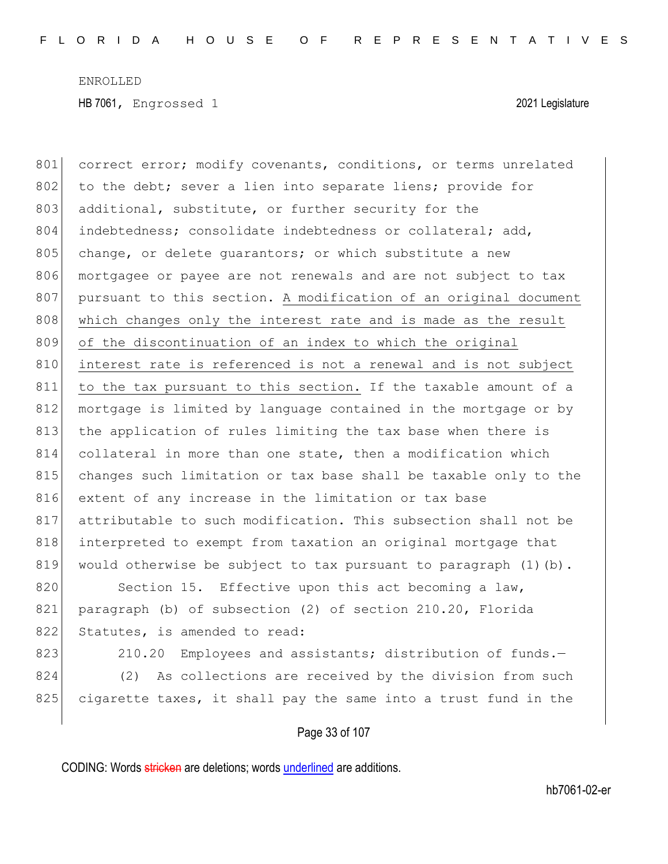801 correct error; modify covenants, conditions, or terms unrelated 802 to the debt; sever a lien into separate liens; provide for 803 additional, substitute, or further security for the 804 indebtedness; consolidate indebtedness or collateral; add, 805 change, or delete quarantors; or which substitute a new 806 mortgagee or payee are not renewals and are not subject to tax 807 pursuant to this section. A modification of an original document 808 which changes only the interest rate and is made as the result 809 of the discontinuation of an index to which the original 810 interest rate is referenced is not a renewal and is not subject 811 to the tax pursuant to this section. If the taxable amount of a 812 mortgage is limited by language contained in the mortgage or by 813 the application of rules limiting the tax base when there is 814 collateral in more than one state, then a modification which 815 changes such limitation or tax base shall be taxable only to the 816 extent of any increase in the limitation or tax base 817 attributable to such modification. This subsection shall not be 818 interpreted to exempt from taxation an original mortgage that 819 would otherwise be subject to tax pursuant to paragraph  $(1)$  (b). 820 Section 15. Effective upon this act becoming a law, 821 paragraph (b) of subsection (2) of section 210.20, Florida 822 Statutes, is amended to read: 823 210.20 Employees and assistants; distribution of funds. 824 (2) As collections are received by the division from such 825 cigarette taxes, it shall pay the same into a trust fund in the

Page 33 of 107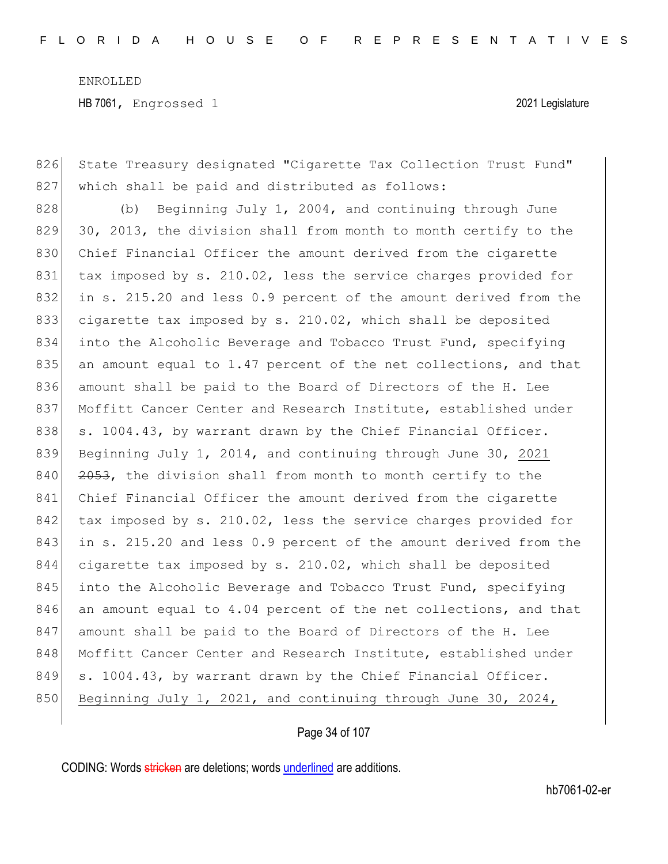826 State Treasury designated "Cigarette Tax Collection Trust Fund" 827 which shall be paid and distributed as follows:

 $828$  (b) Beginning July 1, 2004, and continuing through June 829 30, 2013, the division shall from month to month certify to the 830 Chief Financial Officer the amount derived from the cigarette 831 tax imposed by s. 210.02, less the service charges provided for 832 in s. 215.20 and less 0.9 percent of the amount derived from the 833 cigarette tax imposed by s. 210.02, which shall be deposited 834 into the Alcoholic Beverage and Tobacco Trust Fund, specifying 835 an amount equal to 1.47 percent of the net collections, and that 836 amount shall be paid to the Board of Directors of the H. Lee 837 Moffitt Cancer Center and Research Institute, established under 838 s. 1004.43, by warrant drawn by the Chief Financial Officer. 839 Beginning July 1, 2014, and continuing through June 30, 2021  $840$   $2053$ , the division shall from month to month certify to the 841 Chief Financial Officer the amount derived from the cigarette 842 tax imposed by s. 210.02, less the service charges provided for 843 in s. 215.20 and less 0.9 percent of the amount derived from the 844 cigarette tax imposed by s. 210.02, which shall be deposited 845 into the Alcoholic Beverage and Tobacco Trust Fund, specifying 846 an amount equal to 4.04 percent of the net collections, and that 847 amount shall be paid to the Board of Directors of the H. Lee 848 Moffitt Cancer Center and Research Institute, established under 849 s. 1004.43, by warrant drawn by the Chief Financial Officer. 850 Beginning July 1, 2021, and continuing through June 30, 2024,

Page 34 of 107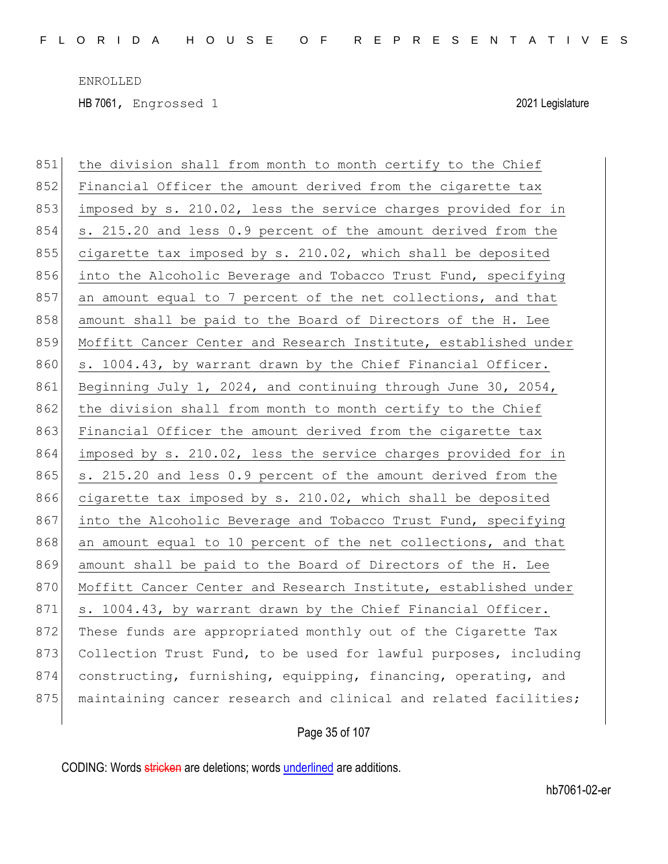| 851 | the division shall from month to month certify to the Chief      |
|-----|------------------------------------------------------------------|
| 852 | Financial Officer the amount derived from the cigarette tax      |
| 853 | imposed by s. 210.02, less the service charges provided for in   |
| 854 | s. 215.20 and less 0.9 percent of the amount derived from the    |
| 855 | cigarette tax imposed by s. 210.02, which shall be deposited     |
| 856 | into the Alcoholic Beverage and Tobacco Trust Fund, specifying   |
| 857 | an amount equal to 7 percent of the net collections, and that    |
| 858 | amount shall be paid to the Board of Directors of the H. Lee     |
| 859 | Moffitt Cancer Center and Research Institute, established under  |
| 860 | s. 1004.43, by warrant drawn by the Chief Financial Officer.     |
| 861 | Beginning July 1, 2024, and continuing through June 30, 2054,    |
| 862 | the division shall from month to month certify to the Chief      |
| 863 | Financial Officer the amount derived from the cigarette tax      |
| 864 | imposed by s. 210.02, less the service charges provided for in   |
| 865 | s. 215.20 and less 0.9 percent of the amount derived from the    |
| 866 | cigarette tax imposed by s. 210.02, which shall be deposited     |
| 867 | into the Alcoholic Beverage and Tobacco Trust Fund, specifying   |
| 868 | an amount equal to 10 percent of the net collections, and that   |
| 869 | amount shall be paid to the Board of Directors of the H. Lee     |
| 870 | Moffitt Cancer Center and Research Institute, established under  |
| 871 | s. 1004.43, by warrant drawn by the Chief Financial Officer.     |
| 872 | These funds are appropriated monthly out of the Cigarette Tax    |
| 873 | Collection Trust Fund, to be used for lawful purposes, including |
| 874 | constructing, furnishing, equipping, financing, operating, and   |
| 875 | maintaining cancer research and clinical and related facilities; |

### Page 35 of 107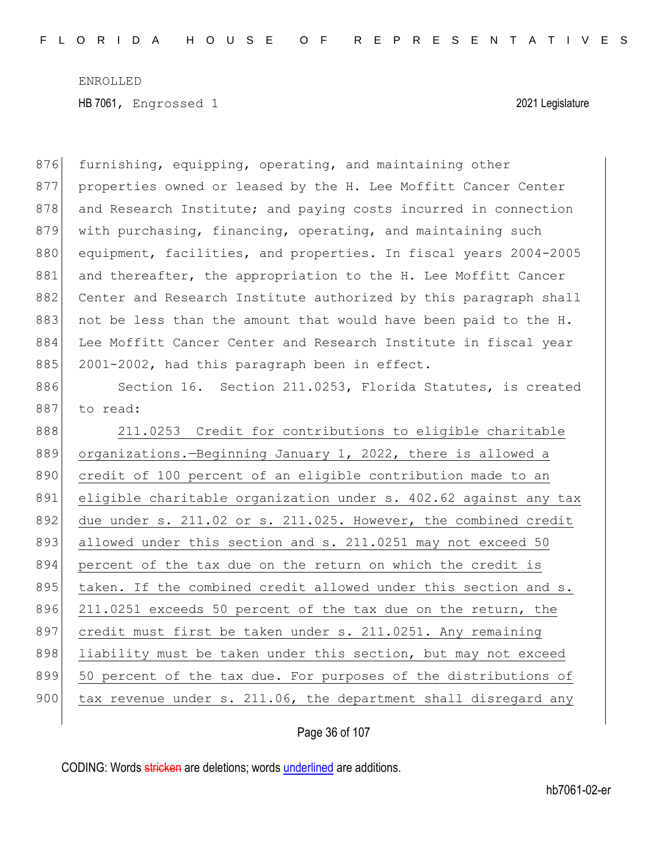876 furnishing, equipping, operating, and maintaining other 877 properties owned or leased by the H. Lee Moffitt Cancer Center 878 and Research Institute; and paying costs incurred in connection 879 with purchasing, financing, operating, and maintaining such 880 equipment, facilities, and properties. In fiscal years 2004-2005 881 and thereafter, the appropriation to the H. Lee Moffitt Cancer 882 Center and Research Institute authorized by this paragraph shall 883 not be less than the amount that would have been paid to the H. 884 Lee Moffitt Cancer Center and Research Institute in fiscal year 885 2001-2002, had this paragraph been in effect. 886 Section 16. Section 211.0253, Florida Statutes, is created 887 to read: 888 211.0253 Credit for contributions to eligible charitable 889 organizations.—Beginning January 1, 2022, there is allowed a 890 credit of 100 percent of an eligible contribution made to an 891 eligible charitable organization under s. 402.62 against any tax 892 due under s. 211.02 or s. 211.025. However, the combined credit 893 allowed under this section and s. 211.0251 may not exceed 50 894 percent of the tax due on the return on which the credit is 895 taken. If the combined credit allowed under this section and s. 896 211.0251 exceeds 50 percent of the tax due on the return, the 897 credit must first be taken under s. 211.0251. Any remaining 898 liability must be taken under this section, but may not exceed 899 50 percent of the tax due. For purposes of the distributions of 900 tax revenue under s. 211.06, the department shall disregard any

Page 36 of 107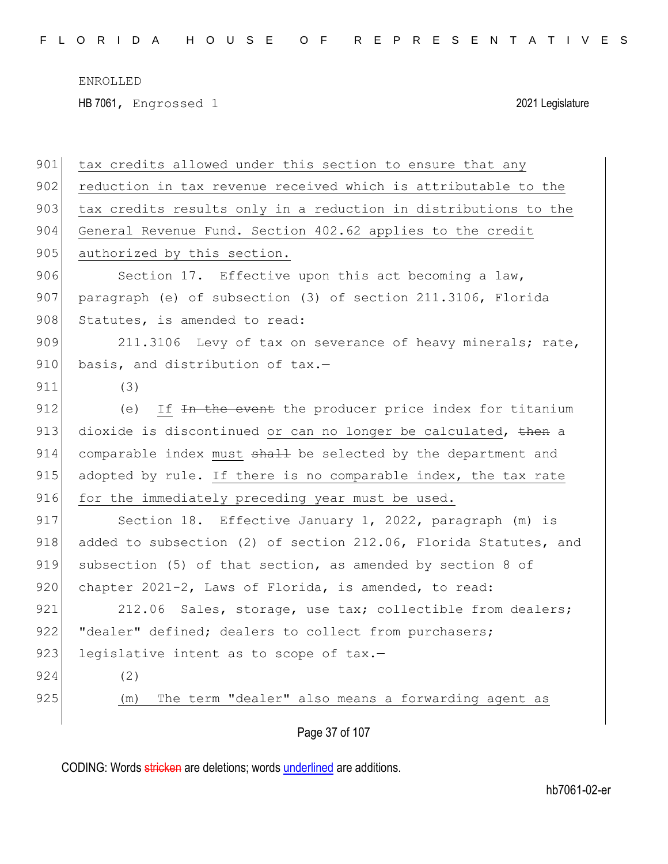HB 7061, Engrossed 1 2021 Legislature

| 901 | tax credits allowed under this section to ensure that any        |
|-----|------------------------------------------------------------------|
| 902 | reduction in tax revenue received which is attributable to the   |
| 903 | tax credits results only in a reduction in distributions to the  |
| 904 | General Revenue Fund. Section 402.62 applies to the credit       |
| 905 | authorized by this section.                                      |
| 906 | Section 17. Effective upon this act becoming a law,              |
| 907 | paragraph (e) of subsection (3) of section 211.3106, Florida     |
| 908 | Statutes, is amended to read:                                    |
| 909 | 211.3106 Levy of tax on severance of heavy minerals; rate,       |
| 910 | basis, and distribution of tax.-                                 |
| 911 | (3)                                                              |
| 912 | If In the event the producer price index for titanium<br>(e)     |
| 913 | dioxide is discontinued or can no longer be calculated, then a   |
| 914 | comparable index must shall be selected by the department and    |
| 915 | adopted by rule. If there is no comparable index, the tax rate   |
| 916 | for the immediately preceding year must be used.                 |
| 917 | Section 18. Effective January 1, 2022, paragraph (m) is          |
| 918 | added to subsection (2) of section 212.06, Florida Statutes, and |
| 919 | subsection (5) of that section, as amended by section 8 of       |
| 920 | chapter 2021-2, Laws of Florida, is amended, to read:            |
| 921 | 212.06 Sales, storage, use tax; collectible from dealers;        |
| 922 | "dealer" defined; dealers to collect from purchasers;            |
| 923 | legislative intent as to scope of tax.-                          |
| 924 | (2)                                                              |
| 925 | The term "dealer" also means a forwarding agent as<br>(m)        |
|     |                                                                  |

Page 37 of 107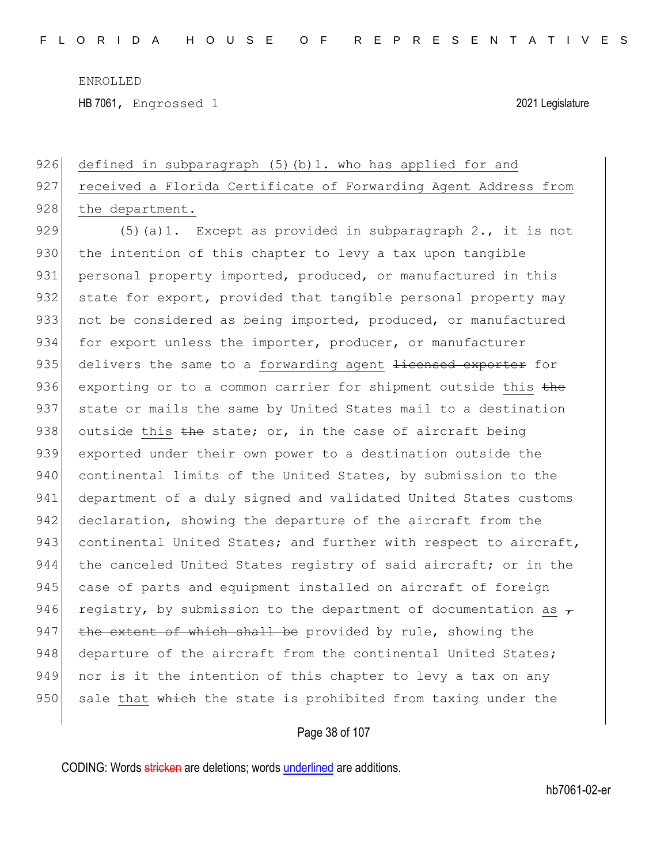HB 7061, Engrossed 1 2021 Legislature

# 926 defined in subparagraph (5)(b)1. who has applied for and 927 received a Florida Certificate of Forwarding Agent Address from 928 the department.

929  $(5)(a)$ 1. Except as provided in subparagraph 2., it is not 930 the intention of this chapter to levy a tax upon tangible 931 personal property imported, produced, or manufactured in this 932 state for export, provided that tangible personal property may 933 not be considered as being imported, produced, or manufactured 934 for export unless the importer, producer, or manufacturer 935 delivers the same to a forwarding agent <del>licensed exporter</del> for 936 exporting or to a common carrier for shipment outside this the 937 state or mails the same by United States mail to a destination 938 outside this the state; or, in the case of aircraft being 939 exported under their own power to a destination outside the 940 continental limits of the United States, by submission to the 941 department of a duly signed and validated United States customs 942 declaration, showing the departure of the aircraft from the 943 continental United States; and further with respect to aircraft, 944 the canceled United States registry of said aircraft; or in the 945 case of parts and equipment installed on aircraft of foreign 946 registry, by submission to the department of documentation as  $\tau$ 947 the extent of which shall be provided by rule, showing the 948 departure of the aircraft from the continental United States; 949 nor is it the intention of this chapter to levy a tax on any 950 sale that which the state is prohibited from taxing under the

#### Page 38 of 107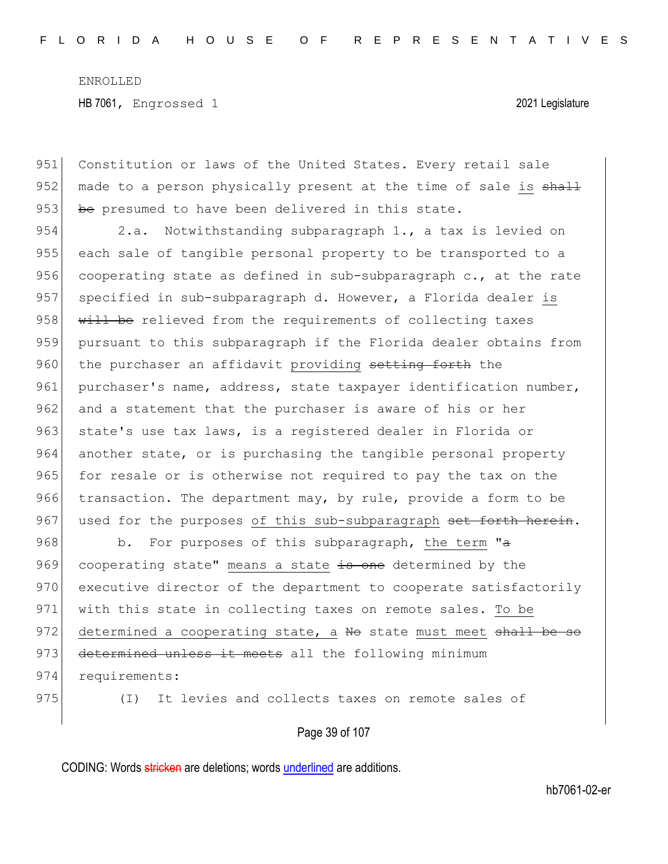951 Constitution or laws of the United States. Every retail sale 952 made to a person physically present at the time of sale is shall 953 be presumed to have been delivered in this state.

954 2.a. Notwithstanding subparagraph 1., a tax is levied on 955 each sale of tangible personal property to be transported to a 956 cooperating state as defined in sub-subparagraph c., at the rate 957 specified in sub-subparagraph d. However, a Florida dealer is 958 will be relieved from the requirements of collecting taxes 959 pursuant to this subparagraph if the Florida dealer obtains from 960 the purchaser an affidavit providing setting forth the 961 purchaser's name, address, state taxpayer identification number, 962 and a statement that the purchaser is aware of his or her 963 state's use tax laws, is a registered dealer in Florida or 964 another state, or is purchasing the tangible personal property 965 for resale or is otherwise not required to pay the tax on the 966 transaction. The department may, by rule, provide a form to be 967 used for the purposes of this sub-subparagraph set forth herein.

968 b. For purposes of this subparagraph, the term "a 969 cooperating state" means a state is one determined by the 970 executive director of the department to cooperate satisfactorily 971 with this state in collecting taxes on remote sales. To be 972 determined a cooperating state, a No state must meet shall be so 973 determined unless it meets all the following minimum 974 requirements:

975 (I) It levies and collects taxes on remote sales of

Page 39 of 107

CODING: Words stricken are deletions; words underlined are additions.

hb7061-02-er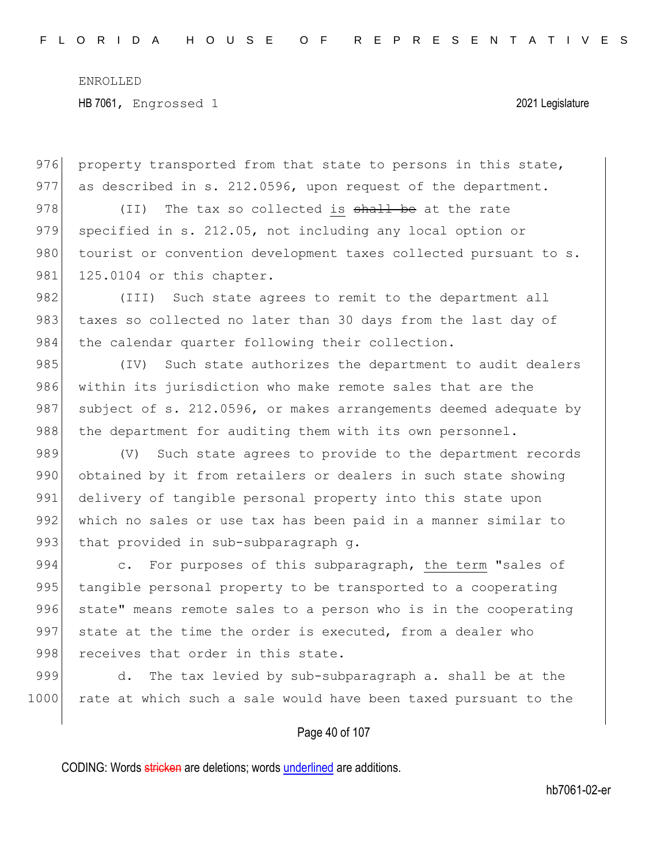976 property transported from that state to persons in this state, 977 as described in s. 212.0596, upon request of the department.

978 (II) The tax so collected is shall be at the rate 979 specified in s. 212.05, not including any local option or 980 tourist or convention development taxes collected pursuant to s. 981 125.0104 or this chapter.

982 (III) Such state agrees to remit to the department all 983 taxes so collected no later than 30 days from the last day of 984 the calendar quarter following their collection.

985 (IV) Such state authorizes the department to audit dealers 986 within its jurisdiction who make remote sales that are the 987 subject of s. 212.0596, or makes arrangements deemed adequate by 988 the department for auditing them with its own personnel.

989 (V) Such state agrees to provide to the department records 990 obtained by it from retailers or dealers in such state showing 991 delivery of tangible personal property into this state upon 992 which no sales or use tax has been paid in a manner similar to 993 that provided in sub-subparagraph  $q$ .

994 c. For purposes of this subparagraph, the term "sales of 995 tangible personal property to be transported to a cooperating 996 state" means remote sales to a person who is in the cooperating 997 state at the time the order is executed, from a dealer who 998 receives that order in this state.

999 d. The tax levied by sub-subparagraph a. shall be at the 1000 rate at which such a sale would have been taxed pursuant to the

### Page 40 of 107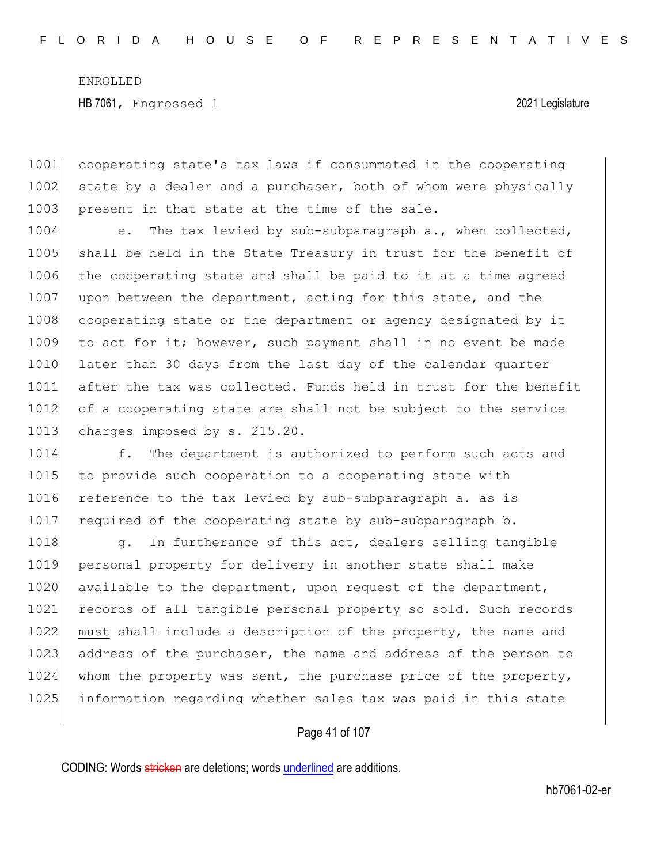1001 cooperating state's tax laws if consummated in the cooperating 1002 state by a dealer and a purchaser, both of whom were physically 1003 present in that state at the time of the sale.

1004 e. The tax levied by sub-subparagraph a., when collected, 1005 shall be held in the State Treasury in trust for the benefit of 1006 the cooperating state and shall be paid to it at a time agreed 1007 upon between the department, acting for this state, and the 1008 cooperating state or the department or agency designated by it 1009 to act for it; however, such payment shall in no event be made 1010 later than 30 days from the last day of the calendar quarter 1011 after the tax was collected. Funds held in trust for the benefit 1012 of a cooperating state are shall not be subject to the service 1013 charges imposed by s. 215.20.

1014 f. The department is authorized to perform such acts and 1015 to provide such cooperation to a cooperating state with 1016 reference to the tax levied by sub-subparagraph a. as is 1017 required of the cooperating state by sub-subparagraph b.

1018 g. In furtherance of this act, dealers selling tangible 1019 personal property for delivery in another state shall make 1020 available to the department, upon request of the department, 1021 records of all tangible personal property so sold. Such records 1022 must shall include a description of the property, the name and 1023 address of the purchaser, the name and address of the person to 1024 whom the property was sent, the purchase price of the property, 1025 information regarding whether sales tax was paid in this state

#### Page 41 of 107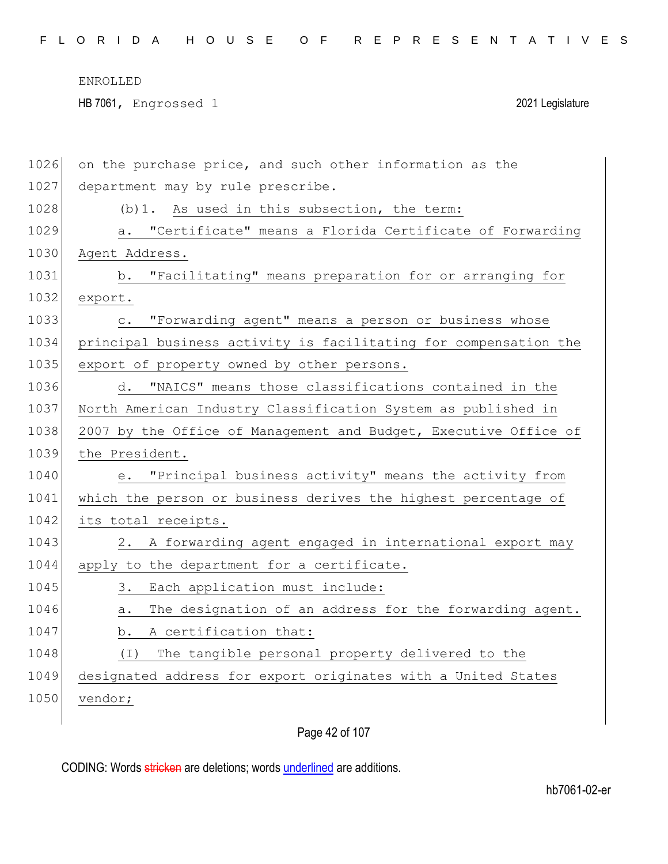|  |  |  |  |  |  |  |  | FLORIDA HOUSE OF REPRESENTATIVES |  |  |  |  |  |  |  |  |  |  |  |  |  |  |  |  |  |  |  |  |  |  |  |  |  |  |
|--|--|--|--|--|--|--|--|----------------------------------|--|--|--|--|--|--|--|--|--|--|--|--|--|--|--|--|--|--|--|--|--|--|--|--|--|--|
|--|--|--|--|--|--|--|--|----------------------------------|--|--|--|--|--|--|--|--|--|--|--|--|--|--|--|--|--|--|--|--|--|--|--|--|--|--|

HB 7061, Engrossed 1 2021 Legislature

| 1026 | on the purchase price, and such other information as the         |
|------|------------------------------------------------------------------|
| 1027 | department may by rule prescribe.                                |
| 1028 | (b) 1. As used in this subsection, the term:                     |
| 1029 | a. "Certificate" means a Florida Certificate of Forwarding       |
| 1030 | Agent Address.                                                   |
| 1031 | "Facilitating" means preparation for or arranging for<br>b.      |
| 1032 | export.                                                          |
| 1033 | "Forwarding agent" means a person or business whose<br>$\circ$ . |
| 1034 | principal business activity is facilitating for compensation the |
| 1035 | export of property owned by other persons.                       |
| 1036 | "NAICS" means those classifications contained in the<br>d.       |
| 1037 | North American Industry Classification System as published in    |
| 1038 | 2007 by the Office of Management and Budget, Executive Office of |
|      |                                                                  |
| 1039 | the President.                                                   |
| 1040 | "Principal business activity" means the activity from<br>е.      |
| 1041 | which the person or business derives the highest percentage of   |
| 1042 | its total receipts.                                              |
| 1043 | 2. A forwarding agent engaged in international export may        |
| 1044 | apply to the department for a certificate.                       |
| 1045 | Each application must include:<br>3.                             |
| 1046 | The designation of an address for the forwarding agent.<br>а.    |
| 1047 | A certification that:<br>b.                                      |
| 1048 | The tangible personal property delivered to the<br>( I )         |
| 1049 | designated address for export originates with a United States    |
| 1050 | vendor;                                                          |

Page 42 of 107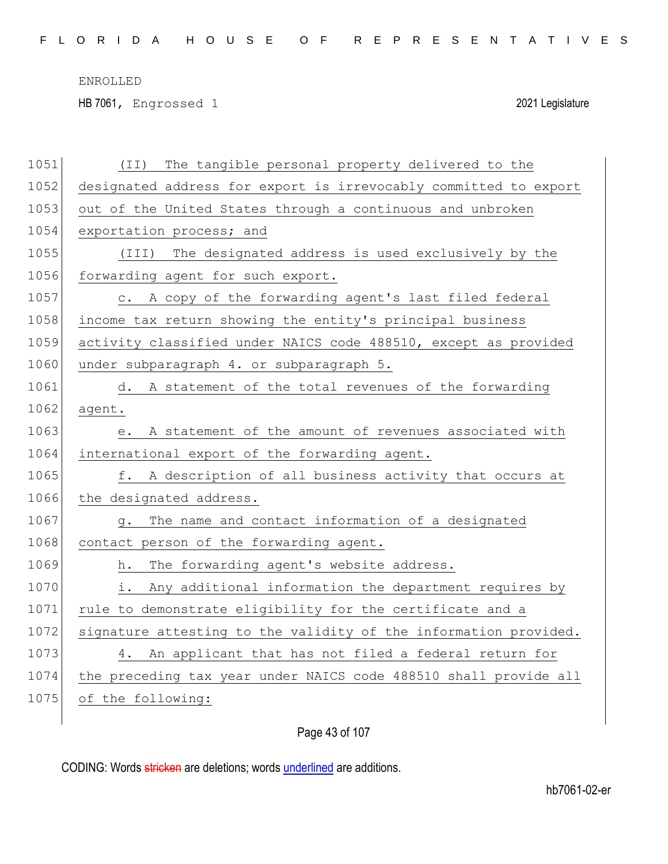HB 7061, Engrossed 1 2021 Legislature

| 1051 | The tangible personal property delivered to the<br>(TI)          |
|------|------------------------------------------------------------------|
| 1052 | designated address for export is irrevocably committed to export |
| 1053 | out of the United States through a continuous and unbroken       |
| 1054 | exportation process; and                                         |
| 1055 | (III) The designated address is used exclusively by the          |
| 1056 | forwarding agent for such export.                                |
| 1057 | c. A copy of the forwarding agent's last filed federal           |
| 1058 | income tax return showing the entity's principal business        |
| 1059 | activity classified under NAICS code 488510, except as provided  |
| 1060 | under subparagraph 4. or subparagraph 5.                         |
| 1061 | d. A statement of the total revenues of the forwarding           |
| 1062 | agent.                                                           |
| 1063 | A statement of the amount of revenues associated with<br>е.      |
| 1064 | international export of the forwarding agent.                    |
| 1065 | f. A description of all business activity that occurs at         |
| 1066 | the designated address.                                          |
| 1067 | The name and contact information of a designated<br>g.           |
| 1068 | contact person of the forwarding agent.                          |
| 1069 | The forwarding agent's website address.<br>h.                    |
| 1070 | Any additional information the department requires by<br>i.      |
| 1071 | rule to demonstrate eligibility for the certificate and a        |
| 1072 | signature attesting to the validity of the information provided. |
| 1073 | 4. An applicant that has not filed a federal return for          |
| 1074 | the preceding tax year under NAICS code 488510 shall provide all |
| 1075 | of the following:                                                |
|      |                                                                  |

Page 43 of 107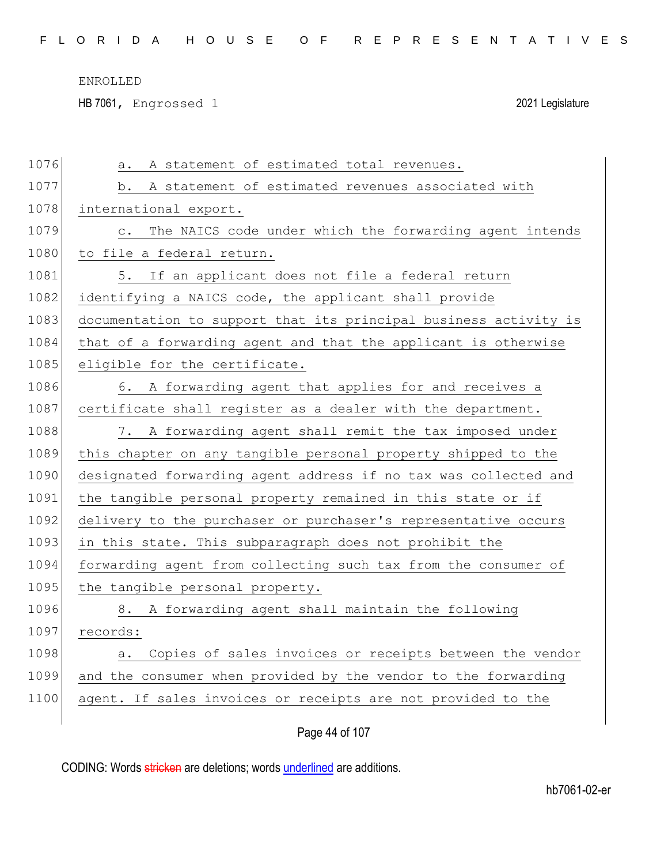HB 7061, Engrossed 1 2021 Legislature

| 1076 | A statement of estimated total revenues.<br>a.                       |
|------|----------------------------------------------------------------------|
| 1077 | b. A statement of estimated revenues associated with                 |
| 1078 | international export.                                                |
| 1079 | The NAICS code under which the forwarding agent intends<br>$\circ$ . |
| 1080 | to file a federal return.                                            |
| 1081 | 5. If an applicant does not file a federal return                    |
| 1082 | identifying a NAICS code, the applicant shall provide                |
| 1083 | documentation to support that its principal business activity is     |
| 1084 | that of a forwarding agent and that the applicant is otherwise       |
| 1085 | eligible for the certificate.                                        |
| 1086 | 6. A forwarding agent that applies for and receives a                |
| 1087 | certificate shall register as a dealer with the department.          |
| 1088 | 7. A forwarding agent shall remit the tax imposed under              |
| 1089 | this chapter on any tangible personal property shipped to the        |
| 1090 | designated forwarding agent address if no tax was collected and      |
| 1091 | the tangible personal property remained in this state or if          |
| 1092 | delivery to the purchaser or purchaser's representative occurs       |
| 1093 | in this state. This subparagraph does not prohibit the               |
| 1094 | forwarding agent from collecting such tax from the consumer of       |
| 1095 | the tangible personal property.                                      |
| 1096 | 8. A forwarding agent shall maintain the following                   |
| 1097 | records:                                                             |
| 1098 | a. Copies of sales invoices or receipts between the vendor           |
| 1099 | and the consumer when provided by the vendor to the forwarding       |
| 1100 | agent. If sales invoices or receipts are not provided to the         |
|      |                                                                      |

Page 44 of 107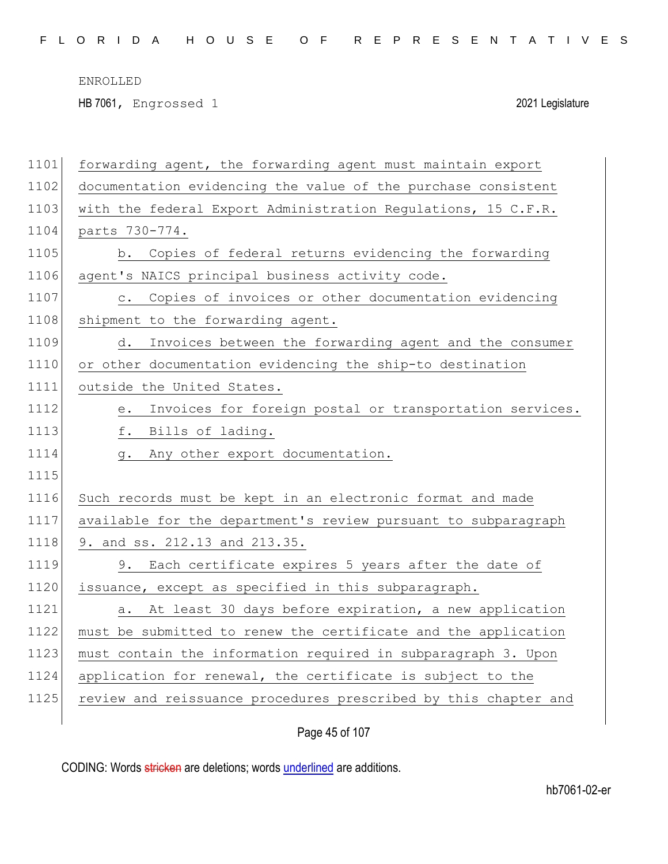HB 7061, Engrossed 1 2021 Legislature

| 1101 | forwarding agent, the forwarding agent must maintain export     |
|------|-----------------------------------------------------------------|
| 1102 | documentation evidencing the value of the purchase consistent   |
| 1103 | with the federal Export Administration Regulations, 15 C.F.R.   |
| 1104 | parts 730-774.                                                  |
| 1105 | b. Copies of federal returns evidencing the forwarding          |
| 1106 | agent's NAICS principal business activity code.                 |
| 1107 | c. Copies of invoices or other documentation evidencing         |
| 1108 | shipment to the forwarding agent.                               |
| 1109 | Invoices between the forwarding agent and the consumer<br>d.    |
| 1110 | or other documentation evidencing the ship-to destination       |
| 1111 | outside the United States.                                      |
| 1112 | Invoices for foreign postal or transportation services.<br>е.   |
| 1113 | f. Bills of lading.                                             |
| 1114 | g. Any other export documentation.                              |
| 1115 |                                                                 |
| 1116 | Such records must be kept in an electronic format and made      |
| 1117 | available for the department's review pursuant to subparagraph  |
| 1118 | 9. and ss. 212.13 and 213.35.                                   |
| 1119 | 9. Each certificate expires 5 years after the date of           |
| 1120 | issuance, except as specified in this subparagraph.             |
| 1121 | At least 30 days before expiration, a new application<br>a.     |
| 1122 | must be submitted to renew the certificate and the application  |
| 1123 | must contain the information required in subparagraph 3. Upon   |
| 1124 | application for renewal, the certificate is subject to the      |
| 1125 | review and reissuance procedures prescribed by this chapter and |
|      |                                                                 |

Page 45 of 107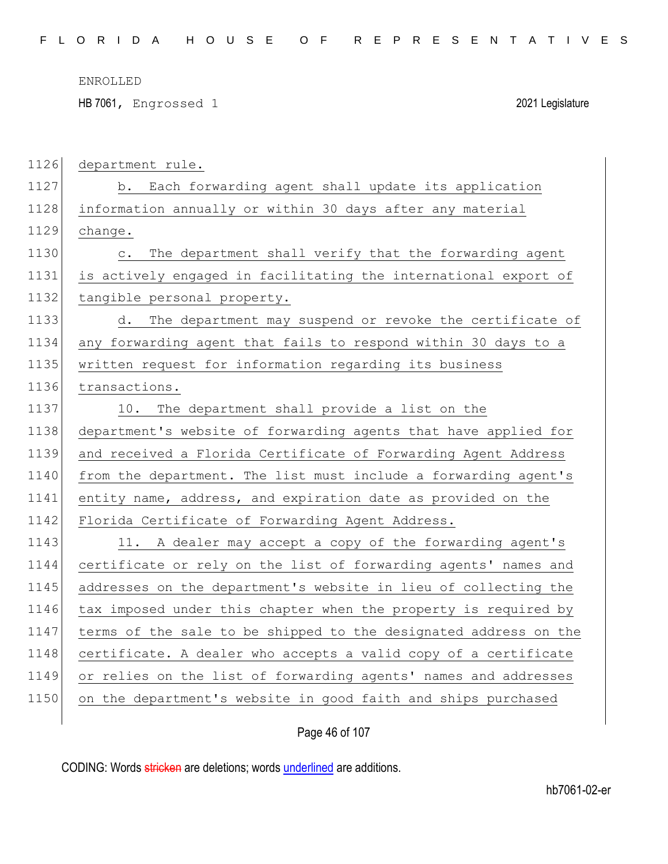HB 7061, Engrossed 1 2021 Legislature

| 1126 | department rule.                                                       |
|------|------------------------------------------------------------------------|
| 1127 | b. Each forwarding agent shall update its application                  |
| 1128 | information annually or within 30 days after any material              |
| 1129 | change.                                                                |
| 1130 | The department shall verify that the forwarding agent<br>$\mathbb C$ . |
| 1131 | is actively engaged in facilitating the international export of        |
| 1132 | tangible personal property.                                            |
| 1133 | d. The department may suspend or revoke the certificate of             |
| 1134 | any forwarding agent that fails to respond within 30 days to a         |
| 1135 | written request for information regarding its business                 |
| 1136 | transactions.                                                          |
| 1137 | 10. The department shall provide a list on the                         |
| 1138 | department's website of forwarding agents that have applied for        |
| 1139 | and received a Florida Certificate of Forwarding Agent Address         |
| 1140 | from the department. The list must include a forwarding agent's        |
| 1141 | entity name, address, and expiration date as provided on the           |
| 1142 | Florida Certificate of Forwarding Agent Address.                       |
| 1143 | 11. A dealer may accept a copy of the forwarding agent's               |
| 1144 | certificate or rely on the list of forwarding agents' names and        |
| 1145 | addresses on the department's website in lieu of collecting the        |
| 1146 | tax imposed under this chapter when the property is required by        |
| 1147 | terms of the sale to be shipped to the designated address on the       |
| 1148 | certificate. A dealer who accepts a valid copy of a certificate        |
| 1149 | or relies on the list of forwarding agents' names and addresses        |
| 1150 | on the department's website in good faith and ships purchased          |
|      |                                                                        |

Page 46 of 107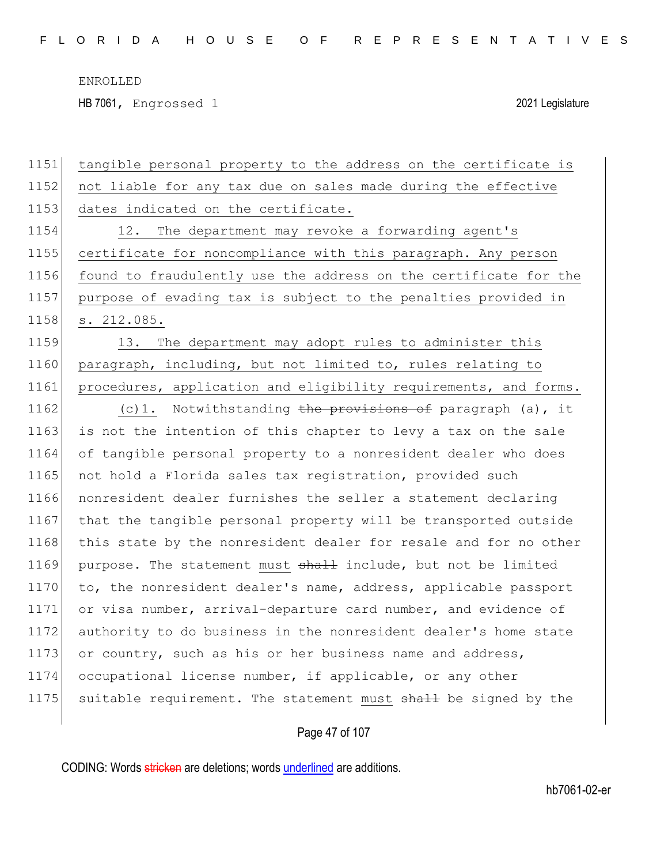HB 7061, Engrossed 1 2021 Legislature

1151 tangible personal property to the address on the certificate is 1152 not liable for any tax due on sales made during the effective 1153 dates indicated on the certificate. 1154 12. The department may revoke a forwarding agent's 1155 certificate for noncompliance with this paragraph. Any person 1156 found to fraudulently use the address on the certificate for the 1157 purpose of evading tax is subject to the penalties provided in 1158 s. 212.085. 1159 13. The department may adopt rules to administer this 1160 paragraph, including, but not limited to, rules relating to 1161 procedures, application and eligibility requirements, and forms. 1162 (c)1. Notwithstanding the provisions of paragraph (a), it 1163 is not the intention of this chapter to levy a tax on the sale 1164 of tangible personal property to a nonresident dealer who does 1165 not hold a Florida sales tax registration, provided such 1166 nonresident dealer furnishes the seller a statement declaring 1167 that the tangible personal property will be transported outside 1168 this state by the nonresident dealer for resale and for no other 1169 purpose. The statement must shall include, but not be limited 1170 to, the nonresident dealer's name, address, applicable passport 1171 or visa number, arrival-departure card number, and evidence of 1172 authority to do business in the nonresident dealer's home state 1173 or country, such as his or her business name and address, 1174 occupational license number, if applicable, or any other 1175 suitable requirement. The statement must shall be signed by the

Page 47 of 107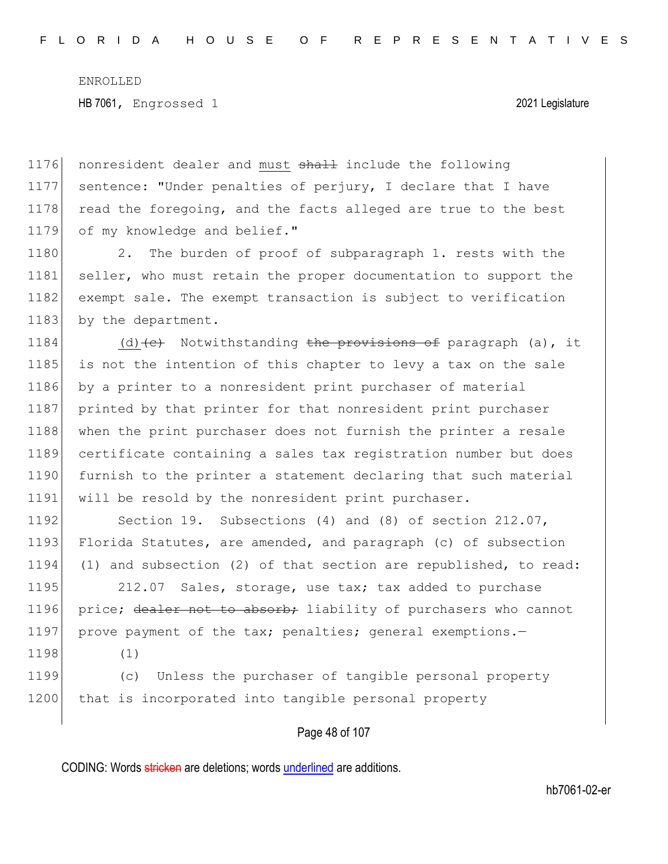1176 nonresident dealer and must shall include the following 1177 sentence: "Under penalties of perjury, I declare that I have 1178 read the foregoing, and the facts alleged are true to the best 1179 of my knowledge and belief."

1180 2. The burden of proof of subparagraph 1. rests with the 1181 seller, who must retain the proper documentation to support the 1182 exempt sale. The exempt transaction is subject to verification 1183 by the department.

1184 (d)  $\left\{ \left( e \right)$  Notwithstanding the provisions of paragraph (a), it 1185 is not the intention of this chapter to levy a tax on the sale 1186 by a printer to a nonresident print purchaser of material 1187 printed by that printer for that nonresident print purchaser 1188 when the print purchaser does not furnish the printer a resale 1189 certificate containing a sales tax registration number but does 1190 furnish to the printer a statement declaring that such material 1191 will be resold by the nonresident print purchaser.

1192 Section 19. Subsections (4) and (8) of section 212.07, 1193 Florida Statutes, are amended, and paragraph (c) of subsection 1194 (1) and subsection (2) of that section are republished, to read:

1195 212.07 Sales, storage, use tax; tax added to purchase 1196 price; dealer not to absorb; liability of purchasers who cannot 1197 prove payment of the tax; penalties; general exemptions.-

1198 (1)

1199 (c) Unless the purchaser of tangible personal property 1200 that is incorporated into tangible personal property

### Page 48 of 107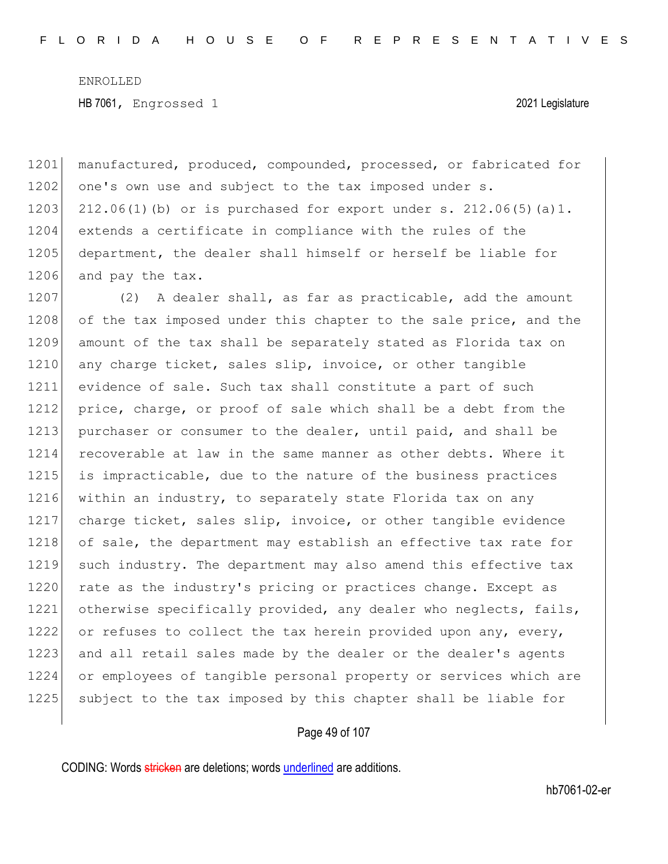1201 manufactured, produced, compounded, processed, or fabricated for 1202 one's own use and subject to the tax imposed under s. 1203 212.06(1)(b) or is purchased for export under s.  $212.06(5)(a)1$ . 1204 extends a certificate in compliance with the rules of the 1205 department, the dealer shall himself or herself be liable for 1206 and pay the tax.

1207 (2) A dealer shall, as far as practicable, add the amount 1208 of the tax imposed under this chapter to the sale price, and the 1209 amount of the tax shall be separately stated as Florida tax on 1210 any charge ticket, sales slip, invoice, or other tangible 1211 evidence of sale. Such tax shall constitute a part of such 1212 price, charge, or proof of sale which shall be a debt from the 1213 purchaser or consumer to the dealer, until paid, and shall be 1214 recoverable at law in the same manner as other debts. Where it 1215 is impracticable, due to the nature of the business practices 1216 within an industry, to separately state Florida tax on any 1217 charge ticket, sales slip, invoice, or other tangible evidence 1218 of sale, the department may establish an effective tax rate for 1219 such industry. The department may also amend this effective tax 1220 rate as the industry's pricing or practices change. Except as 1221 otherwise specifically provided, any dealer who neglects, fails, 1222 or refuses to collect the tax herein provided upon any, every, 1223 and all retail sales made by the dealer or the dealer's agents 1224 or employees of tangible personal property or services which are 1225 subject to the tax imposed by this chapter shall be liable for

#### Page 49 of 107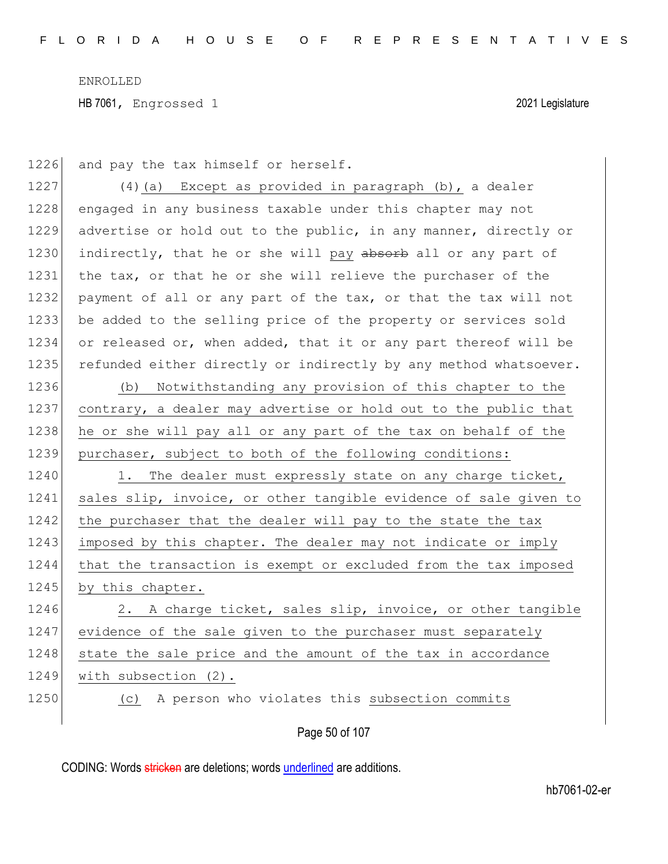1226 and pay the tax himself or herself.

1227 (4)(a) Except as provided in paragraph (b), a dealer 1228 engaged in any business taxable under this chapter may not 1229 advertise or hold out to the public, in any manner, directly or 1230 indirectly, that he or she will pay absorb all or any part of 1231 the tax, or that he or she will relieve the purchaser of the 1232 payment of all or any part of the tax, or that the tax will not 1233 be added to the selling price of the property or services sold 1234 or released or, when added, that it or any part thereof will be 1235 refunded either directly or indirectly by any method whatsoever.

1236 (b) Notwithstanding any provision of this chapter to the 1237 contrary, a dealer may advertise or hold out to the public that 1238 he or she will pay all or any part of the tax on behalf of the 1239 purchaser, subject to both of the following conditions:

1240 1. The dealer must expressly state on any charge ticket, 1241 sales slip, invoice, or other tangible evidence of sale given to 1242 the purchaser that the dealer will pay to the state the tax 1243 imposed by this chapter. The dealer may not indicate or imply 1244 that the transaction is exempt or excluded from the tax imposed 1245 by this chapter.

1246 2. A charge ticket, sales slip, invoice, or other tangible 1247 evidence of the sale given to the purchaser must separately 1248 state the sale price and the amount of the tax in accordance 1249 with subsection (2).

1250 (c) A person who violates this subsection commits

Page 50 of 107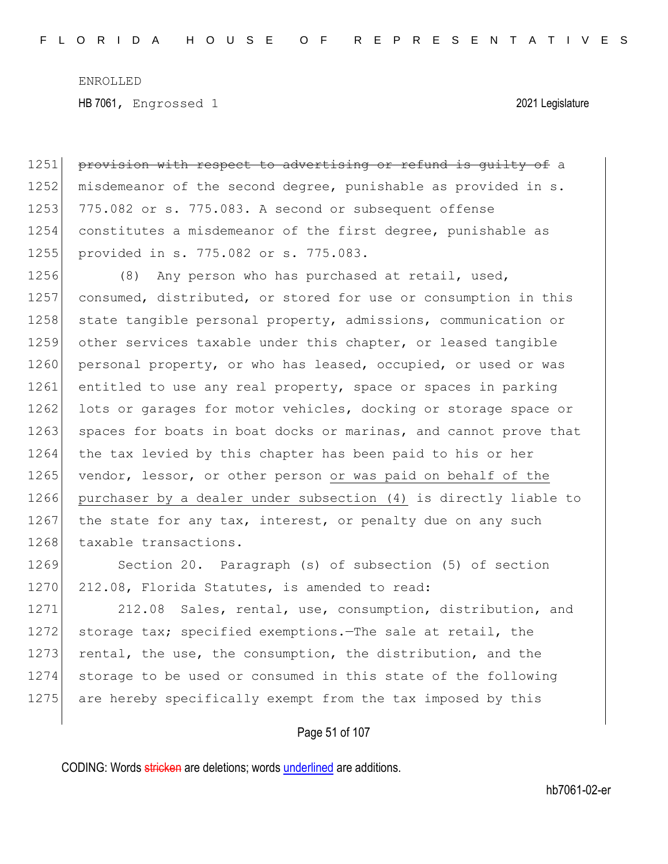1251 provision with respect to advertising or refund is guilty of a 1252 misdemeanor of the second degree, punishable as provided in s. 1253 775.082 or s. 775.083. A second or subsequent offense 1254 constitutes a misdemeanor of the first degree, punishable as 1255 provided in s. 775.082 or s. 775.083.

1256 (8) Any person who has purchased at retail, used, 1257 consumed, distributed, or stored for use or consumption in this 1258 state tangible personal property, admissions, communication or 1259 other services taxable under this chapter, or leased tangible 1260 personal property, or who has leased, occupied, or used or was 1261 entitled to use any real property, space or spaces in parking 1262 lots or garages for motor vehicles, docking or storage space or 1263 spaces for boats in boat docks or marinas, and cannot prove that 1264 the tax levied by this chapter has been paid to his or her 1265 vendor, lessor, or other person or was paid on behalf of the 1266 purchaser by a dealer under subsection (4) is directly liable to 1267 the state for any tax, interest, or penalty due on any such 1268 taxable transactions.

1269 Section 20. Paragraph (s) of subsection (5) of section 1270 212.08, Florida Statutes, is amended to read:

1271 212.08 Sales, rental, use, consumption, distribution, and 1272 storage tax; specified exemptions.—The sale at retail, the 1273 rental, the use, the consumption, the distribution, and the 1274 storage to be used or consumed in this state of the following 1275 are hereby specifically exempt from the tax imposed by this

### Page 51 of 107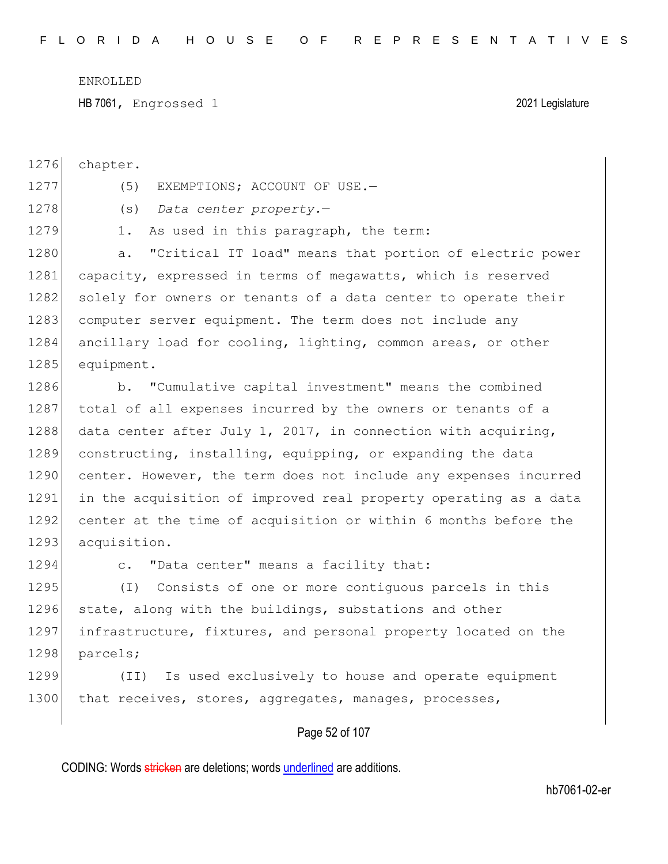HB 7061, Engrossed 1 2021 Legislature

1276 chapter.

- 1277 (5) EXEMPTIONS; ACCOUNT OF USE.
- 1278 (s) *Data center property.*—
- 
- 1279 1. As used in this paragraph, the term:

1280 a. "Critical IT load" means that portion of electric power 1281 capacity, expressed in terms of megawatts, which is reserved 1282 solely for owners or tenants of a data center to operate their 1283 computer server equipment. The term does not include any 1284 ancillary load for cooling, lighting, common areas, or other 1285 equipment.

1286 b. "Cumulative capital investment" means the combined 1287 total of all expenses incurred by the owners or tenants of a 1288 data center after July 1, 2017, in connection with acquiring, 1289 constructing, installing, equipping, or expanding the data 1290 center. However, the term does not include any expenses incurred 1291 in the acquisition of improved real property operating as a data 1292 center at the time of acquisition or within 6 months before the 1293 acquisition.

1294 c. "Data center" means a facility that:

1295 (I) Consists of one or more contiguous parcels in this 1296 state, along with the buildings, substations and other 1297 infrastructure, fixtures, and personal property located on the 1298 parcels;

1299 (II) Is used exclusively to house and operate equipment 1300 that receives, stores, aggregates, manages, processes,

### Page 52 of 107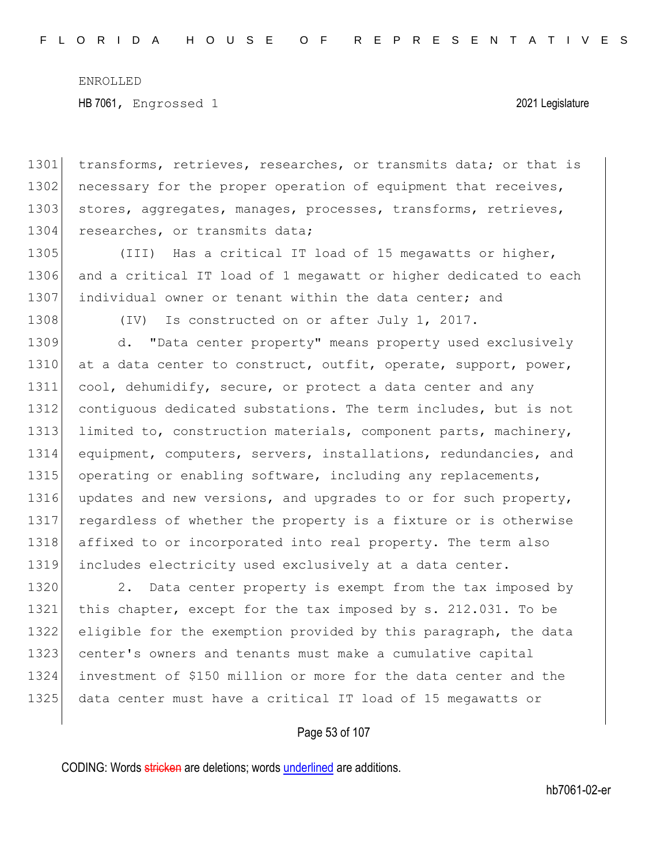1301 transforms, retrieves, researches, or transmits data; or that is 1302 necessary for the proper operation of equipment that receives, 1303 stores, aggregates, manages, processes, transforms, retrieves, 1304 researches, or transmits data;

1305 (III) Has a critical IT load of 15 megawatts or higher, 1306 and a critical IT load of 1 megawatt or higher dedicated to each 1307 individual owner or tenant within the data center; and

1308 (IV) Is constructed on or after July 1, 2017.

1309 d. "Data center property" means property used exclusively 1310 at a data center to construct, outfit, operate, support, power, 1311 cool, dehumidify, secure, or protect a data center and any 1312 contiguous dedicated substations. The term includes, but is not 1313 limited to, construction materials, component parts, machinery, 1314 equipment, computers, servers, installations, redundancies, and 1315 operating or enabling software, including any replacements, 1316 updates and new versions, and upgrades to or for such property, 1317 regardless of whether the property is a fixture or is otherwise 1318 affixed to or incorporated into real property. The term also 1319 includes electricity used exclusively at a data center.

1320 2. Data center property is exempt from the tax imposed by this chapter, except for the tax imposed by s. 212.031. To be eligible for the exemption provided by this paragraph, the data 1323 center's owners and tenants must make a cumulative capital investment of \$150 million or more for the data center and the data center must have a critical IT load of 15 megawatts or

#### Page 53 of 107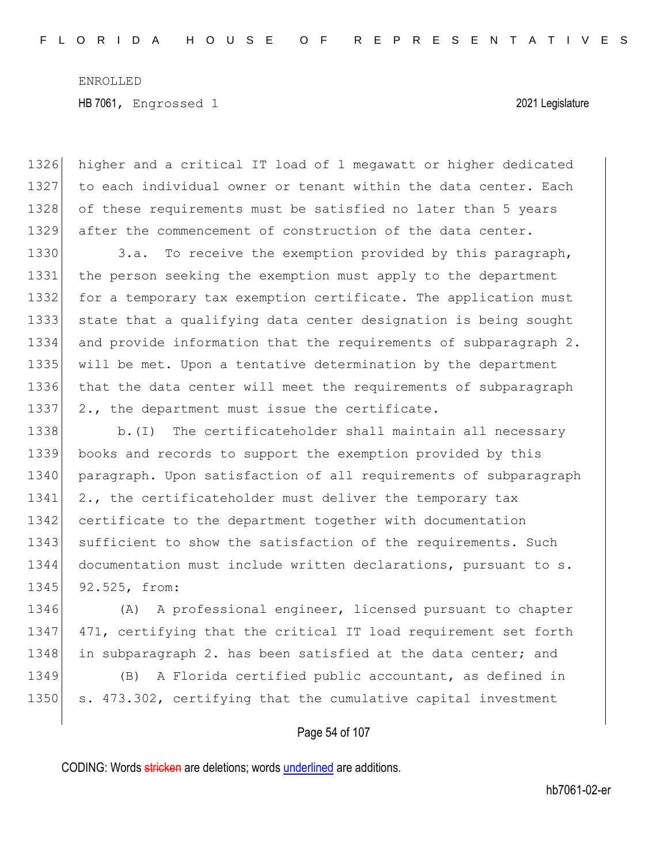1326 higher and a critical IT load of 1 megawatt or higher dedicated 1327 to each individual owner or tenant within the data center. Each 1328 of these requirements must be satisfied no later than 5 years 1329 after the commencement of construction of the data center.

1330 3.a. To receive the exemption provided by this paragraph, the person seeking the exemption must apply to the department 1332 for a temporary tax exemption certificate. The application must state that a qualifying data center designation is being sought and provide information that the requirements of subparagraph 2. will be met. Upon a tentative determination by the department that the data center will meet the requirements of subparagraph 1337 2., the department must issue the certificate.

1338 b.(I) The certificateholder shall maintain all necessary 1339 books and records to support the exemption provided by this 1340 paragraph. Upon satisfaction of all requirements of subparagraph 1341 2., the certificateholder must deliver the temporary tax 1342 certificate to the department together with documentation 1343 sufficient to show the satisfaction of the requirements. Such 1344 documentation must include written declarations, pursuant to s. 1345 92.525, from:

1346 (A) A professional engineer, licensed pursuant to chapter 1347 471, certifying that the critical IT load requirement set forth 1348 in subparagraph 2. has been satisfied at the data center; and

1349 (B) A Florida certified public accountant, as defined in 1350 s. 473.302, certifying that the cumulative capital investment

### Page 54 of 107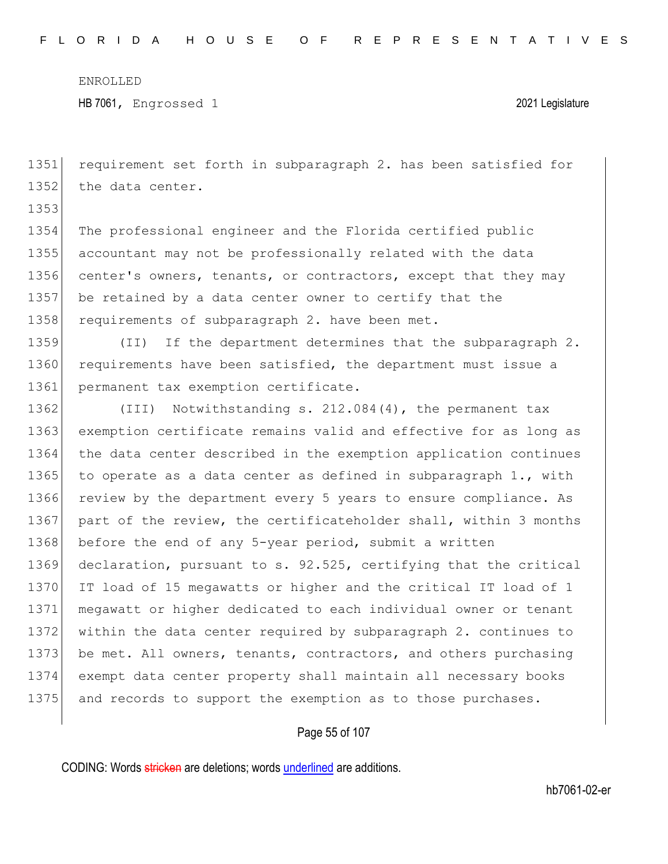HB 7061, Engrossed 1 2021 Legislature

1351 requirement set forth in subparagraph 2. has been satisfied for 1352 the data center.

1353

1354 The professional engineer and the Florida certified public 1355 accountant may not be professionally related with the data 1356 center's owners, tenants, or contractors, except that they may 1357 be retained by a data center owner to certify that the 1358 requirements of subparagraph 2. have been met.

1359 (II) If the department determines that the subparagraph 2. 1360 requirements have been satisfied, the department must issue a 1361 permanent tax exemption certificate.

1362 (III) Notwithstanding s. 212.084(4), the permanent tax 1363 exemption certificate remains valid and effective for as long as 1364 the data center described in the exemption application continues 1365 to operate as a data center as defined in subparagraph  $1.,$  with 1366 review by the department every 5 years to ensure compliance. As 1367 part of the review, the certificateholder shall, within 3 months 1368 before the end of any 5-year period, submit a written 1369 declaration, pursuant to s. 92.525, certifying that the critical 1370 IT load of 15 megawatts or higher and the critical IT load of 1 1371 megawatt or higher dedicated to each individual owner or tenant 1372 within the data center required by subparagraph 2. continues to 1373 be met. All owners, tenants, contractors, and others purchasing 1374 exempt data center property shall maintain all necessary books 1375 and records to support the exemption as to those purchases.

### Page 55 of 107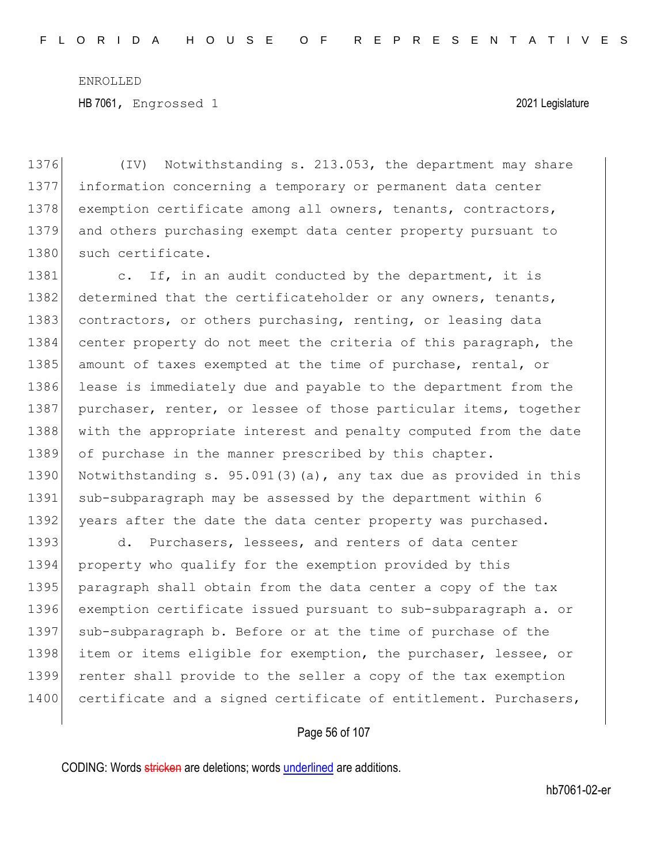HB 7061, Engrossed 1 2021 Legislature

1376 (IV) Notwithstanding s. 213.053, the department may share 1377 information concerning a temporary or permanent data center 1378 exemption certificate among all owners, tenants, contractors, 1379 and others purchasing exempt data center property pursuant to 1380 such certificate.

1381 c. If, in an audit conducted by the department, it is 1382 determined that the certificateholder or any owners, tenants, 1383 contractors, or others purchasing, renting, or leasing data 1384 center property do not meet the criteria of this paragraph, the 1385 amount of taxes exempted at the time of purchase, rental, or 1386 lease is immediately due and payable to the department from the 1387 purchaser, renter, or lessee of those particular items, together 1388 with the appropriate interest and penalty computed from the date 1389 of purchase in the manner prescribed by this chapter. 1390 Notwithstanding s. 95.091(3)(a), any tax due as provided in this 1391 sub-subparagraph may be assessed by the department within 6 1392 years after the date the data center property was purchased.

1393 d. Purchasers, lessees, and renters of data center 1394 property who qualify for the exemption provided by this 1395 paragraph shall obtain from the data center a copy of the tax 1396 exemption certificate issued pursuant to sub-subparagraph a. or 1397 sub-subparagraph b. Before or at the time of purchase of the 1398 item or items eligible for exemption, the purchaser, lessee, or 1399 renter shall provide to the seller a copy of the tax exemption 1400 certificate and a signed certificate of entitlement. Purchasers,

### Page 56 of 107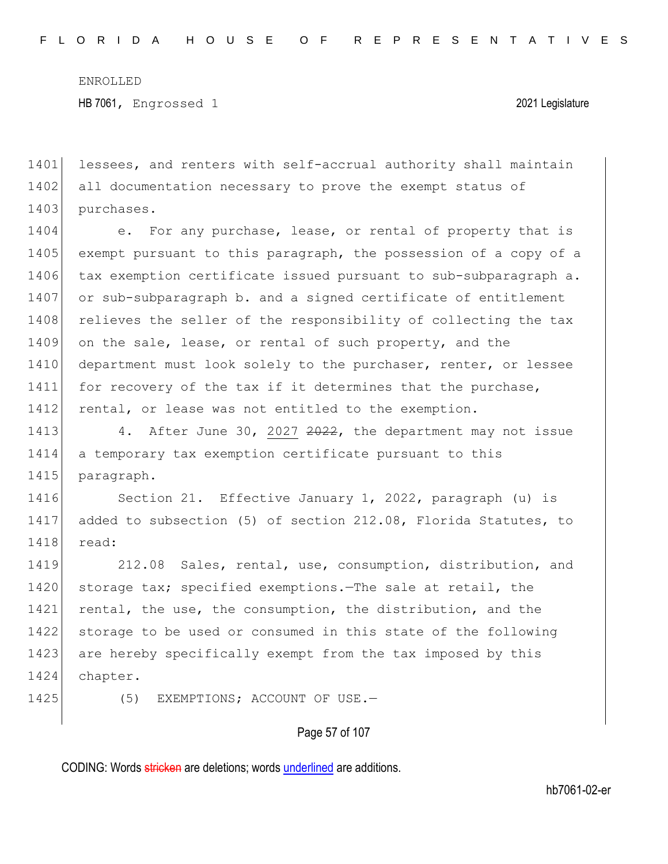1401 lessees, and renters with self-accrual authority shall maintain 1402 all documentation necessary to prove the exempt status of 1403 purchases.

1404 e. For any purchase, lease, or rental of property that is 1405 exempt pursuant to this paragraph, the possession of a copy of a 1406 tax exemption certificate issued pursuant to sub-subparagraph a. 1407 or sub-subparagraph b. and a signed certificate of entitlement 1408 relieves the seller of the responsibility of collecting the tax 1409 on the sale, lease, or rental of such property, and the 1410 department must look solely to the purchaser, renter, or lessee 1411 for recovery of the tax if it determines that the purchase, 1412 rental, or lease was not entitled to the exemption.

1413 4. After June 30, 2027 2022, the department may not issue 1414 a temporary tax exemption certificate pursuant to this 1415 paragraph.

1416 Section 21. Effective January 1, 2022, paragraph (u) is 1417 added to subsection (5) of section 212.08, Florida Statutes, to 1418 read:

1419 212.08 Sales, rental, use, consumption, distribution, and 1420 storage tax; specified exemptions.—The sale at retail, the 1421 rental, the use, the consumption, the distribution, and the 1422 storage to be used or consumed in this state of the following 1423 are hereby specifically exempt from the tax imposed by this 1424 chapter.

1425 (5) EXEMPTIONS; ACCOUNT OF USE.

#### Page 57 of 107

CODING: Words stricken are deletions; words underlined are additions.

hb7061-02-er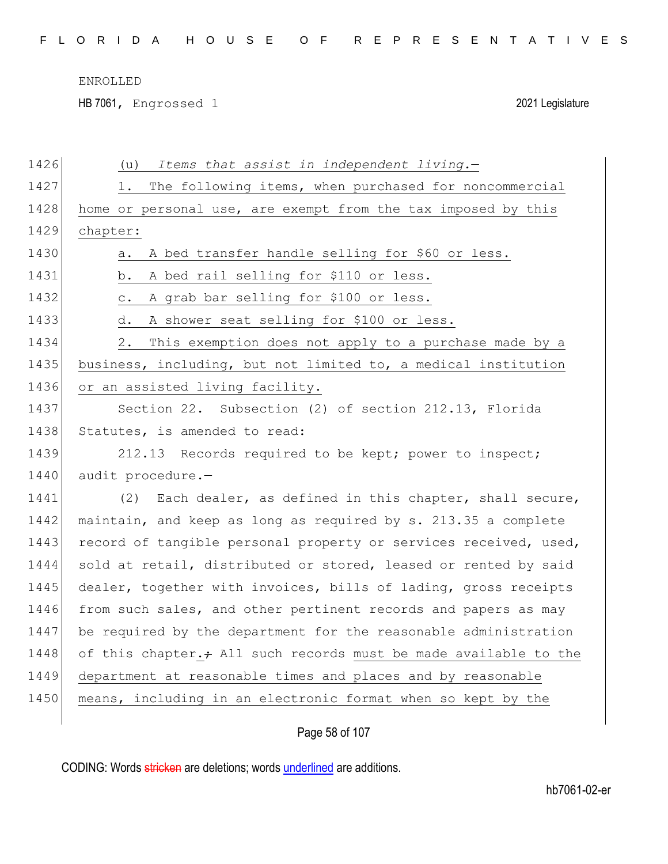HB 7061, Engrossed 1 2021 Legislature

| 1426 | Items that assist in independent living.-<br>(u)                 |
|------|------------------------------------------------------------------|
| 1427 | The following items, when purchased for noncommercial<br>1.      |
| 1428 | home or personal use, are exempt from the tax imposed by this    |
| 1429 | chapter:                                                         |
| 1430 | A bed transfer handle selling for \$60 or less.<br>a.            |
| 1431 | A bed rail selling for \$110 or less.<br>b.                      |
| 1432 | A grab bar selling for \$100 or less.<br>$\circ$ .               |
| 1433 | A shower seat selling for \$100 or less.<br>d.                   |
| 1434 | This exemption does not apply to a purchase made by a<br>2.      |
| 1435 | business, including, but not limited to, a medical institution   |
| 1436 | or an assisted living facility.                                  |
| 1437 | Section 22. Subsection (2) of section 212.13, Florida            |
| 1438 | Statutes, is amended to read:                                    |
| 1439 | 212.13 Records required to be kept; power to inspect;            |
| 1440 | audit procedure.-                                                |
| 1441 | Each dealer, as defined in this chapter, shall secure,<br>(2)    |
| 1442 | maintain, and keep as long as required by s. 213.35 a complete   |
| 1443 | record of tangible personal property or services received, used, |
| 1444 | sold at retail, distributed or stored, leased or rented by said  |
| 1445 | dealer, together with invoices, bills of lading, gross receipts  |
| 1446 | from such sales, and other pertinent records and papers as may   |
| 1447 | be required by the department for the reasonable administration  |
| 1448 | of this chapter.+ All such records must be made available to the |
| 1449 | department at reasonable times and places and by reasonable      |
| 1450 | means, including in an electronic format when so kept by the     |
|      |                                                                  |

Page 58 of 107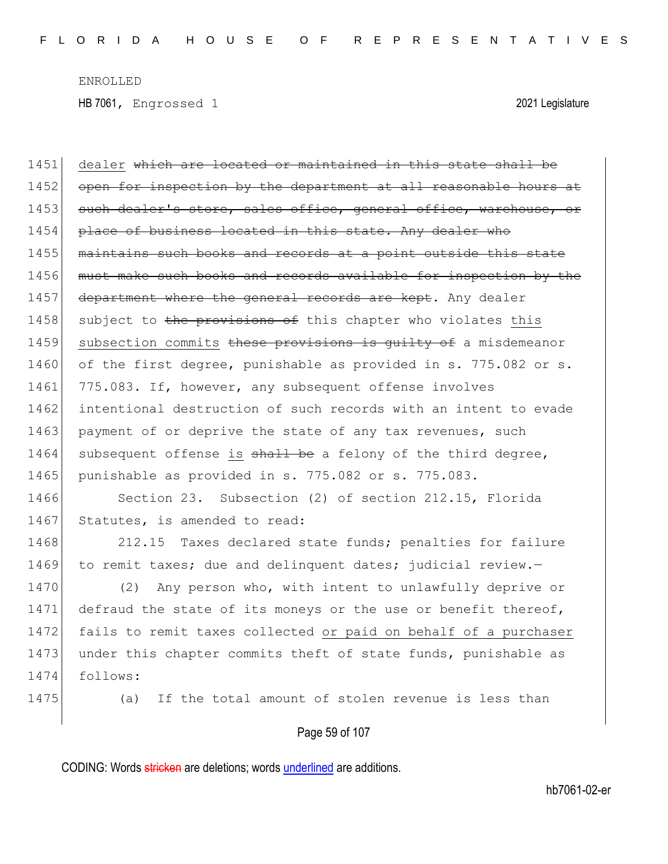1451 dealer which are located or maintained in this state shall be 1452 open for inspection by the department at all reasonable hours at 1453 such dealer's store, sales office, general office, warehouse, or 1454 place of business located in this state. Any dealer who 1455 | maintains such books and records at a point outside this state 1456 must make such books and records available for inspection by the 1457 department where the general records are kept. Any dealer 1458 subject to the provisions of this chapter who violates this 1459 subsection commits these provisions is quilty of a misdemeanor 1460 of the first degree, punishable as provided in s. 775.082 or s. 1461 775.083. If, however, any subsequent offense involves 1462 intentional destruction of such records with an intent to evade 1463 payment of or deprive the state of any tax revenues, such 1464 subsequent offense is shall be a felony of the third degree, 1465 punishable as provided in s. 775.082 or s. 775.083. 1466 Section 23. Subsection (2) of section 212.15, Florida 1467 Statutes, is amended to read: 1468 212.15 Taxes declared state funds; penalties for failure 1469 to remit taxes; due and delinquent dates; judicial review.-1470 (2) Any person who, with intent to unlawfully deprive or 1471 defraud the state of its moneys or the use or benefit thereof, 1472 fails to remit taxes collected or paid on behalf of a purchaser 1473 under this chapter commits theft of state funds, punishable as 1474 follows: 1475 (a) If the total amount of stolen revenue is less than

## Page 59 of 107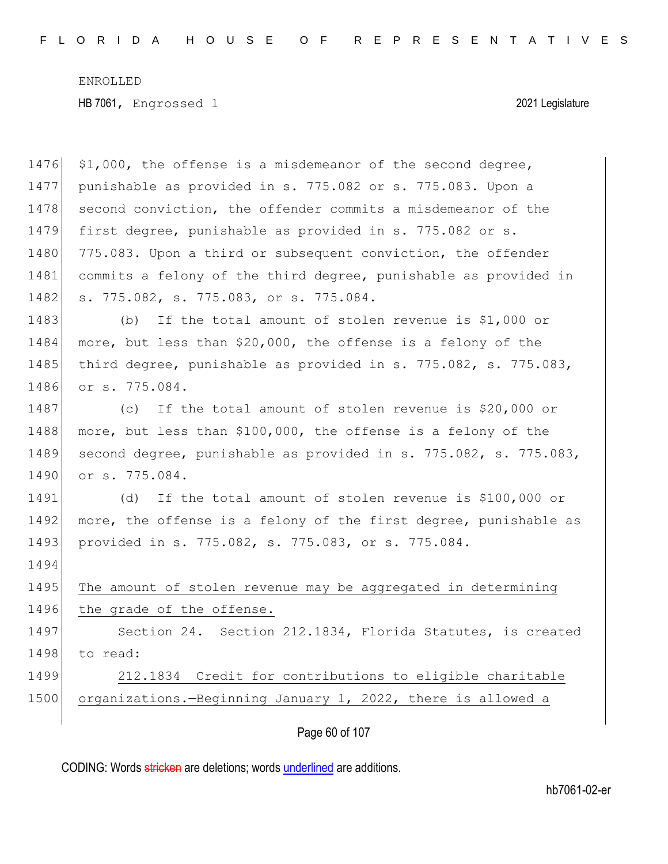| 1476 | \$1,000, the offense is a misdemeanor of the second degree,      |
|------|------------------------------------------------------------------|
| 1477 | punishable as provided in s. 775.082 or s. 775.083. Upon a       |
| 1478 | second conviction, the offender commits a misdemeanor of the     |
| 1479 | first degree, punishable as provided in s. 775.082 or s.         |
| 1480 | 775.083. Upon a third or subsequent conviction, the offender     |
| 1481 | commits a felony of the third degree, punishable as provided in  |
| 1482 | s. 775.082, s. 775.083, or s. 775.084.                           |
| 1483 | If the total amount of stolen revenue is \$1,000 or<br>(b)       |
| 1484 | more, but less than \$20,000, the offense is a felony of the     |
| 1485 | third degree, punishable as provided in s. 775.082, s. 775.083,  |
| 1486 | or s. 775.084.                                                   |
| 1487 | If the total amount of stolen revenue is \$20,000 or<br>(C)      |
| 1488 | more, but less than \$100,000, the offense is a felony of the    |
| 1489 | second degree, punishable as provided in s. 775.082, s. 775.083, |
| 1490 | or s. 775.084.                                                   |
| 1491 | If the total amount of stolen revenue is \$100,000 or<br>(d)     |
| 1492 | more, the offense is a felony of the first degree, punishable as |
| 1493 | provided in s. 775.082, s. 775.083, or s. 775.084.               |
| 1494 |                                                                  |
| 1495 | The amount of stolen revenue may be aggregated in determining    |
| 1496 | the grade of the offense.                                        |
| 1497 | Section 24. Section 212.1834, Florida Statutes, is created       |
| 1498 | to read:                                                         |
| 1499 | 212.1834 Credit for contributions to eligible charitable         |
| 1500 | organizations.-Beginning January 1, 2022, there is allowed a     |
|      |                                                                  |

Page 60 of 107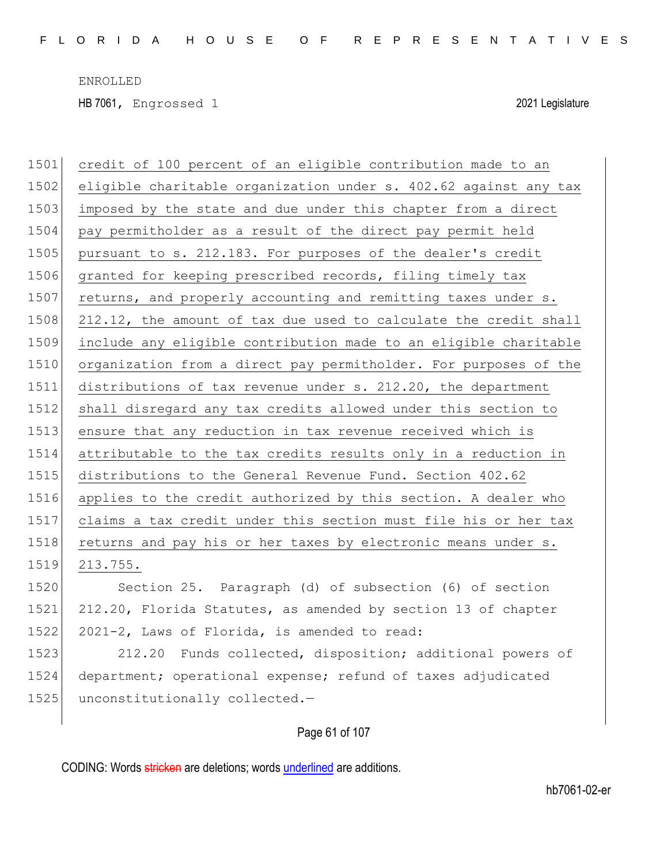| 1501 | credit of 100 percent of an eligible contribution made to an     |
|------|------------------------------------------------------------------|
| 1502 | eligible charitable organization under s. 402.62 against any tax |
| 1503 | imposed by the state and due under this chapter from a direct    |
| 1504 | pay permitholder as a result of the direct pay permit held       |
| 1505 | pursuant to s. 212.183. For purposes of the dealer's credit      |
| 1506 | granted for keeping prescribed records, filing timely tax        |
| 1507 | returns, and properly accounting and remitting taxes under s.    |
| 1508 | 212.12, the amount of tax due used to calculate the credit shall |
| 1509 | include any eligible contribution made to an eligible charitable |
| 1510 | organization from a direct pay permitholder. For purposes of the |
| 1511 | distributions of tax revenue under s. 212.20, the department     |
| 1512 | shall disregard any tax credits allowed under this section to    |
| 1513 | ensure that any reduction in tax revenue received which is       |
| 1514 | attributable to the tax credits results only in a reduction in   |
| 1515 | distributions to the General Revenue Fund. Section 402.62        |
| 1516 | applies to the credit authorized by this section. A dealer who   |
| 1517 | claims a tax credit under this section must file his or her tax  |
| 1518 | returns and pay his or her taxes by electronic means under s.    |
| 1519 | 213.755.                                                         |
| 1520 | Section 25. Paragraph (d) of subsection (6) of section           |
| 1521 | 212.20, Florida Statutes, as amended by section 13 of chapter    |
| 1522 | 2021-2, Laws of Florida, is amended to read:                     |
| 1523 | 212.20 Funds collected, disposition; additional powers of        |
| 1524 | department; operational expense; refund of taxes adjudicated     |
| 1525 | unconstitutionally collected.-                                   |
|      |                                                                  |

# Page 61 of 107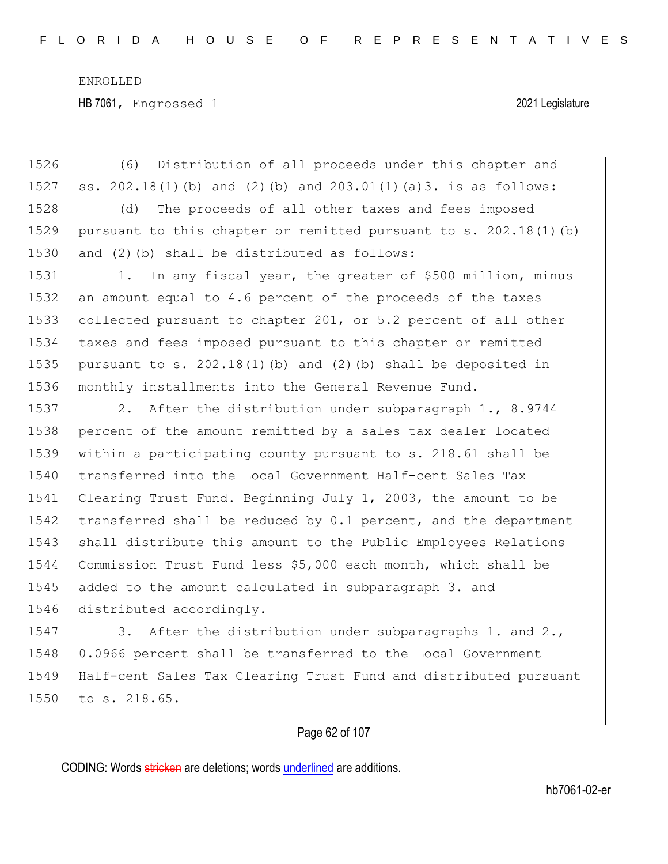1526 (6) Distribution of all proceeds under this chapter and 1527 ss. 202.18(1)(b) and (2)(b) and 203.01(1)(a)3. is as follows: 1528 (d) The proceeds of all other taxes and fees imposed 1529 pursuant to this chapter or remitted pursuant to s. 202.18(1)(b)  $1530$  and (2)(b) shall be distributed as follows: 1531 1. In any fiscal year, the greater of \$500 million, minus 1532 an amount equal to 4.6 percent of the proceeds of the taxes 1533 collected pursuant to chapter 201, or 5.2 percent of all other 1534 taxes and fees imposed pursuant to this chapter or remitted 1535 pursuant to s.  $202.18(1)$  (b) and (2)(b) shall be deposited in 1536 monthly installments into the General Revenue Fund. 1537 2. After the distribution under subparagraph 1., 8.9744 1538 percent of the amount remitted by a sales tax dealer located 1539 within a participating county pursuant to s. 218.61 shall be 1540 transferred into the Local Government Half-cent Sales Tax 1541 Clearing Trust Fund. Beginning July 1, 2003, the amount to be 1542 transferred shall be reduced by 0.1 percent, and the department 1543 shall distribute this amount to the Public Employees Relations 1544 Commission Trust Fund less \$5,000 each month, which shall be 1545 added to the amount calculated in subparagraph 3. and 1546 distributed accordingly. 1547 3. After the distribution under subparagraphs 1. and 2., 1548 0.0966 percent shall be transferred to the Local Government 1549 Half-cent Sales Tax Clearing Trust Fund and distributed pursuant

#### Page 62 of 107

CODING: Words stricken are deletions; words underlined are additions.

1550 to s. 218.65.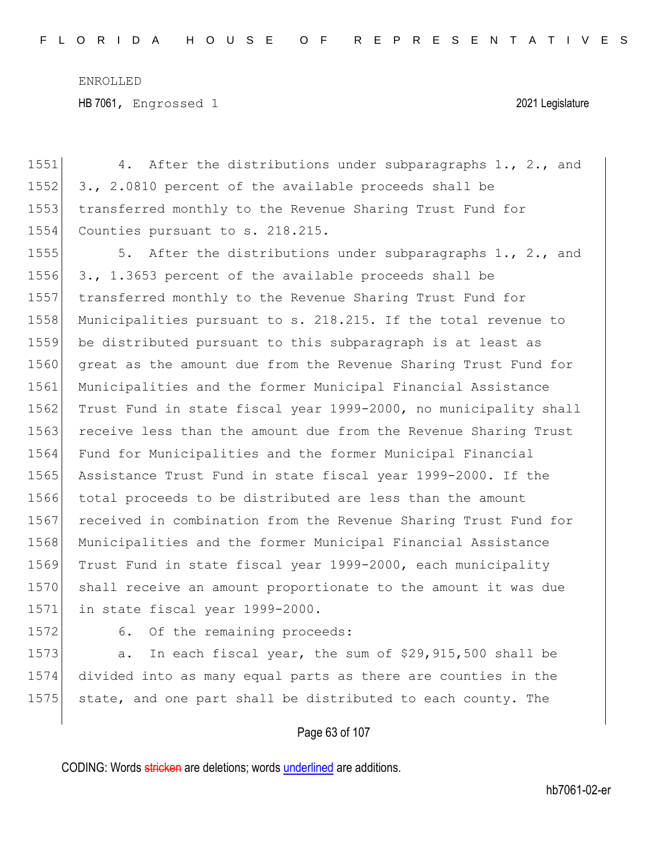1551 4. After the distributions under subparagraphs 1., 2., and 1552 3., 2.0810 percent of the available proceeds shall be 1553 transferred monthly to the Revenue Sharing Trust Fund for 1554 Counties pursuant to s. 218.215. 1555 5. After the distributions under subparagraphs 1., 2., and 1556 3., 1.3653 percent of the available proceeds shall be 1557 transferred monthly to the Revenue Sharing Trust Fund for 1558 Municipalities pursuant to s. 218.215. If the total revenue to 1559 be distributed pursuant to this subparagraph is at least as 1560 great as the amount due from the Revenue Sharing Trust Fund for 1561 Municipalities and the former Municipal Financial Assistance 1562 Trust Fund in state fiscal year 1999-2000, no municipality shall 1563 receive less than the amount due from the Revenue Sharing Trust 1564 Fund for Municipalities and the former Municipal Financial 1565 Assistance Trust Fund in state fiscal year 1999-2000. If the 1566 total proceeds to be distributed are less than the amount 1567 received in combination from the Revenue Sharing Trust Fund for 1568 Municipalities and the former Municipal Financial Assistance 1569 Trust Fund in state fiscal year 1999-2000, each municipality 1570 shall receive an amount proportionate to the amount it was due 1571 in state fiscal year 1999-2000.

1572 6. Of the remaining proceeds:

1573 a. In each fiscal year, the sum of \$29,915,500 shall be 1574 divided into as many equal parts as there are counties in the 1575 state, and one part shall be distributed to each county. The

### Page 63 of 107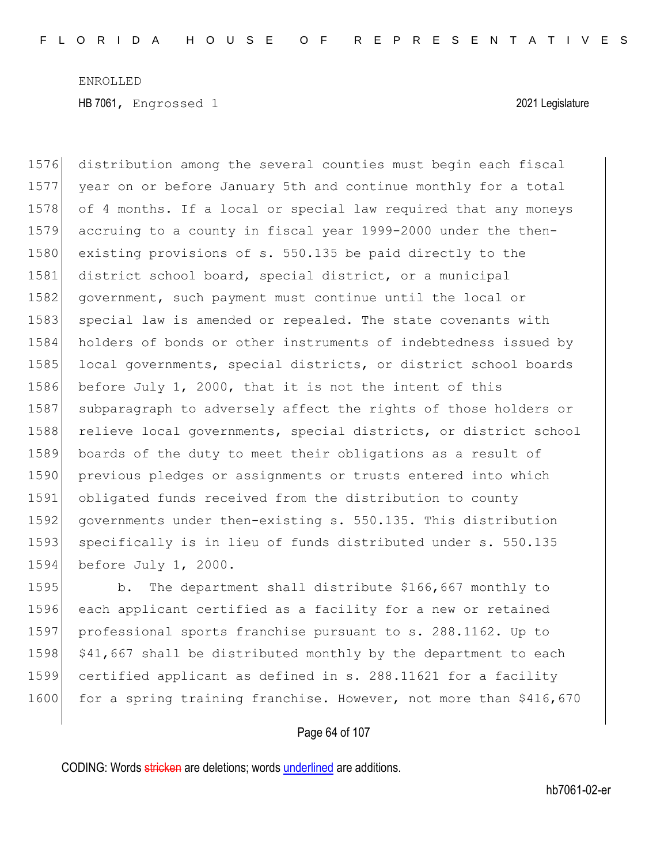1576 distribution among the several counties must begin each fiscal 1577 year on or before January 5th and continue monthly for a total 1578 of 4 months. If a local or special law required that any moneys 1579 accruing to a county in fiscal year 1999-2000 under the then-1580 existing provisions of s. 550.135 be paid directly to the 1581 district school board, special district, or a municipal 1582 government, such payment must continue until the local or 1583 special law is amended or repealed. The state covenants with 1584 holders of bonds or other instruments of indebtedness issued by 1585 local governments, special districts, or district school boards 1586 before July 1, 2000, that it is not the intent of this 1587 subparagraph to adversely affect the rights of those holders or 1588 relieve local governments, special districts, or district school 1589 boards of the duty to meet their obligations as a result of 1590 previous pledges or assignments or trusts entered into which 1591 obligated funds received from the distribution to county 1592 governments under then-existing s. 550.135. This distribution 1593 specifically is in lieu of funds distributed under s. 550.135 1594 before July 1, 2000.

1595 b. The department shall distribute \$166,667 monthly to each applicant certified as a facility for a new or retained professional sports franchise pursuant to s. 288.1162. Up to  $\mid$  \$41,667 shall be distributed monthly by the department to each certified applicant as defined in s. 288.11621 for a facility 1600 for a spring training franchise. However, not more than \$416,670

### Page 64 of 107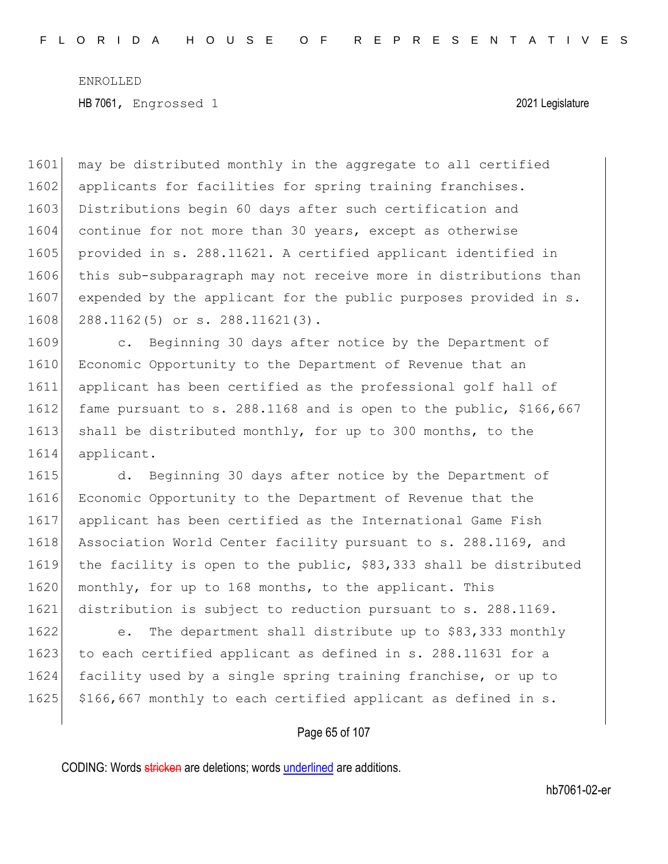1601 may be distributed monthly in the aggregate to all certified 1602 applicants for facilities for spring training franchises. 1603 Distributions begin 60 days after such certification and 1604 continue for not more than 30 years, except as otherwise 1605 provided in s. 288.11621. A certified applicant identified in 1606 this sub-subparagraph may not receive more in distributions than 1607 expended by the applicant for the public purposes provided in s. 1608 288.1162(5) or s. 288.11621(3).

1609 c. Beginning 30 days after notice by the Department of 1610 Economic Opportunity to the Department of Revenue that an 1611 applicant has been certified as the professional golf hall of 1612 fame pursuant to s. 288.1168 and is open to the public, \$166,667 1613 shall be distributed monthly, for up to 300 months, to the 1614 applicant.

1615 d. Beginning 30 days after notice by the Department of 1616 Economic Opportunity to the Department of Revenue that the 1617 applicant has been certified as the International Game Fish 1618 Association World Center facility pursuant to s. 288.1169, and 1619 the facility is open to the public, \$83,333 shall be distributed 1620 monthly, for up to 168 months, to the applicant. This 1621 distribution is subject to reduction pursuant to s. 288.1169.

1622 e. The department shall distribute up to \$83,333 monthly 1623 to each certified applicant as defined in s. 288.11631 for a 1624 facility used by a single spring training franchise, or up to 1625 \$166,667 monthly to each certified applicant as defined in s.

## Page 65 of 107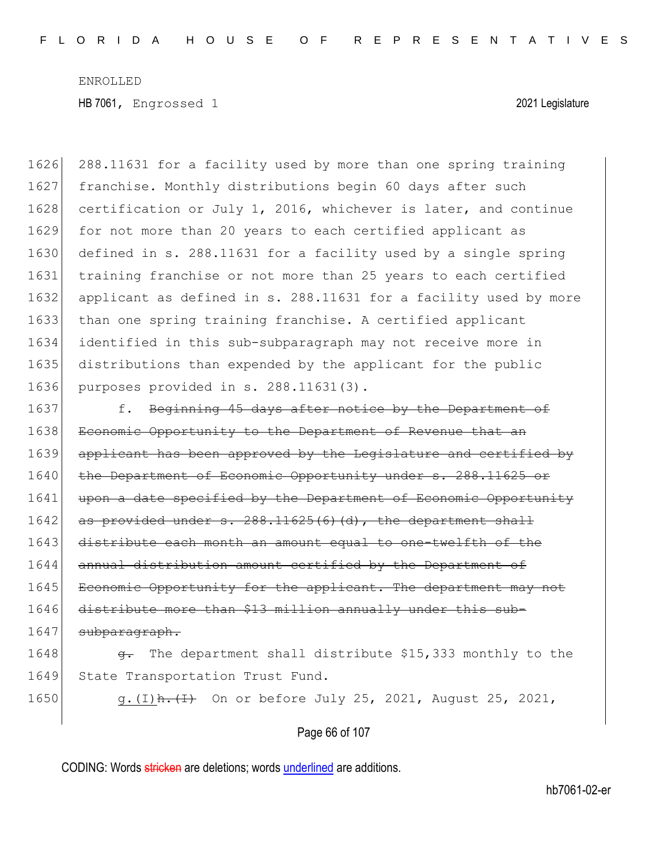1626 288.11631 for a facility used by more than one spring training 1627 franchise. Monthly distributions begin 60 days after such 1628 certification or July 1, 2016, whichever is later, and continue 1629 for not more than 20 years to each certified applicant as 1630 defined in s. 288.11631 for a facility used by a single spring 1631 training franchise or not more than 25 years to each certified 1632 applicant as defined in s. 288.11631 for a facility used by more 1633 than one spring training franchise. A certified applicant 1634 identified in this sub-subparagraph may not receive more in 1635 distributions than expended by the applicant for the public 1636 purposes provided in s. 288.11631(3). 1637 f. Beginning 45 days after notice by the Department of 1638 Economic Opportunity to the Department of Revenue that an 1639 applicant has been approved by the Legislature and certified by 1640 the Department of Economic Opportunity under s. 288.11625 or 1641 upon a date specified by the Department of Economic Opportunity 1642  $\vert$  as provided under s. 288.11625(6)(d), the department shall 1643 distribute each month an amount equal to one-twelfth of the 1644 annual distribution amount certified by the Department of 1645 Economic Opportunity for the applicant. The department may not 1646 distribute more than \$13 million annually under this sub-1647 subparagraph. 1648  $\leftarrow$  The department shall distribute \$15,333 monthly to the 1649 State Transportation Trust Fund. 1650 g.(I)  $h \cdot (I)$  On or before July 25, 2021, August 25, 2021,

Page 66 of 107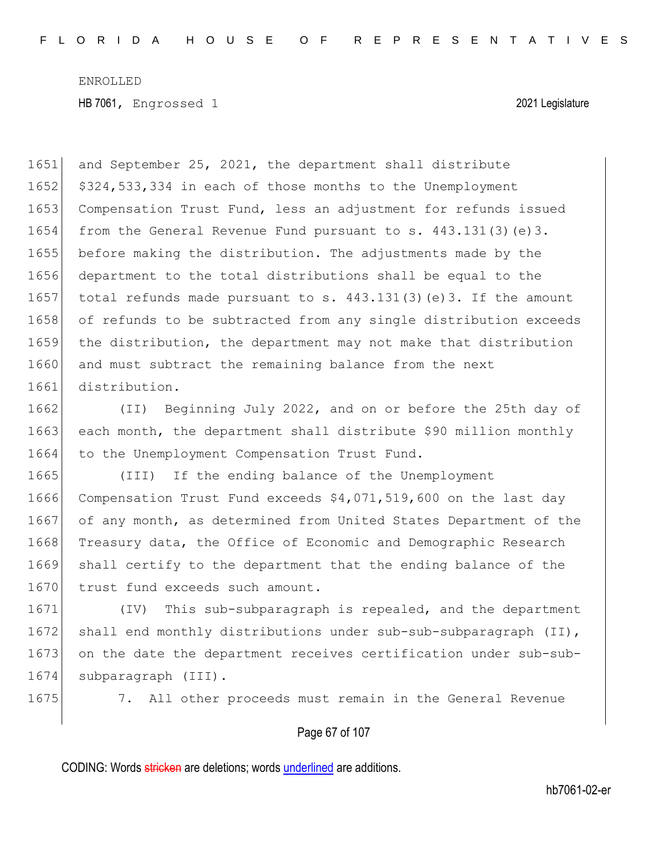1651 and September 25, 2021, the department shall distribute 1652 \$324,533,334 in each of those months to the Unemployment 1653 Compensation Trust Fund, less an adjustment for refunds issued 1654 from the General Revenue Fund pursuant to s. 443.131(3)(e)3. 1655 before making the distribution. The adjustments made by the 1656 department to the total distributions shall be equal to the 1657 total refunds made pursuant to s.  $443.131(3)$  (e)3. If the amount 1658 of refunds to be subtracted from any single distribution exceeds 1659 the distribution, the department may not make that distribution 1660 and must subtract the remaining balance from the next 1661 distribution.

1662 (II) Beginning July 2022, and on or before the 25th day of 1663 each month, the department shall distribute \$90 million monthly 1664 to the Unemployment Compensation Trust Fund.

1665 (III) If the ending balance of the Unemployment 1666 Compensation Trust Fund exceeds \$4,071,519,600 on the last day 1667 of any month, as determined from United States Department of the 1668 Treasury data, the Office of Economic and Demographic Research 1669 shall certify to the department that the ending balance of the 1670 trust fund exceeds such amount.

1671 (IV) This sub-subparagraph is repealed, and the department 1672 shall end monthly distributions under sub-sub-subparagraph (II), 1673 on the date the department receives certification under sub-sub-1674 subparagraph (III).

1675 7. All other proceeds must remain in the General Revenue

### Page 67 of 107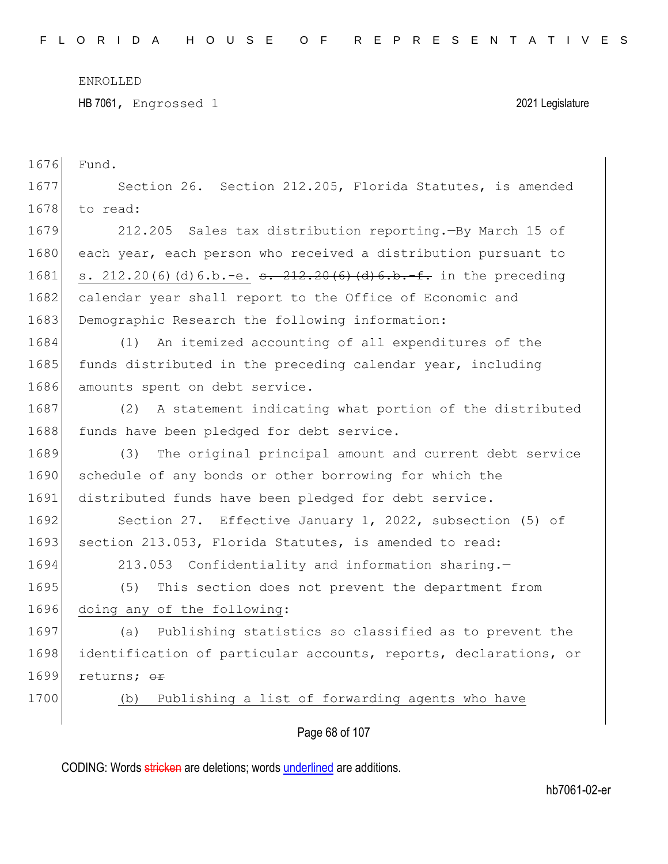HB 7061, Engrossed 1 2021 Legislature

| 1676 | Fund.                                                            |
|------|------------------------------------------------------------------|
| 1677 | Section 26. Section 212.205, Florida Statutes, is amended        |
| 1678 | to read:                                                         |
| 1679 | 212.205 Sales tax distribution reporting. -By March 15 of        |
| 1680 | each year, each person who received a distribution pursuant to   |
| 1681 | s. $212.20(6)(d)6.b.-e. s. 212.20(6)(d)6.b.-f. in the preceding$ |
| 1682 | calendar year shall report to the Office of Economic and         |
| 1683 | Demographic Research the following information:                  |
| 1684 | An itemized accounting of all expenditures of the<br>(1)         |
| 1685 | funds distributed in the preceding calendar year, including      |
| 1686 | amounts spent on debt service.                                   |
| 1687 | A statement indicating what portion of the distributed<br>(2)    |
| 1688 | funds have been pledged for debt service.                        |
| 1689 | The original principal amount and current debt service<br>(3)    |
| 1690 | schedule of any bonds or other borrowing for which the           |
| 1691 | distributed funds have been pledged for debt service.            |
| 1692 | Section 27. Effective January 1, 2022, subsection (5) of         |
| 1693 | section 213.053, Florida Statutes, is amended to read:           |
| 1694 | 213.053 Confidentiality and information sharing.-                |
| 1695 | This section does not prevent the department from<br>(5)         |
| 1696 | doing any of the following:                                      |
| 1697 | (a) Publishing statistics so classified as to prevent the        |
| 1698 | identification of particular accounts, reports, declarations, or |
| 1699 | returns; or                                                      |
| 1700 | Publishing a list of forwarding agents who have<br>(b)           |
|      | Page 68 of 107                                                   |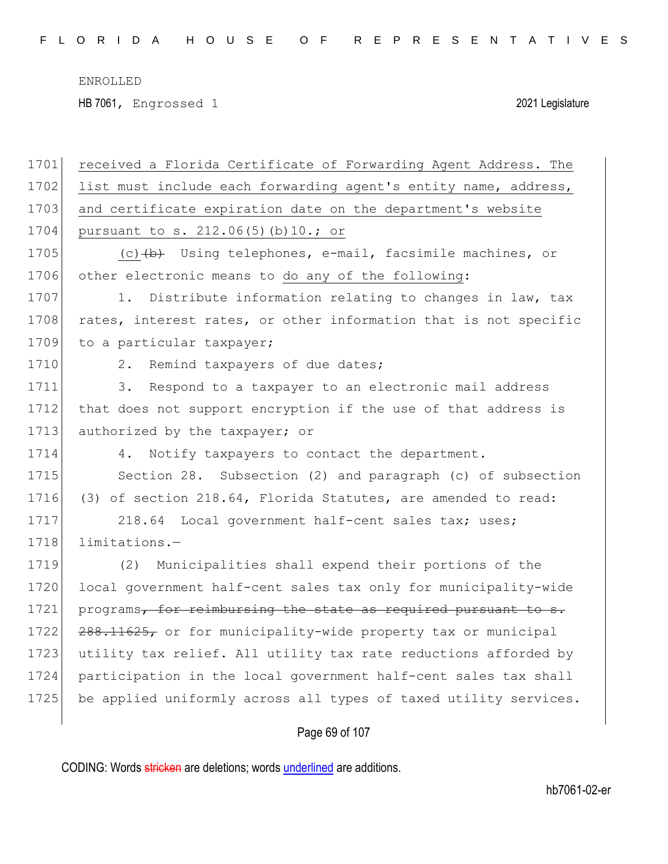HB 7061, Engrossed 1 2021 Legislature

| 1701 | received a Florida Certificate of Forwarding Agent Address. The  |
|------|------------------------------------------------------------------|
| 1702 | list must include each forwarding agent's entity name, address,  |
| 1703 | and certificate expiration date on the department's website      |
| 1704 | pursuant to s. 212.06(5)(b)10.; or                               |
| 1705 | (c) $(b)$ Using telephones, e-mail, facsimile machines, or       |
| 1706 | other electronic means to do any of the following:               |
| 1707 | Distribute information relating to changes in law, tax<br>1.     |
| 1708 | rates, interest rates, or other information that is not specific |
| 1709 | to a particular taxpayer;                                        |
| 1710 | Remind taxpayers of due dates;<br>2.                             |
| 1711 | 3.<br>Respond to a taxpayer to an electronic mail address        |
| 1712 | that does not support encryption if the use of that address is   |
| 1713 | authorized by the taxpayer; or                                   |
| 1714 | Notify taxpayers to contact the department.<br>4.                |
| 1715 | Section 28. Subsection (2) and paragraph (c) of subsection       |
| 1716 | (3) of section 218.64, Florida Statutes, are amended to read:    |
| 1717 | 218.64 Local government half-cent sales tax; uses;               |
| 1718 | limitations.-                                                    |
| 1719 | (2)<br>Municipalities shall expend their portions of the         |
| 1720 | local government half-cent sales tax only for municipality-wide  |
| 1721 | programs, for reimbursing the state as required pursuant to s.   |
| 1722 | 288.11625, or for municipality-wide property tax or municipal    |
| 1723 | utility tax relief. All utility tax rate reductions afforded by  |
| 1724 | participation in the local government half-cent sales tax shall  |
| 1725 | be applied uniformly across all types of taxed utility services. |
|      |                                                                  |

# Page 69 of 107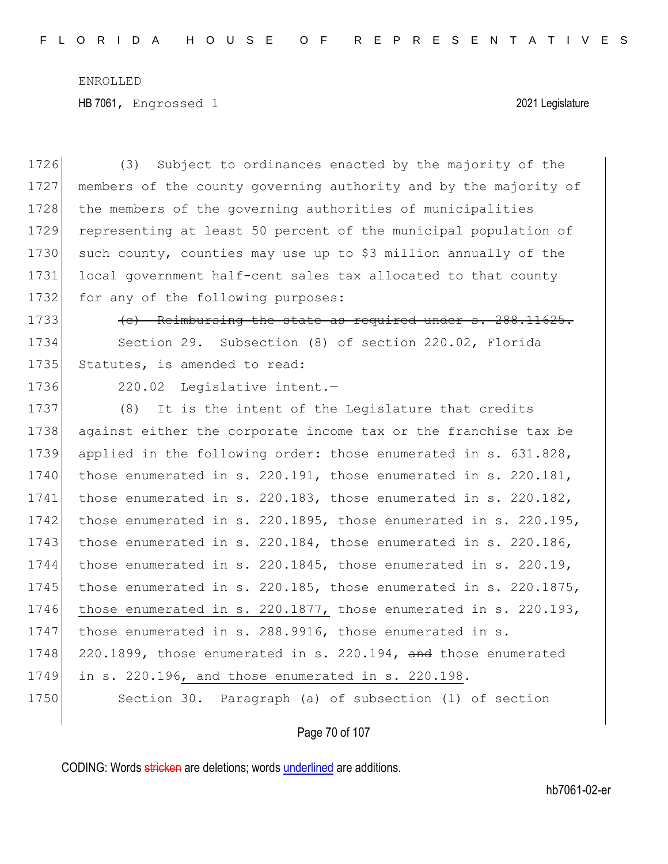HB 7061, Engrossed 1 2021 Legislature

1726 (3) Subject to ordinances enacted by the majority of the 1727 members of the county governing authority and by the majority of 1728 the members of the governing authorities of municipalities 1729 representing at least 50 percent of the municipal population of 1730 such county, counties may use up to \$3 million annually of the 1731 local government half-cent sales tax allocated to that county 1732 for any of the following purposes: 1733 **(c)** Reimbursing the state as required under s. 288.11625. 1734 Section 29. Subsection (8) of section 220.02, Florida 1735 Statutes, is amended to read: 1736 220.02 Legislative intent. 1737 (8) It is the intent of the Legislature that credits 1738 against either the corporate income tax or the franchise tax be 1739 applied in the following order: those enumerated in s. 631.828, 1740 those enumerated in s. 220.191, those enumerated in s. 220.181, 1741 those enumerated in s. 220.183, those enumerated in s. 220.182, 1742 those enumerated in s. 220.1895, those enumerated in s. 220.195, 1743 those enumerated in s. 220.184, those enumerated in s. 220.186, 1744 those enumerated in s. 220.1845, those enumerated in s. 220.19, 1745 those enumerated in s. 220.185, those enumerated in s. 220.1875, 1746 those enumerated in s. 220.1877, those enumerated in s. 220.193, 1747 those enumerated in s. 288.9916, those enumerated in s. 1748 220.1899, those enumerated in s. 220.194,  $\overline{and}$  those enumerated 1749 in s. 220.196, and those enumerated in s. 220.198. 1750 Section 30. Paragraph (a) of subsection (1) of section

Page 70 of 107

CODING: Words stricken are deletions; words underlined are additions.

hb7061-02-er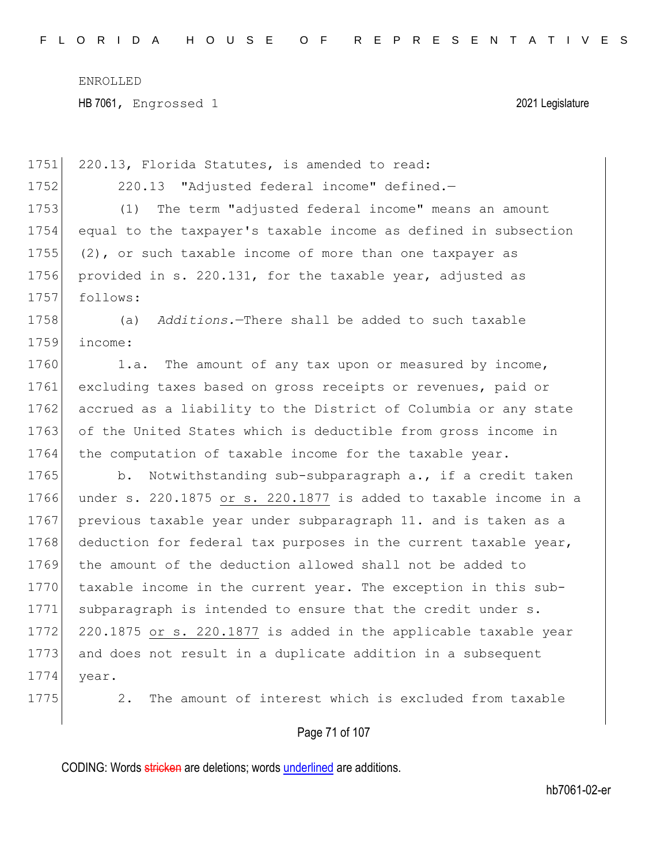1751 220.13, Florida Statutes, is amended to read: 1752 220.13 "Adjusted federal income" defined.— 1753 (1) The term "adjusted federal income" means an amount 1754 equal to the taxpayer's taxable income as defined in subsection 1755  $(2)$ , or such taxable income of more than one taxpayer as 1756 provided in s. 220.131, for the taxable year, adjusted as 1757 follows: 1758 (a) *Additions.*—There shall be added to such taxable 1759 income: 1760 1.a. The amount of any tax upon or measured by income, 1761 excluding taxes based on gross receipts or revenues, paid or 1762 accrued as a liability to the District of Columbia or any state 1763 of the United States which is deductible from gross income in 1764 the computation of taxable income for the taxable year. 1765 b. Notwithstanding sub-subparagraph a., if a credit taken 1766 under s. 220.1875 or s. 220.1877 is added to taxable income in a 1767 previous taxable year under subparagraph 11. and is taken as a 1768 deduction for federal tax purposes in the current taxable year, 1769 the amount of the deduction allowed shall not be added to 1770 taxable income in the current year. The exception in this sub-1771 subparagraph is intended to ensure that the credit under s. 1772 220.1875 or s. 220.1877 is added in the applicable taxable year 1773 and does not result in a duplicate addition in a subsequent 1774 year. 1775 2. The amount of interest which is excluded from taxable

## Page 71 of 107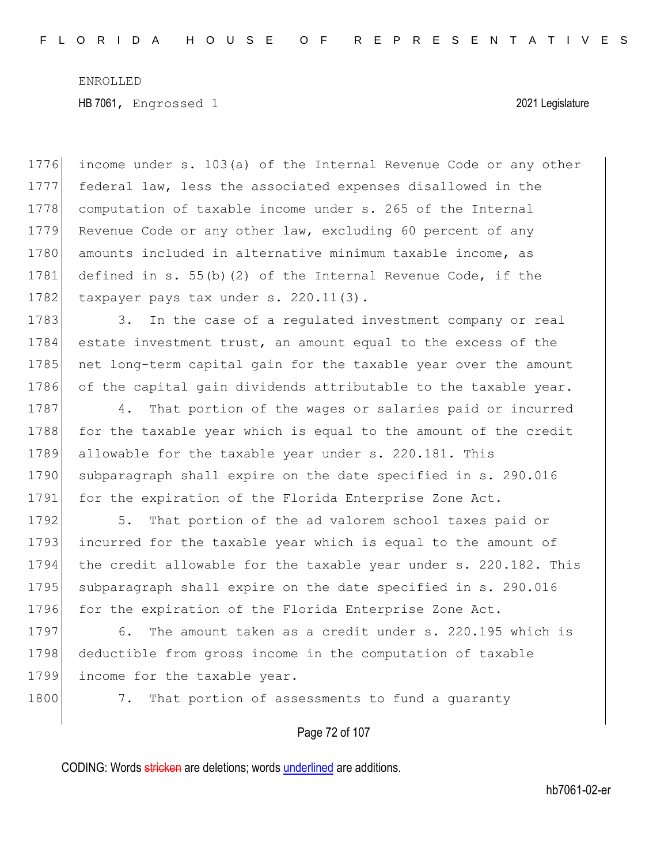1776 income under s. 103(a) of the Internal Revenue Code or any other 1777 federal law, less the associated expenses disallowed in the 1778 computation of taxable income under s. 265 of the Internal 1779 Revenue Code or any other law, excluding 60 percent of any 1780 amounts included in alternative minimum taxable income, as 1781 defined in s. 55(b)(2) of the Internal Revenue Code, if the 1782 taxpayer pays tax under s. 220.11(3).

1783 3. In the case of a regulated investment company or real 1784 estate investment trust, an amount equal to the excess of the 1785 net long-term capital gain for the taxable year over the amount 1786 of the capital gain dividends attributable to the taxable year.

1787 4. That portion of the wages or salaries paid or incurred 1788 for the taxable year which is equal to the amount of the credit 1789 allowable for the taxable year under s. 220.181. This 1790 subparagraph shall expire on the date specified in s. 290.016 1791 for the expiration of the Florida Enterprise Zone Act.

1792 5. That portion of the ad valorem school taxes paid or 1793 incurred for the taxable year which is equal to the amount of 1794 the credit allowable for the taxable year under s. 220.182. This 1795 subparagraph shall expire on the date specified in s. 290.016 1796 for the expiration of the Florida Enterprise Zone Act.

1797 6. The amount taken as a credit under s. 220.195 which is 1798 deductible from gross income in the computation of taxable 1799 income for the taxable year.

1800 7. That portion of assessments to fund a quaranty

Page 72 of 107

CODING: Words stricken are deletions; words underlined are additions.

hb7061-02-er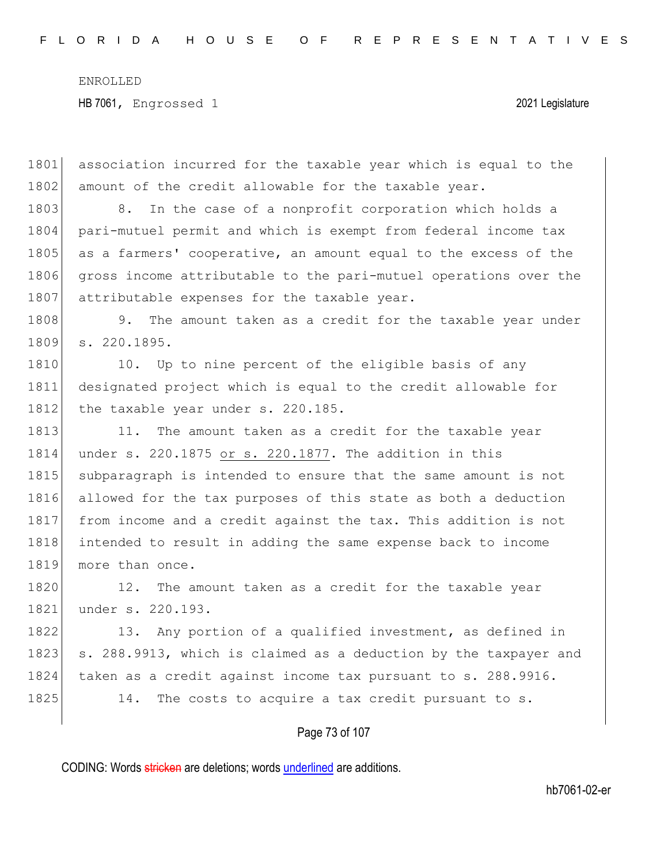1801 association incurred for the taxable year which is equal to the 1802 amount of the credit allowable for the taxable year. 1803 8. In the case of a nonprofit corporation which holds a 1804 pari-mutuel permit and which is exempt from federal income tax 1805 as a farmers' cooperative, an amount equal to the excess of the 1806 gross income attributable to the pari-mutuel operations over the 1807 attributable expenses for the taxable year. 1808 9. The amount taken as a credit for the taxable year under 1809 s. 220.1895. 1810 10. Up to nine percent of the eligible basis of any 1811 designated project which is equal to the credit allowable for 1812 the taxable year under s. 220.185. 1813 11. The amount taken as a credit for the taxable year 1814 under s. 220.1875 or s. 220.1877. The addition in this 1815 subparagraph is intended to ensure that the same amount is not 1816 allowed for the tax purposes of this state as both a deduction 1817 from income and a credit against the tax. This addition is not 1818 intended to result in adding the same expense back to income 1819 more than once. 1820 12. The amount taken as a credit for the taxable year 1821 under s. 220.193. 1822 13. Any portion of a qualified investment, as defined in 1823 s. 288.9913, which is claimed as a deduction by the taxpayer and 1824 taken as a credit against income tax pursuant to s. 288.9916. 1825 14. The costs to acquire a tax credit pursuant to s.

## Page 73 of 107

CODING: Words stricken are deletions; words underlined are additions.

hb7061-02-er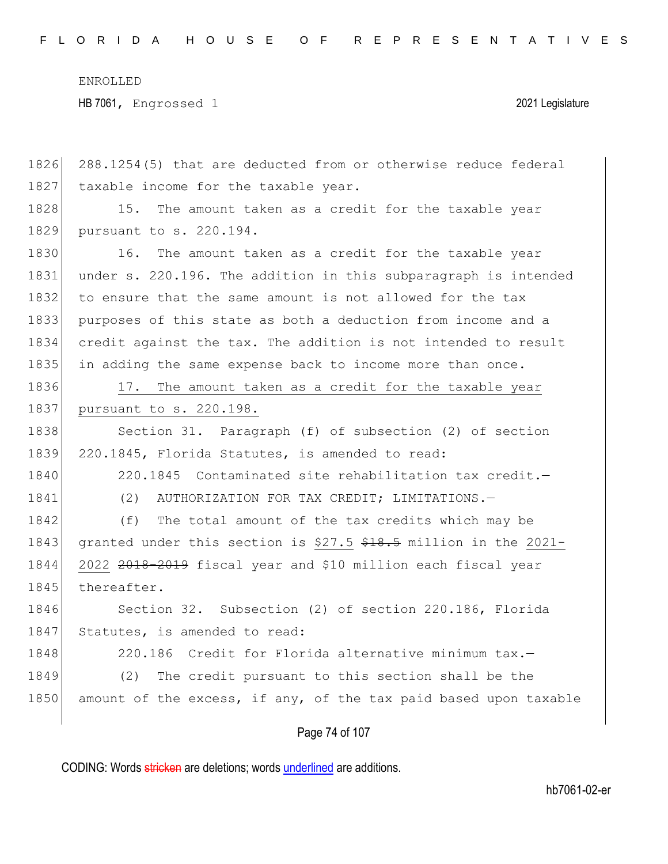| 1826 | 288.1254(5) that are deducted from or otherwise reduce federal   |
|------|------------------------------------------------------------------|
| 1827 | taxable income for the taxable year.                             |
| 1828 | The amount taken as a credit for the taxable year<br>15.         |
| 1829 | pursuant to s. 220.194.                                          |
| 1830 | 16.<br>The amount taken as a credit for the taxable year         |
| 1831 | under s. 220.196. The addition in this subparagraph is intended  |
| 1832 | to ensure that the same amount is not allowed for the tax        |
| 1833 | purposes of this state as both a deduction from income and a     |
| 1834 | credit against the tax. The addition is not intended to result   |
| 1835 | in adding the same expense back to income more than once.        |
| 1836 | 17. The amount taken as a credit for the taxable year            |
| 1837 | pursuant to s. 220.198.                                          |
| 1838 | Section 31. Paragraph (f) of subsection (2) of section           |
| 1839 | 220.1845, Florida Statutes, is amended to read:                  |
| 1840 | 220.1845 Contaminated site rehabilitation tax credit.-           |
| 1841 | (2) AUTHORIZATION FOR TAX CREDIT; LIMITATIONS.-                  |
| 1842 | (f)<br>The total amount of the tax credits which may be          |
| 1843 | granted under this section is \$27.5 \$18.5 million in the 2021- |
| 1844 | 2022 2018-2019 fiscal year and \$10 million each fiscal year     |
| 1845 | thereafter.                                                      |
| 1846 | Section 32. Subsection (2) of section 220.186, Florida           |
| 1847 | Statutes, is amended to read:                                    |
| 1848 | 220.186 Credit for Florida alternative minimum tax.-             |
| 1849 | The credit pursuant to this section shall be the<br>(2)          |
| 1850 | amount of the excess, if any, of the tax paid based upon taxable |
|      |                                                                  |

Page 74 of 107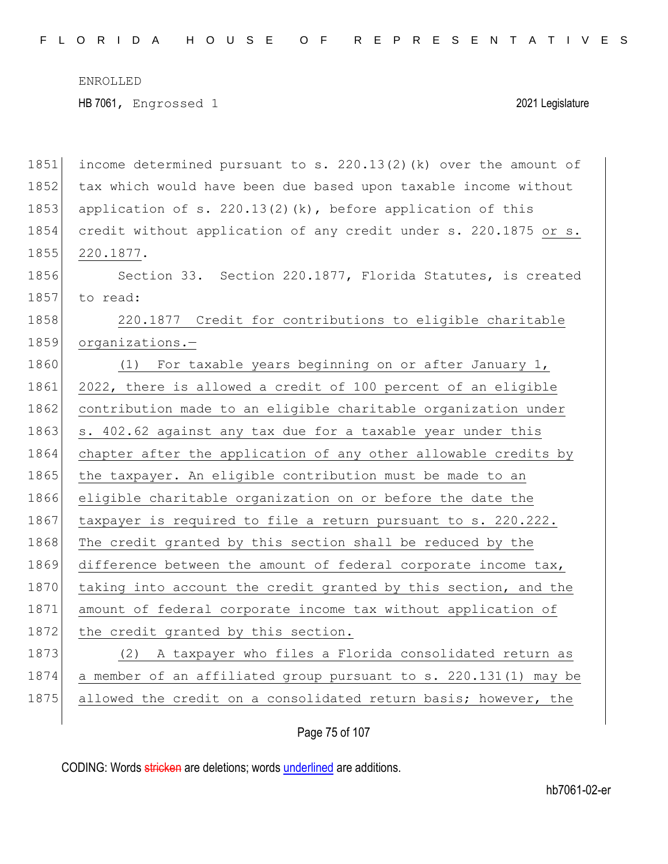F L O R I D A H O U S E O F R E P R E S E N T A T I V E S

ENROLLED

HB 7061, Engrossed 1 2021 Legislature

1851 income determined pursuant to s. 220.13(2)(k) over the amount of 1852 tax which would have been due based upon taxable income without 1853 application of s. 220.13(2)(k), before application of this 1854 credit without application of any credit under s. 220.1875 or s. 1855 220.1877. 1856 Section 33. Section 220.1877, Florida Statutes, is created 1857 to read: 1858 220.1877 Credit for contributions to eligible charitable 1859 organizations.-1860 (1) For taxable years beginning on or after January 1, 1861 2022, there is allowed a credit of 100 percent of an eligible 1862 contribution made to an eligible charitable organization under 1863 s. 402.62 against any tax due for a taxable year under this 1864 chapter after the application of any other allowable credits by 1865 the taxpayer. An eligible contribution must be made to an 1866 eligible charitable organization on or before the date the 1867 taxpayer is required to file a return pursuant to s. 220.222. 1868 The credit granted by this section shall be reduced by the 1869 difference between the amount of federal corporate income tax, 1870 taking into account the credit granted by this section, and the 1871 amount of federal corporate income tax without application of 1872 the credit granted by this section. 1873 (2) A taxpayer who files a Florida consolidated return as 1874 a member of an affiliated group pursuant to s. 220.131(1) may be 1875 allowed the credit on a consolidated return basis; however, the

## Page 75 of 107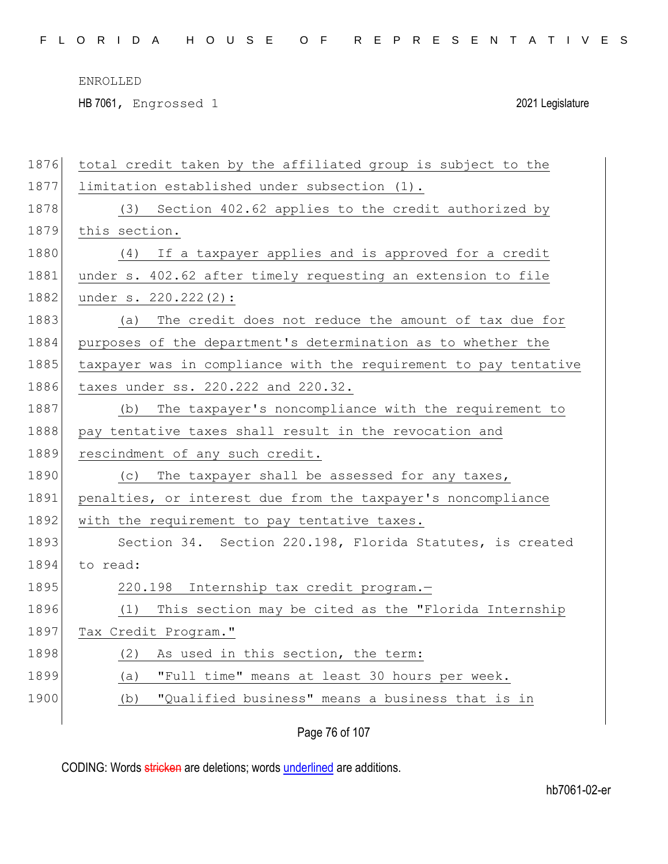HB 7061, Engrossed 1 2021 Legislature

| 1876 | total credit taken by the affiliated group is subject to the     |
|------|------------------------------------------------------------------|
| 1877 | limitation established under subsection (1).                     |
| 1878 | Section 402.62 applies to the credit authorized by<br>(3)        |
| 1879 | this section.                                                    |
| 1880 | If a taxpayer applies and is approved for a credit<br>(4)        |
| 1881 | under s. 402.62 after timely requesting an extension to file     |
| 1882 | under s. 220.222(2):                                             |
| 1883 | The credit does not reduce the amount of tax due for<br>(a)      |
| 1884 | purposes of the department's determination as to whether the     |
| 1885 | taxpayer was in compliance with the requirement to pay tentative |
| 1886 | taxes under ss. 220.222 and 220.32.                              |
| 1887 | The taxpayer's noncompliance with the requirement to<br>(b)      |
| 1888 | pay tentative taxes shall result in the revocation and           |
| 1889 | rescindment of any such credit.                                  |
| 1890 | The taxpayer shall be assessed for any taxes,<br>(C)             |
| 1891 | penalties, or interest due from the taxpayer's noncompliance     |
| 1892 | with the requirement to pay tentative taxes.                     |
| 1893 | Section 34. Section 220.198, Florida Statutes, is created        |
| 1894 | to read:                                                         |
| 1895 | 220.198 Internship tax credit program.-                          |
| 1896 | This section may be cited as the "Florida Internship<br>(1)      |
| 1897 | Tax Credit Program."                                             |
| 1898 | As used in this section, the term:<br>(2)                        |
| 1899 | "Full time" means at least 30 hours per week.<br>(a)             |
| 1900 | "Qualified business" means a business that is in<br>(b)          |
|      |                                                                  |

Page 76 of 107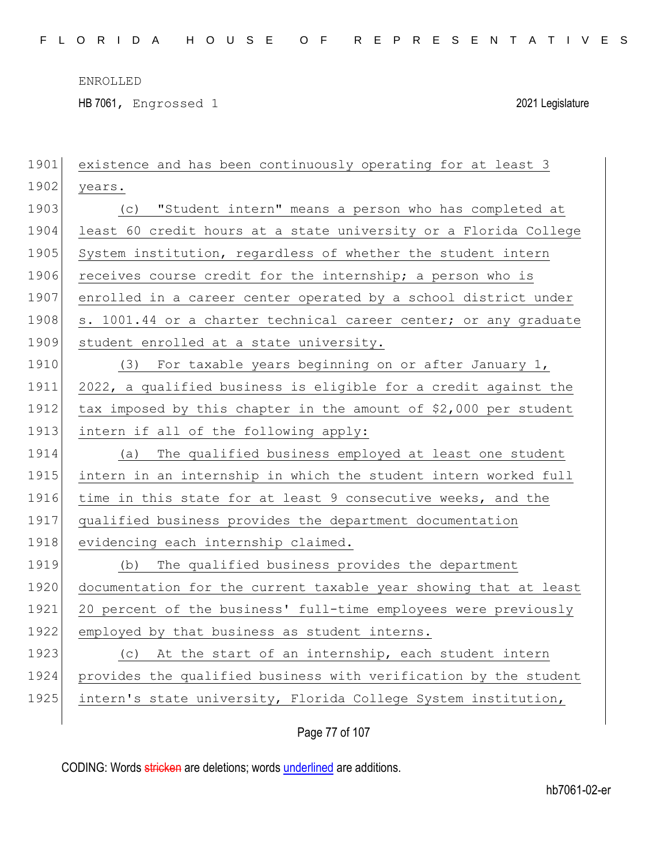HB 7061, Engrossed 1 2021 Legislature

| 1901 | existence and has been continuously operating for at least 3     |
|------|------------------------------------------------------------------|
| 1902 | years.                                                           |
| 1903 | "Student intern" means a person who has completed at<br>(C)      |
| 1904 | least 60 credit hours at a state university or a Florida College |
| 1905 | System institution, regardless of whether the student intern     |
| 1906 | receives course credit for the internship; a person who is       |
| 1907 | enrolled in a career center operated by a school district under  |
| 1908 | s. 1001.44 or a charter technical career center; or any graduate |
| 1909 | student enrolled at a state university.                          |
| 1910 | (3) For taxable years beginning on or after January 1,           |
| 1911 | 2022, a qualified business is eligible for a credit against the  |
| 1912 | tax imposed by this chapter in the amount of \$2,000 per student |
| 1913 | intern if all of the following apply:                            |
| 1914 | The qualified business employed at least one student<br>(a)      |
| 1915 | intern in an internship in which the student intern worked full  |
| 1916 | time in this state for at least 9 consecutive weeks, and the     |
| 1917 |                                                                  |
|      | qualified business provides the department documentation         |
| 1918 | evidencing each internship claimed.                              |
| 1919 | The qualified business provides the department<br>(b)            |
| 1920 | documentation for the current taxable year showing that at least |
| 1921 | 20 percent of the business' full-time employees were previously  |
| 1922 | employed by that business as student interns.                    |
| 1923 | (c) At the start of an internship, each student intern           |
| 1924 | provides the qualified business with verification by the student |
| 1925 | intern's state university, Florida College System institution,   |

Page 77 of 107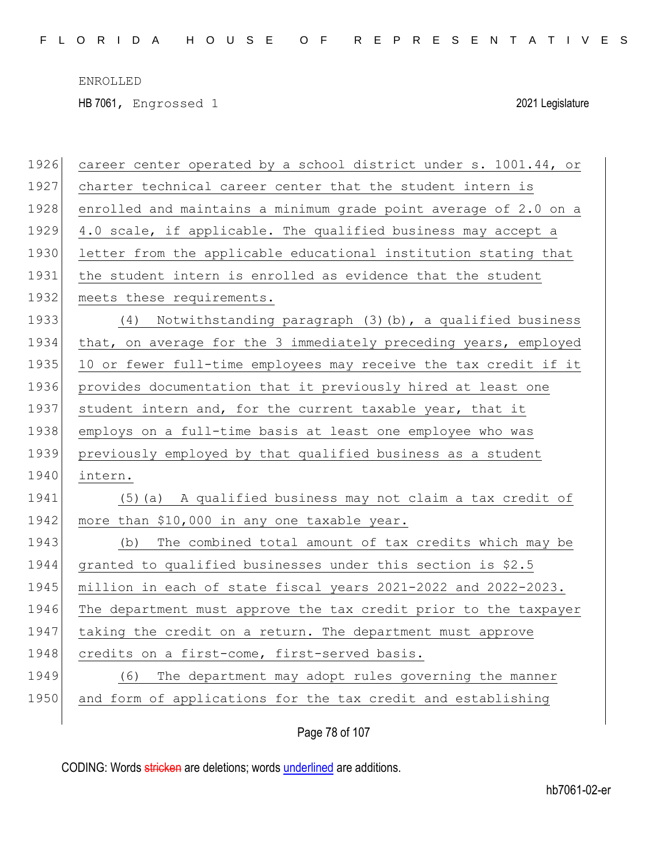HB 7061, Engrossed 1 2021 Legislature

| 1926 | career center operated by a school district under s. 1001.44, or |
|------|------------------------------------------------------------------|
| 1927 | charter technical career center that the student intern is       |
| 1928 | enrolled and maintains a minimum grade point average of 2.0 on a |
| 1929 | 4.0 scale, if applicable. The qualified business may accept a    |
| 1930 | letter from the applicable educational institution stating that  |
| 1931 | the student intern is enrolled as evidence that the student      |
| 1932 | meets these requirements.                                        |
| 1933 | Notwithstanding paragraph (3)(b), a qualified business<br>(4)    |
| 1934 | that, on average for the 3 immediately preceding years, employed |
| 1935 | 10 or fewer full-time employees may receive the tax credit if it |
| 1936 | provides documentation that it previously hired at least one     |
| 1937 | student intern and, for the current taxable year, that it        |
| 1938 | employs on a full-time basis at least one employee who was       |
| 1939 | previously employed by that qualified business as a student      |
| 1940 | intern.                                                          |
| 1941 | (5) (a) A qualified business may not claim a tax credit of       |
| 1942 | more than \$10,000 in any one taxable year.                      |
| 1943 | The combined total amount of tax credits which may be<br>(b)     |
| 1944 | granted to qualified businesses under this section is \$2.5      |
| 1945 | million in each of state fiscal years 2021-2022 and 2022-2023.   |
| 1946 | The department must approve the tax credit prior to the taxpayer |
| 1947 | taking the credit on a return. The department must approve       |
| 1948 | credits on a first-come, first-served basis.                     |
| 1949 | The department may adopt rules governing the manner<br>(6)       |
| 1950 | and form of applications for the tax credit and establishing     |
|      |                                                                  |

Page 78 of 107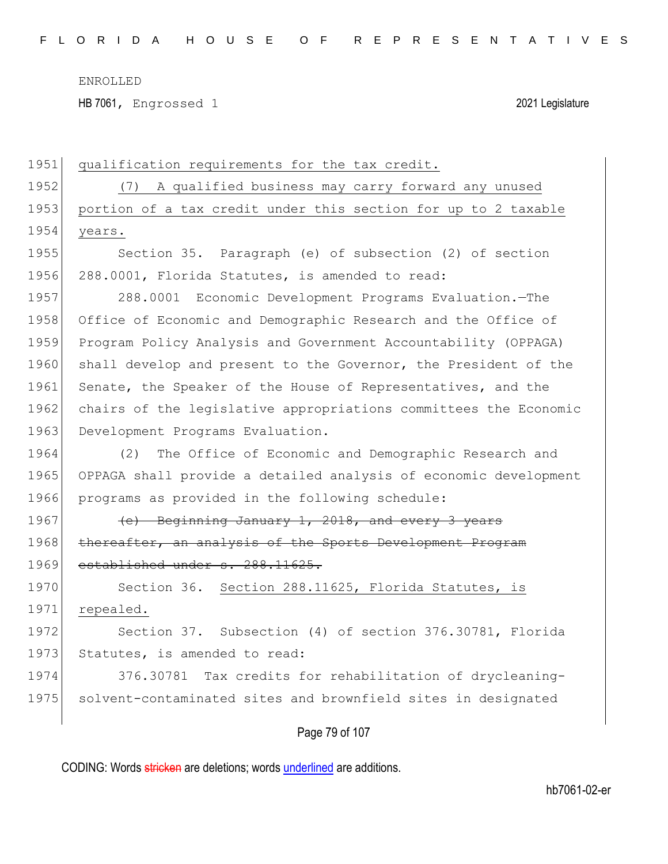HB 7061, Engrossed 1 2021 Legislature

| 1951 | qualification requirements for the tax credit.                   |
|------|------------------------------------------------------------------|
| 1952 | A qualified business may carry forward any unused<br>(7)         |
| 1953 | portion of a tax credit under this section for up to 2 taxable   |
| 1954 | years.                                                           |
| 1955 | Section 35. Paragraph (e) of subsection (2) of section           |
| 1956 | 288.0001, Florida Statutes, is amended to read:                  |
| 1957 | 288.0001 Economic Development Programs Evaluation. - The         |
| 1958 | Office of Economic and Demographic Research and the Office of    |
| 1959 | Program Policy Analysis and Government Accountability (OPPAGA)   |
| 1960 | shall develop and present to the Governor, the President of the  |
| 1961 | Senate, the Speaker of the House of Representatives, and the     |
| 1962 | chairs of the legislative appropriations committees the Economic |
| 1963 | Development Programs Evaluation.                                 |
| 1964 | The Office of Economic and Demographic Research and<br>(2)       |
| 1965 | OPPAGA shall provide a detailed analysis of economic development |
| 1966 | programs as provided in the following schedule:                  |
| 1967 | (e) Beginning January 1, 2018, and every 3 years                 |
| 1968 | thereafter, an analysis of the Sports Development Program        |
| 1969 | established under s. 288.11625.                                  |
| 1970 | Section 36. Section 288.11625, Florida Statutes, is              |
| 1971 | repealed.                                                        |
| 1972 | Section 37. Subsection (4) of section 376.30781, Florida         |
| 1973 | Statutes, is amended to read:                                    |
| 1974 | Tax credits for rehabilitation of drycleaning-<br>376.30781      |
| 1975 | solvent-contaminated sites and brownfield sites in designated    |
|      |                                                                  |

Page 79 of 107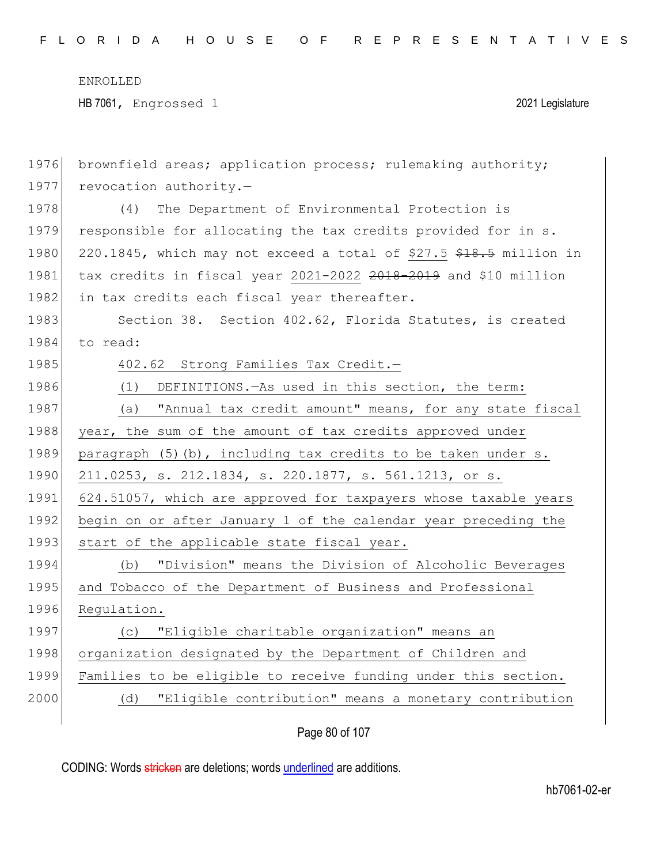HB 7061, Engrossed 1 2021 Legislature

| 1976 | brownfield areas; application process; rulemaking authority;       |
|------|--------------------------------------------------------------------|
| 1977 | revocation authority.-                                             |
| 1978 | The Department of Environmental Protection is<br>(4)               |
| 1979 | responsible for allocating the tax credits provided for in s.      |
| 1980 | 220.1845, which may not exceed a total of \$27.5 \$18.5 million in |
| 1981 | tax credits in fiscal year 2021-2022 2018-2019 and \$10 million    |
| 1982 | in tax credits each fiscal year thereafter.                        |
| 1983 | Section 38. Section 402.62, Florida Statutes, is created           |
| 1984 | to read:                                                           |
| 1985 | 402.62 Strong Families Tax Credit.-                                |
| 1986 | DEFINITIONS. - As used in this section, the term:<br>(1)           |
| 1987 | "Annual tax credit amount" means, for any state fiscal<br>(a)      |
| 1988 | year, the sum of the amount of tax credits approved under          |
| 1989 | paragraph (5)(b), including tax credits to be taken under s.       |
| 1990 | 211.0253, s. 212.1834, s. 220.1877, s. 561.1213, or s.             |
| 1991 | 624.51057, which are approved for taxpayers whose taxable years    |
| 1992 | begin on or after January 1 of the calendar year preceding the     |
| 1993 | start of the applicable state fiscal year.                         |
| 1994 | "Division" means the Division of Alcoholic Beverages<br>(b)        |
| 1995 | and Tobacco of the Department of Business and Professional         |
| 1996 | Regulation.                                                        |
| 1997 | "Eligible charitable organization" means an<br>(C)                 |
| 1998 | organization designated by the Department of Children and          |
| 1999 | Families to be eligible to receive funding under this section.     |
| 2000 | (d) "Eligible contribution" means a monetary contribution          |
|      |                                                                    |

Page 80 of 107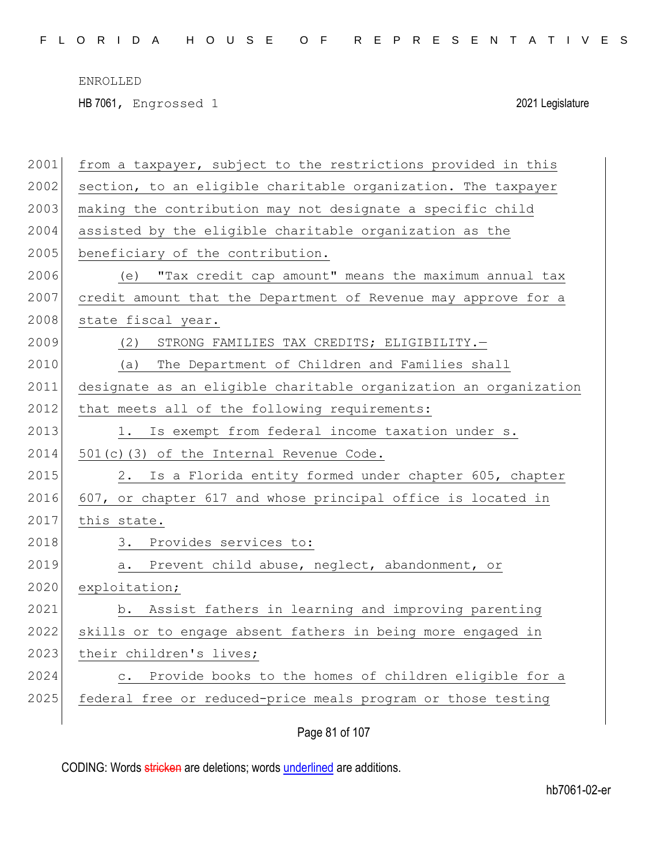F L O R I D A H O U S E O F R E P R E S E N T A T I V E S

ENROLLED

HB 7061, Engrossed 1 2021 Legislature

| 2001 | from a taxpayer, subject to the restrictions provided in this      |
|------|--------------------------------------------------------------------|
| 2002 | section, to an eligible charitable organization. The taxpayer      |
| 2003 | making the contribution may not designate a specific child         |
| 2004 | assisted by the eligible charitable organization as the            |
| 2005 | beneficiary of the contribution.                                   |
| 2006 | "Tax credit cap amount" means the maximum annual tax<br>(e)        |
| 2007 | credit amount that the Department of Revenue may approve for a     |
| 2008 | state fiscal year.                                                 |
| 2009 | STRONG FAMILIES TAX CREDITS; ELIGIBILITY.-<br>(2)                  |
| 2010 | The Department of Children and Families shall<br>(a)               |
| 2011 | designate as an eligible charitable organization an organization   |
| 2012 | that meets all of the following requirements:                      |
| 2013 | 1. Is exempt from federal income taxation under s.                 |
| 2014 | 501(c)(3) of the Internal Revenue Code.                            |
| 2015 | Is a Florida entity formed under chapter 605, chapter<br>2.        |
| 2016 | 607, or chapter 617 and whose principal office is located in       |
| 2017 | this state.                                                        |
| 2018 | 3. Provides services to:                                           |
| 2019 | Prevent child abuse, neglect, abandonment, or<br>а.                |
| 2020 | exploitation;                                                      |
| 2021 | Assist fathers in learning and improving parenting<br>b.           |
| 2022 | skills or to engage absent fathers in being more engaged in        |
| 2023 | their children's lives;                                            |
| 2024 | Provide books to the homes of children eligible for a<br>$\circ$ . |
| 2025 | federal free or reduced-price meals program or those testing       |
|      |                                                                    |

Page 81 of 107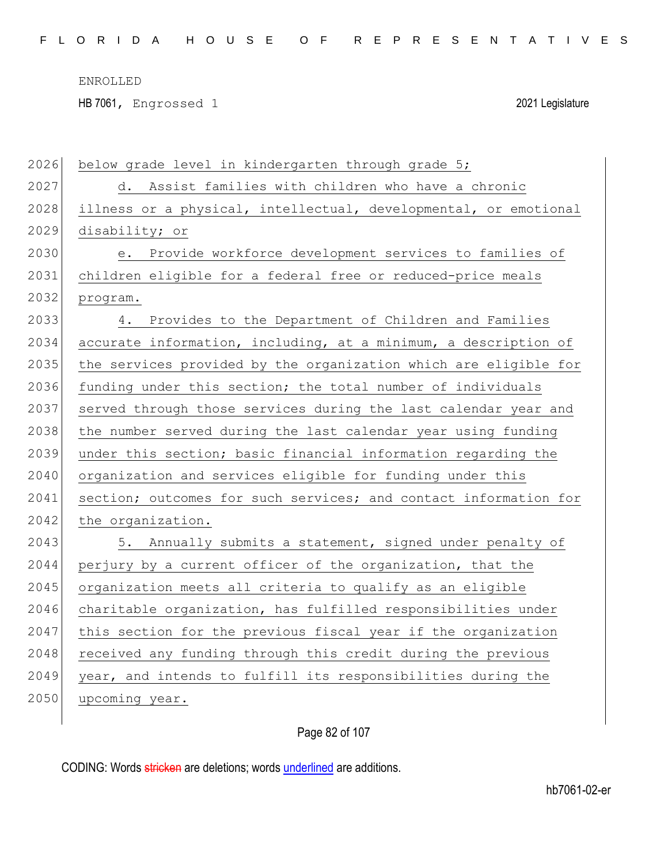$\overline{\phantom{a}}$ 

HB 7061, Engrossed 1 2021 Legislature

| 2026 | below grade level in kindergarten through grade 5;               |
|------|------------------------------------------------------------------|
| 2027 | d. Assist families with children who have a chronic              |
| 2028 | illness or a physical, intellectual, developmental, or emotional |
| 2029 | disability; or                                                   |
| 2030 | e. Provide workforce development services to families of         |
| 2031 | children eligible for a federal free or reduced-price meals      |
| 2032 | program.                                                         |
| 2033 | 4. Provides to the Department of Children and Families           |
| 2034 | accurate information, including, at a minimum, a description of  |
| 2035 | the services provided by the organization which are eligible for |
| 2036 | funding under this section; the total number of individuals      |
| 2037 | served through those services during the last calendar year and  |
| 2038 | the number served during the last calendar year using funding    |
| 2039 | under this section; basic financial information regarding the    |
| 2040 | organization and services eligible for funding under this        |
| 2041 | section; outcomes for such services; and contact information for |
| 2042 | the organization.                                                |
| 2043 | 5. Annually submits a statement, signed under penalty of         |
| 2044 | perjury by a current officer of the organization, that the       |
| 2045 | organization meets all criteria to qualify as an eligible        |
| 2046 | charitable organization, has fulfilled responsibilities under    |
| 2047 | this section for the previous fiscal year if the organization    |
| 2048 | received any funding through this credit during the previous     |
| 2049 | year, and intends to fulfill its responsibilities during the     |
| 2050 | upcoming year.                                                   |

Page 82 of 107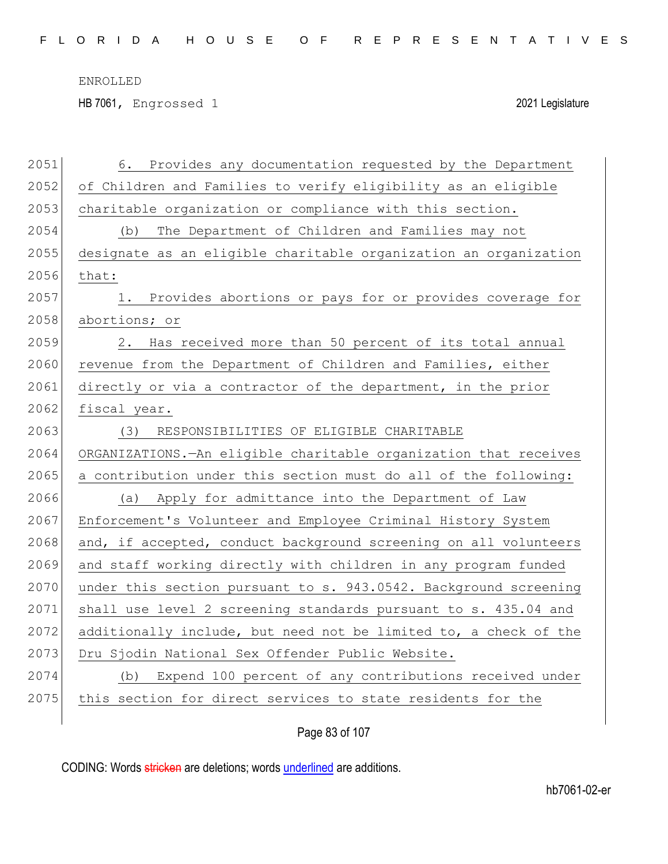HB 7061, Engrossed 1 2021 Legislature

| 2051 | Provides any documentation requested by the Department<br>6.       |
|------|--------------------------------------------------------------------|
| 2052 | of Children and Families to verify eligibility as an eligible      |
| 2053 | charitable organization or compliance with this section.           |
| 2054 | (b) The Department of Children and Families may not                |
| 2055 | designate as an eligible charitable organization an organization   |
| 2056 | that:                                                              |
| 2057 | Provides abortions or pays for or provides coverage for<br>1.      |
| 2058 | abortions; or                                                      |
| 2059 | Has received more than 50 percent of its total annual<br>2.        |
| 2060 | revenue from the Department of Children and Families, either       |
| 2061 | directly or via a contractor of the department, in the prior       |
| 2062 | fiscal year.                                                       |
| 2063 | RESPONSIBILITIES OF ELIGIBLE CHARITABLE<br>(3)                     |
| 2064 | ORGANIZATIONS. - An eligible charitable organization that receives |
| 2065 | a contribution under this section must do all of the following:    |
| 2066 | (a) Apply for admittance into the Department of Law                |
| 2067 | Enforcement's Volunteer and Employee Criminal History System       |
| 2068 | and, if accepted, conduct background screening on all volunteers   |
| 2069 | and staff working directly with children in any program funded     |
| 2070 | under this section pursuant to s. 943.0542. Background screening   |
| 2071 | shall use level 2 screening standards pursuant to s. 435.04 and    |
| 2072 | additionally include, but need not be limited to, a check of the   |
| 2073 | Dru Sjodin National Sex Offender Public Website.                   |
| 2074 | Expend 100 percent of any contributions received under<br>(b)      |
| 2075 | this section for direct services to state residents for the        |
|      |                                                                    |

Page 83 of 107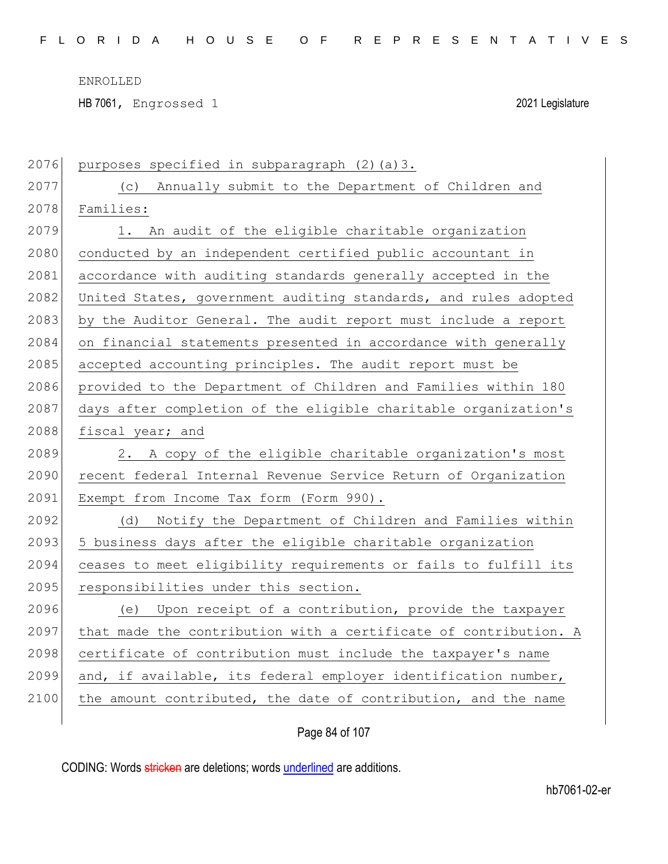HB 7061, Engrossed 1 2021 Legislature

| 2076 | purposes specified in subparagraph (2) (a) 3.                    |
|------|------------------------------------------------------------------|
| 2077 | Annually submit to the Department of Children and<br>(C)         |
| 2078 | Families:                                                        |
| 2079 | An audit of the eligible charitable organization<br>1.           |
| 2080 | conducted by an independent certified public accountant in       |
| 2081 | accordance with auditing standards generally accepted in the     |
| 2082 | United States, government auditing standards, and rules adopted  |
| 2083 | by the Auditor General. The audit report must include a report   |
| 2084 | on financial statements presented in accordance with generally   |
| 2085 | accepted accounting principles. The audit report must be         |
| 2086 | provided to the Department of Children and Families within 180   |
| 2087 | days after completion of the eligible charitable organization's  |
| 2088 | fiscal year; and                                                 |
|      |                                                                  |
| 2089 | 2. A copy of the eligible charitable organization's most         |
| 2090 | recent federal Internal Revenue Service Return of Organization   |
| 2091 | Exempt from Income Tax form (Form 990).                          |
| 2092 | (d)<br>Notify the Department of Children and Families within     |
| 2093 | 5 business days after the eligible charitable organization       |
| 2094 | ceases to meet eligibility requirements or fails to fulfill its  |
| 2095 | responsibilities under this section.                             |
| 2096 | Upon receipt of a contribution, provide the taxpayer<br>(e)      |
| 2097 | that made the contribution with a certificate of contribution. A |
| 2098 | certificate of contribution must include the taxpayer's name     |
| 2099 | and, if available, its federal employer identification number,   |
| 2100 | the amount contributed, the date of contribution, and the name   |

Page 84 of 107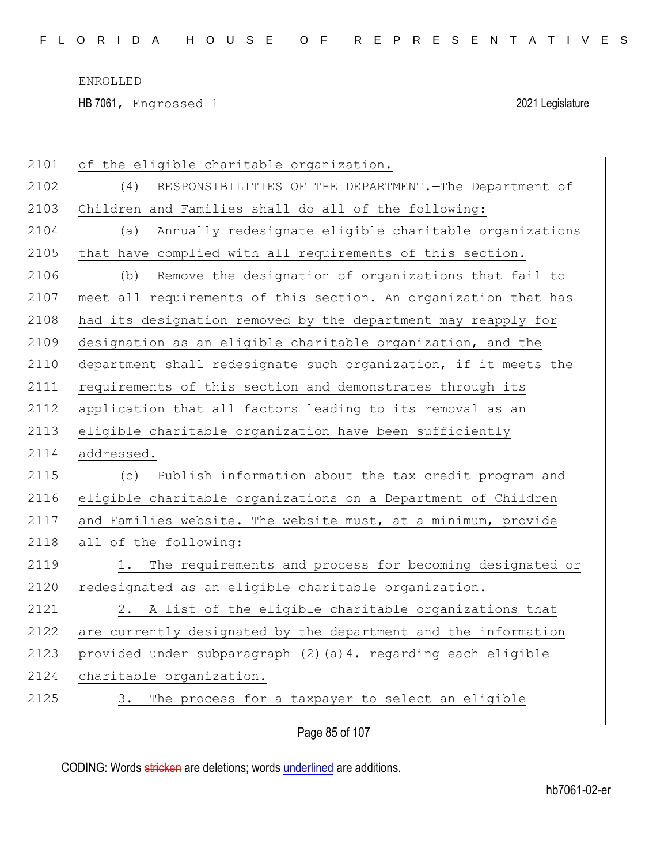HB 7061, Engrossed 1 2021 Legislature

| 2101 | of the eligible charitable organization.                        |
|------|-----------------------------------------------------------------|
| 2102 | RESPONSIBILITIES OF THE DEPARTMENT. - The Department of<br>(4)  |
| 2103 | Children and Families shall do all of the following:            |
| 2104 | Annually redesignate eligible charitable organizations<br>(a)   |
| 2105 | that have complied with all requirements of this section.       |
| 2106 | Remove the designation of organizations that fail to<br>(b)     |
| 2107 | meet all requirements of this section. An organization that has |
| 2108 | had its designation removed by the department may reapply for   |
| 2109 | designation as an eligible charitable organization, and the     |
| 2110 | department shall redesignate such organization, if it meets the |
| 2111 | requirements of this section and demonstrates through its       |
| 2112 | application that all factors leading to its removal as an       |
| 2113 | eligible charitable organization have been sufficiently         |
| 2114 | addressed.                                                      |
|      |                                                                 |
| 2115 | Publish information about the tax credit program and<br>(C)     |
| 2116 | eligible charitable organizations on a Department of Children   |
| 2117 | and Families website. The website must, at a minimum, provide   |
| 2118 | all of the following:                                           |
| 2119 | 1. The requirements and process for becoming designated or      |
| 2120 | redesignated as an eligible charitable organization.            |
| 2121 | A list of the eligible charitable organizations that<br>2.      |
| 2122 | are currently designated by the department and the information  |
| 2123 | provided under subparagraph (2) (a) 4. regarding each eligible  |
| 2124 | charitable organization.                                        |
| 2125 | The process for a taxpayer to select an eligible<br>3.          |

Page 85 of 107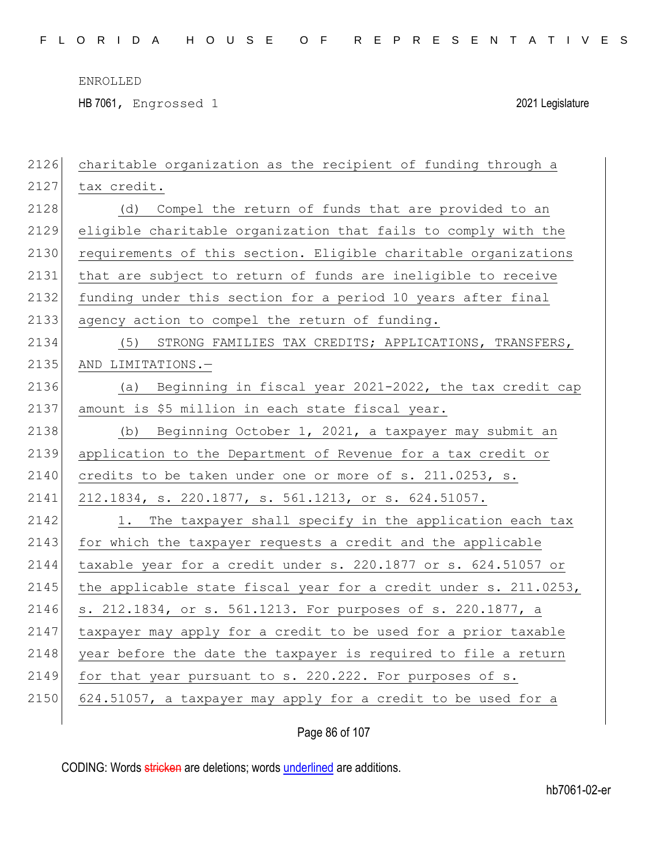HB 7061, Engrossed 1 2021 Legislature

| 2126 | charitable organization as the recipient of funding through a    |
|------|------------------------------------------------------------------|
| 2127 | tax credit.                                                      |
| 2128 | (d)<br>Compel the return of funds that are provided to an        |
| 2129 | eligible charitable organization that fails to comply with the   |
| 2130 | requirements of this section. Eligible charitable organizations  |
| 2131 | that are subject to return of funds are ineligible to receive    |
| 2132 | funding under this section for a period 10 years after final     |
| 2133 | agency action to compel the return of funding.                   |
| 2134 | STRONG FAMILIES TAX CREDITS; APPLICATIONS, TRANSFERS,<br>(5)     |
| 2135 | AND LIMITATIONS.-                                                |
| 2136 | Beginning in fiscal year 2021-2022, the tax credit cap<br>(a)    |
| 2137 | amount is \$5 million in each state fiscal year.                 |
| 2138 | (b) Beginning October 1, 2021, a taxpayer may submit an          |
| 2139 | application to the Department of Revenue for a tax credit or     |
| 2140 | credits to be taken under one or more of s. 211.0253, s.         |
| 2141 | 212.1834, s. 220.1877, s. 561.1213, or s. 624.51057.             |
| 2142 | 1. The taxpayer shall specify in the application each tax        |
| 2143 | for which the taxpayer requests a credit and the applicable      |
| 2144 | taxable year for a credit under s. 220.1877 or s. 624.51057 or   |
| 2145 | the applicable state fiscal year for a credit under s. 211.0253, |
| 2146 | s. 212.1834, or s. 561.1213. For purposes of s. 220.1877, a      |
| 2147 | taxpayer may apply for a credit to be used for a prior taxable   |
| 2148 | year before the date the taxpayer is required to file a return   |
| 2149 | for that year pursuant to s. 220.222. For purposes of s.         |
| 2150 | 624.51057, a taxpayer may apply for a credit to be used for a    |
|      |                                                                  |

Page 86 of 107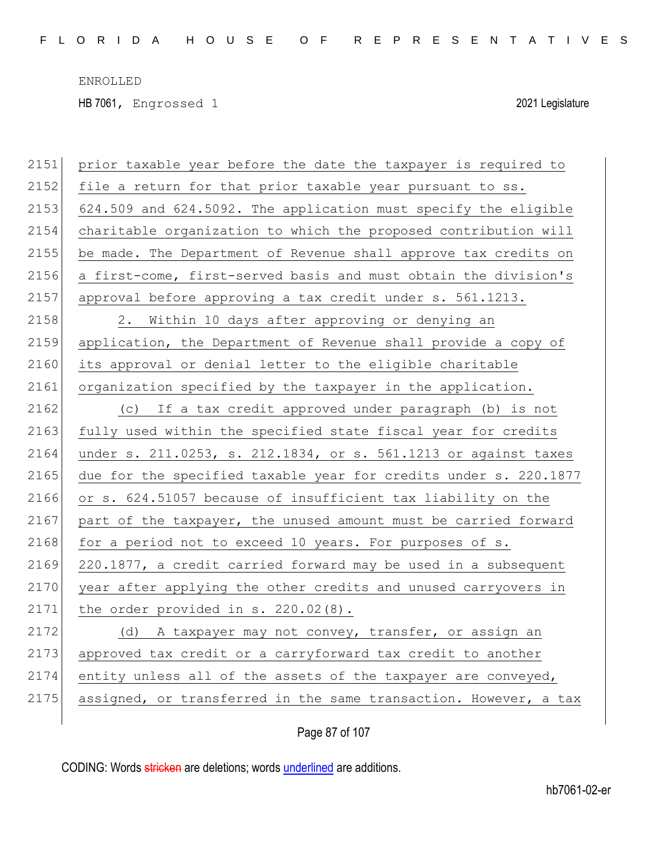HB 7061, Engrossed 1 2021 Legislature

| 2151 | prior taxable year before the date the taxpayer is required to   |
|------|------------------------------------------------------------------|
| 2152 | file a return for that prior taxable year pursuant to ss.        |
| 2153 | 624.509 and 624.5092. The application must specify the eligible  |
| 2154 | charitable organization to which the proposed contribution will  |
| 2155 | be made. The Department of Revenue shall approve tax credits on  |
| 2156 | a first-come, first-served basis and must obtain the division's  |
| 2157 | approval before approving a tax credit under s. 561.1213.        |
| 2158 | 2. Within 10 days after approving or denying an                  |
| 2159 | application, the Department of Revenue shall provide a copy of   |
| 2160 | its approval or denial letter to the eligible charitable         |
| 2161 | organization specified by the taxpayer in the application.       |
| 2162 | (c) If a tax credit approved under paragraph (b) is not          |
| 2163 | fully used within the specified state fiscal year for credits    |
| 2164 | under s. 211.0253, s. 212.1834, or s. 561.1213 or against taxes  |
| 2165 | due for the specified taxable year for credits under s. 220.1877 |
| 2166 | or s. 624.51057 because of insufficient tax liability on the     |
| 2167 | part of the taxpayer, the unused amount must be carried forward  |
| 2168 | for a period not to exceed 10 years. For purposes of s.          |
| 2169 | 220.1877, a credit carried forward may be used in a subsequent   |
| 2170 | year after applying the other credits and unused carryovers in   |
| 2171 | the order provided in s. 220.02(8).                              |
| 2172 | (d) A taxpayer may not convey, transfer, or assign an            |
| 2173 | approved tax credit or a carryforward tax credit to another      |
| 2174 | entity unless all of the assets of the taxpayer are conveyed,    |
| 2175 | assigned, or transferred in the same transaction. However, a tax |
|      |                                                                  |

Page 87 of 107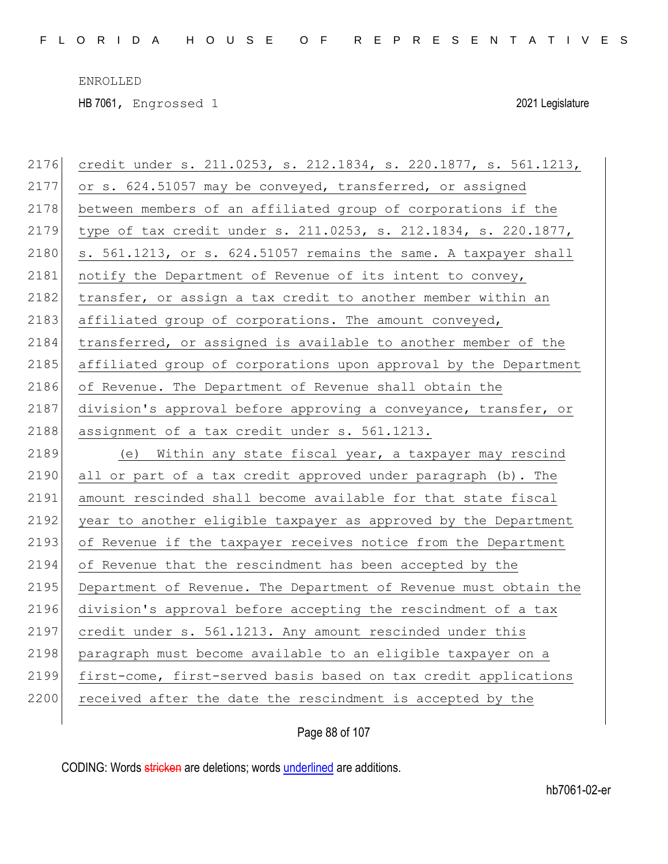HB 7061, Engrossed 1 2021 Legislature

| 2176 | credit under s. 211.0253, s. 212.1834, s. 220.1877, s. 561.1213, |
|------|------------------------------------------------------------------|
| 2177 | or s. 624.51057 may be conveyed, transferred, or assigned        |
| 2178 | between members of an affiliated group of corporations if the    |
| 2179 | type of tax credit under s. 211.0253, s. 212.1834, s. 220.1877,  |
| 2180 | s. 561.1213, or s. 624.51057 remains the same. A taxpayer shall  |
| 2181 | notify the Department of Revenue of its intent to convey,        |
| 2182 | transfer, or assign a tax credit to another member within an     |
| 2183 | affiliated group of corporations. The amount conveyed,           |
| 2184 | transferred, or assigned is available to another member of the   |
| 2185 | affiliated group of corporations upon approval by the Department |
| 2186 | of Revenue. The Department of Revenue shall obtain the           |
| 2187 | division's approval before approving a conveyance, transfer, or  |
| 2188 | assignment of a tax credit under s. 561.1213.                    |
|      |                                                                  |
| 2189 | (e) Within any state fiscal year, a taxpayer may rescind         |
| 2190 | all or part of a tax credit approved under paragraph (b). The    |
| 2191 | amount rescinded shall become available for that state fiscal    |
| 2192 | year to another eligible taxpayer as approved by the Department  |
| 2193 | of Revenue if the taxpayer receives notice from the Department   |
| 2194 | of Revenue that the rescindment has been accepted by the         |
| 2195 | Department of Revenue. The Department of Revenue must obtain the |
| 2196 | division's approval before accepting the rescindment of a tax    |
| 2197 | credit under s. 561.1213. Any amount rescinded under this        |
| 2198 | paragraph must become available to an eligible taxpayer on a     |
| 2199 | first-come, first-served basis based on tax credit applications  |
| 2200 | received after the date the rescindment is accepted by the       |

Page 88 of 107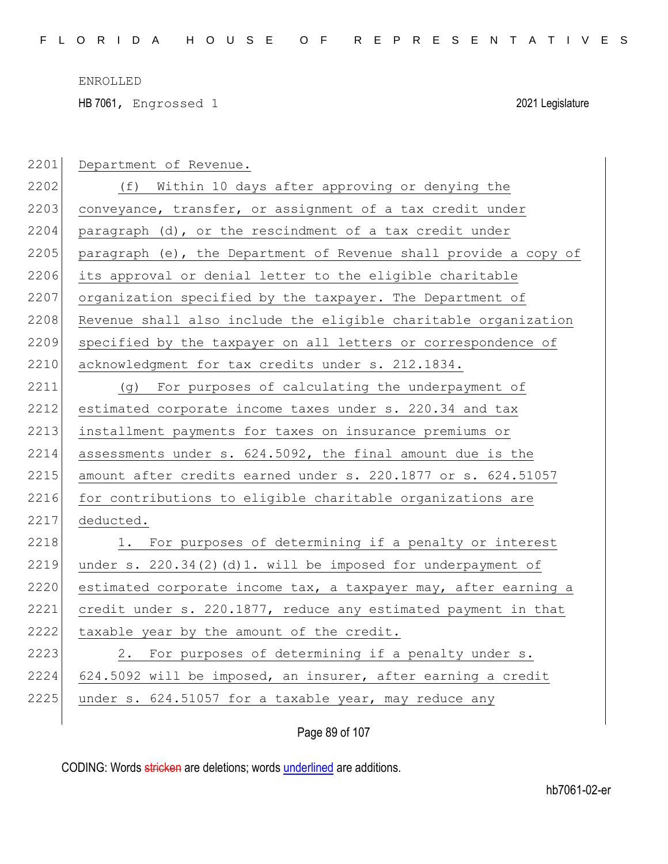HB 7061, Engrossed 1 2021 Legislature

| 2201 | Department of Revenue.                                           |
|------|------------------------------------------------------------------|
| 2202 | (f) Within 10 days after approving or denying the                |
| 2203 | conveyance, transfer, or assignment of a tax credit under        |
| 2204 | paragraph (d), or the rescindment of a tax credit under          |
| 2205 | paragraph (e), the Department of Revenue shall provide a copy of |
| 2206 | its approval or denial letter to the eligible charitable         |
| 2207 | organization specified by the taxpayer. The Department of        |
| 2208 | Revenue shall also include the eligible charitable organization  |
| 2209 | specified by the taxpayer on all letters or correspondence of    |
| 2210 | acknowledgment for tax credits under s. 212.1834.                |
| 2211 | (g) For purposes of calculating the underpayment of              |
| 2212 | estimated corporate income taxes under s. 220.34 and tax         |
| 2213 | installment payments for taxes on insurance premiums or          |
| 2214 | assessments under s. 624.5092, the final amount due is the       |
| 2215 | amount after credits earned under s. 220.1877 or s. 624.51057    |
| 2216 | for contributions to eligible charitable organizations are       |
| 2217 | deducted.                                                        |
| 2218 | 1. For purposes of determining if a penalty or interest          |
| 2219 | under s. $220.34(2)(d)1.$ will be imposed for underpayment of    |
| 2220 | estimated corporate income tax, a taxpayer may, after earning a  |
| 2221 | credit under s. 220.1877, reduce any estimated payment in that   |
| 2222 | taxable year by the amount of the credit.                        |
| 2223 | 2. For purposes of determining if a penalty under s.             |
| 2224 | 624.5092 will be imposed, an insurer, after earning a credit     |
| 2225 | under s. 624.51057 for a taxable year, may reduce any            |
|      |                                                                  |

Page 89 of 107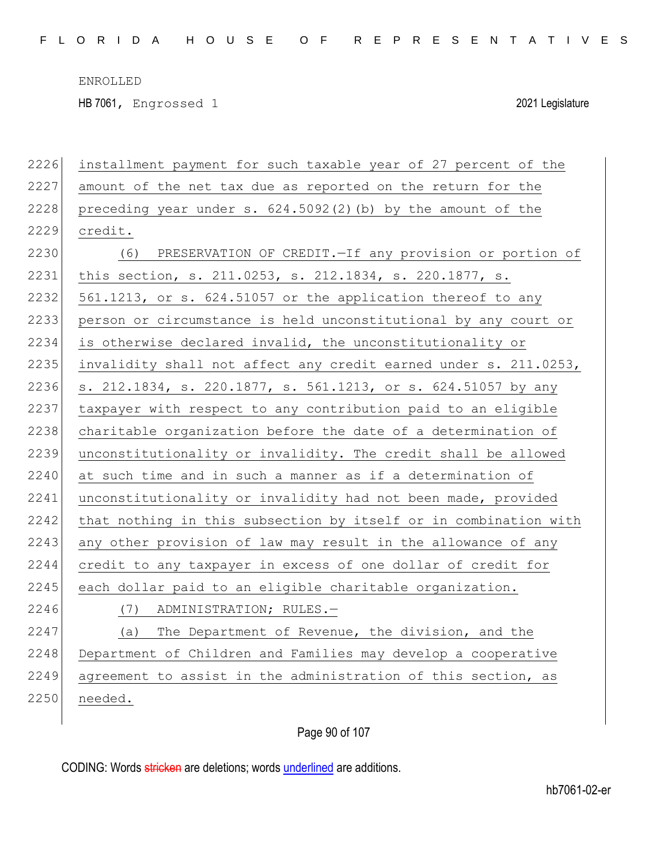HB 7061, Engrossed 1 2021 Legislature

| 2226 | installment payment for such taxable year of 27 percent of the   |
|------|------------------------------------------------------------------|
| 2227 | amount of the net tax due as reported on the return for the      |
| 2228 | preceding year under s. 624.5092(2)(b) by the amount of the      |
| 2229 | credit.                                                          |
| 2230 | PRESERVATION OF CREDIT. - If any provision or portion of<br>(6)  |
| 2231 | this section, s. 211.0253, s. 212.1834, s. 220.1877, s.          |
| 2232 | 561.1213, or s. 624.51057 or the application thereof to any      |
| 2233 | person or circumstance is held unconstitutional by any court or  |
| 2234 | is otherwise declared invalid, the unconstitutionality or        |
| 2235 | invalidity shall not affect any credit earned under s. 211.0253, |
| 2236 | s. 212.1834, s. 220.1877, s. 561.1213, or s. 624.51057 by any    |
| 2237 | taxpayer with respect to any contribution paid to an eligible    |
| 2238 | charitable organization before the date of a determination of    |
| 2239 | unconstitutionality or invalidity. The credit shall be allowed   |
| 2240 | at such time and in such a manner as if a determination of       |
| 2241 | unconstitutionality or invalidity had not been made, provided    |
| 2242 | that nothing in this subsection by itself or in combination with |
| 2243 | any other provision of law may result in the allowance of any    |
| 2244 | credit to any taxpayer in excess of one dollar of credit for     |
| 2245 | each dollar paid to an eligible charitable organization.         |
| 2246 | ADMINISTRATION; RULES.-<br>(7)                                   |
| 2247 | The Department of Revenue, the division, and the<br>(a)          |
| 2248 | Department of Children and Families may develop a cooperative    |
| 2249 | agreement to assist in the administration of this section, as    |
| 2250 | needed.                                                          |
|      |                                                                  |

Page 90 of 107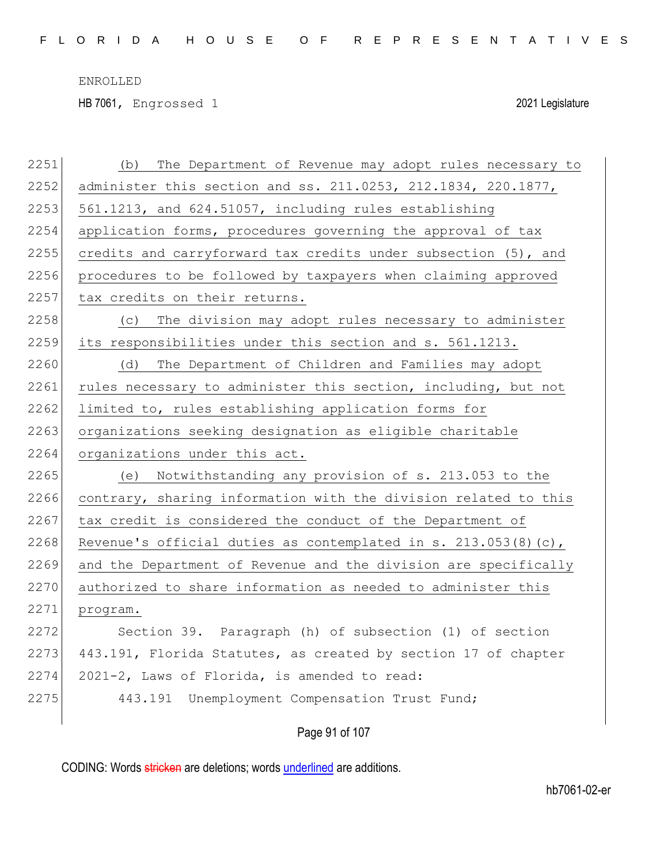HB 7061, Engrossed 1 2021 Legislature

| 2251 | The Department of Revenue may adopt rules necessary to<br>(b)   |
|------|-----------------------------------------------------------------|
| 2252 | administer this section and ss. 211.0253, 212.1834, 220.1877,   |
| 2253 | 561.1213, and 624.51057, including rules establishing           |
| 2254 | application forms, procedures governing the approval of tax     |
| 2255 | credits and carryforward tax credits under subsection (5), and  |
| 2256 | procedures to be followed by taxpayers when claiming approved   |
| 2257 | tax credits on their returns.                                   |
| 2258 | The division may adopt rules necessary to administer<br>(C)     |
| 2259 | its responsibilities under this section and s. 561.1213.        |
| 2260 | The Department of Children and Families may adopt<br>(d)        |
| 2261 | rules necessary to administer this section, including, but not  |
| 2262 | limited to, rules establishing application forms for            |
| 2263 | organizations seeking designation as eligible charitable        |
| 2264 | organizations under this act.                                   |
| 2265 | Notwithstanding any provision of s. 213.053 to the<br>(e)       |
| 2266 | contrary, sharing information with the division related to this |
| 2267 | tax credit is considered the conduct of the Department of       |
| 2268 | Revenue's official duties as contemplated in s. 213.053(8)(c),  |
| 2269 | and the Department of Revenue and the division are specifically |
| 2270 | authorized to share information as needed to administer this    |
| 2271 | program.                                                        |
| 2272 | Section 39. Paragraph (h) of subsection (1) of section          |
| 2273 | 443.191, Florida Statutes, as created by section 17 of chapter  |
| 2274 | 2021-2, Laws of Florida, is amended to read:                    |
| 2275 | 443.191 Unemployment Compensation Trust Fund;                   |
|      |                                                                 |

# Page 91 of 107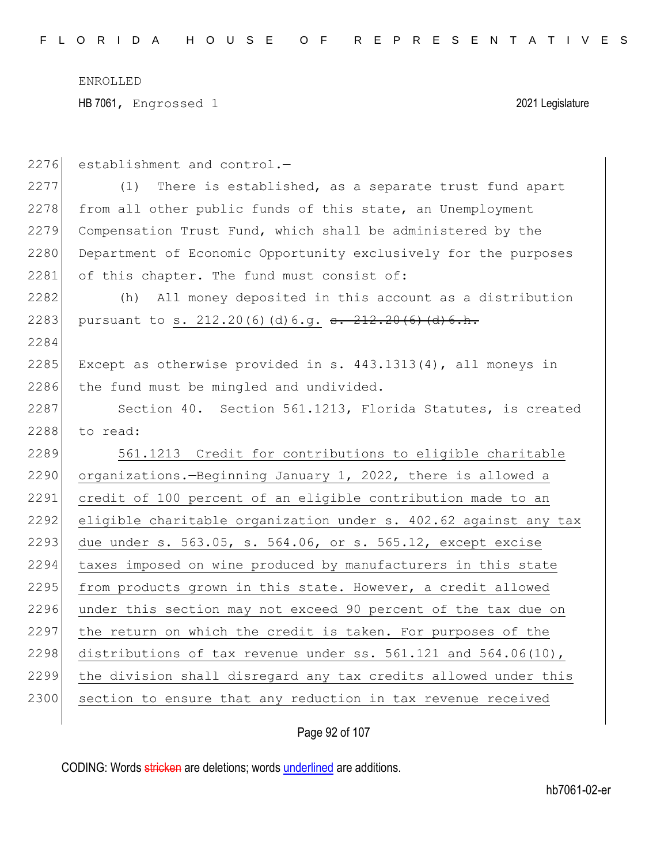| 2276 | establishment and control.-                                         |
|------|---------------------------------------------------------------------|
| 2277 | There is established, as a separate trust fund apart<br>(1)         |
| 2278 | from all other public funds of this state, an Unemployment          |
| 2279 | Compensation Trust Fund, which shall be administered by the         |
| 2280 | Department of Economic Opportunity exclusively for the purposes     |
| 2281 | of this chapter. The fund must consist of:                          |
| 2282 | All money deposited in this account as a distribution<br>(h)        |
| 2283 | pursuant to s. 212.20(6)(d)6.g. <del>s. 212.20(6)(d)6.h.</del>      |
| 2284 |                                                                     |
| 2285 | Except as otherwise provided in s. 443.1313(4), all moneys in       |
| 2286 | the fund must be mingled and undivided.                             |
| 2287 | Section 40. Section 561.1213, Florida Statutes, is created          |
| 2288 | to read:                                                            |
| 2289 | 561.1213 Credit for contributions to eligible charitable            |
| 2290 | organizations.-Beginning January 1, 2022, there is allowed a        |
| 2291 | credit of 100 percent of an eligible contribution made to an        |
| 2292 | eligible charitable organization under s. 402.62 against any tax    |
| 2293 | due under s. 563.05, s. 564.06, or s. 565.12, except excise         |
| 2294 | taxes imposed on wine produced by manufacturers in this state       |
| 2295 | from products grown in this state. However, a credit allowed        |
| 2296 | under this section may not exceed 90 percent of the tax due on      |
| 2297 | the return on which the credit is taken. For purposes of the        |
| 2298 | distributions of tax revenue under ss. $561.121$ and $564.06(10)$ , |
| 2299 |                                                                     |
|      | the division shall disregard any tax credits allowed under this     |

Page 92 of 107

CODING: Words stricken are deletions; words underlined are additions.

 $\overline{\phantom{a}}$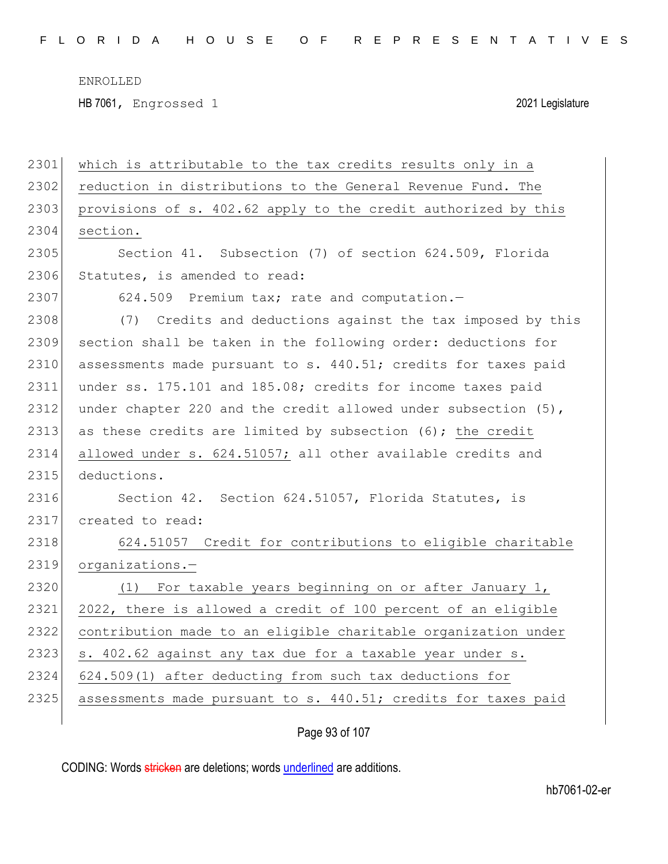HB 7061, Engrossed 1 2021 Legislature

| 2301 | which is attributable to the tax credits results only in a        |
|------|-------------------------------------------------------------------|
| 2302 | reduction in distributions to the General Revenue Fund. The       |
| 2303 | provisions of s. 402.62 apply to the credit authorized by this    |
| 2304 | section.                                                          |
| 2305 | Section 41. Subsection (7) of section 624.509, Florida            |
| 2306 | Statutes, is amended to read:                                     |
| 2307 | 624.509 Premium tax; rate and computation.-                       |
| 2308 | (7) Credits and deductions against the tax imposed by this        |
| 2309 | section shall be taken in the following order: deductions for     |
| 2310 | assessments made pursuant to s. 440.51; credits for taxes paid    |
| 2311 | under ss. 175.101 and 185.08; credits for income taxes paid       |
| 2312 | under chapter 220 and the credit allowed under subsection $(5)$ , |
| 2313 | as these credits are limited by subsection (6); the credit        |
| 2314 | allowed under s. 624.51057; all other available credits and       |
| 2315 | deductions.                                                       |
| 2316 | Section 42. Section 624.51057, Florida Statutes, is               |
| 2317 | created to read:                                                  |
| 2318 | 624.51057 Credit for contributions to eligible charitable         |
| 2319 | organizations.-                                                   |
| 2320 | (1) For taxable years beginning on or after January 1,            |
| 2321 | 2022, there is allowed a credit of 100 percent of an eligible     |
| 2322 | contribution made to an eligible charitable organization under    |
| 2323 | s. 402.62 against any tax due for a taxable year under s.         |
| 2324 | 624.509(1) after deducting from such tax deductions for           |
| 2325 | assessments made pursuant to s. 440.51; credits for taxes paid    |
|      |                                                                   |

Page 93 of 107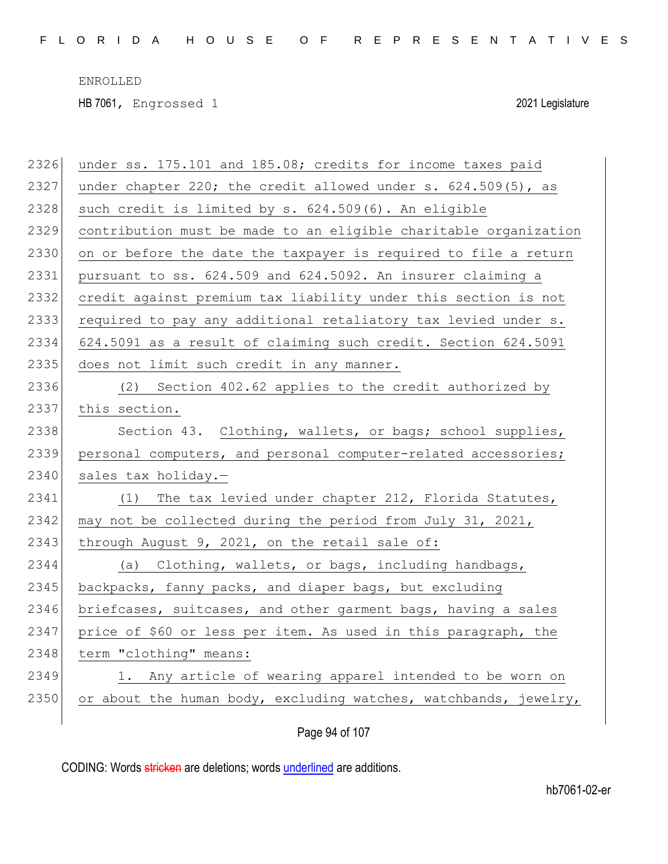HB 7061, Engrossed 1 2021 Legislature

| 2326 | under ss. 175.101 and 185.08; credits for income taxes paid      |
|------|------------------------------------------------------------------|
| 2327 | under chapter 220; the credit allowed under s. 624.509(5), as    |
| 2328 | such credit is limited by s. 624.509(6). An eligible             |
| 2329 | contribution must be made to an eligible charitable organization |
| 2330 | on or before the date the taxpayer is required to file a return  |
| 2331 | pursuant to ss. 624.509 and 624.5092. An insurer claiming a      |
| 2332 | credit against premium tax liability under this section is not   |
| 2333 | required to pay any additional retaliatory tax levied under s.   |
| 2334 | 624.5091 as a result of claiming such credit. Section 624.5091   |
| 2335 | does not limit such credit in any manner.                        |
| 2336 | (2) Section 402.62 applies to the credit authorized by           |
| 2337 | this section.                                                    |
| 2338 | Section 43. Clothing, wallets, or bags; school supplies,         |
| 2339 | personal computers, and personal computer-related accessories;   |
| 2340 | sales tax holiday.-                                              |
| 2341 | The tax levied under chapter 212, Florida Statutes,<br>(1)       |
| 2342 | may not be collected during the period from July 31, 2021,       |
| 2343 | through August 9, 2021, on the retail sale of:                   |
| 2344 | (a) Clothing, wallets, or bags, including handbags,              |
| 2345 | backpacks, fanny packs, and diaper bags, but excluding           |
| 2346 | briefcases, suitcases, and other garment bags, having a sales    |
| 2347 | price of \$60 or less per item. As used in this paragraph, the   |
| 2348 | term "clothing" means:                                           |
| 2349 | 1. Any article of wearing apparel intended to be worn on         |
| 2350 | or about the human body, excluding watches, watchbands, jewelry, |
|      |                                                                  |

Page 94 of 107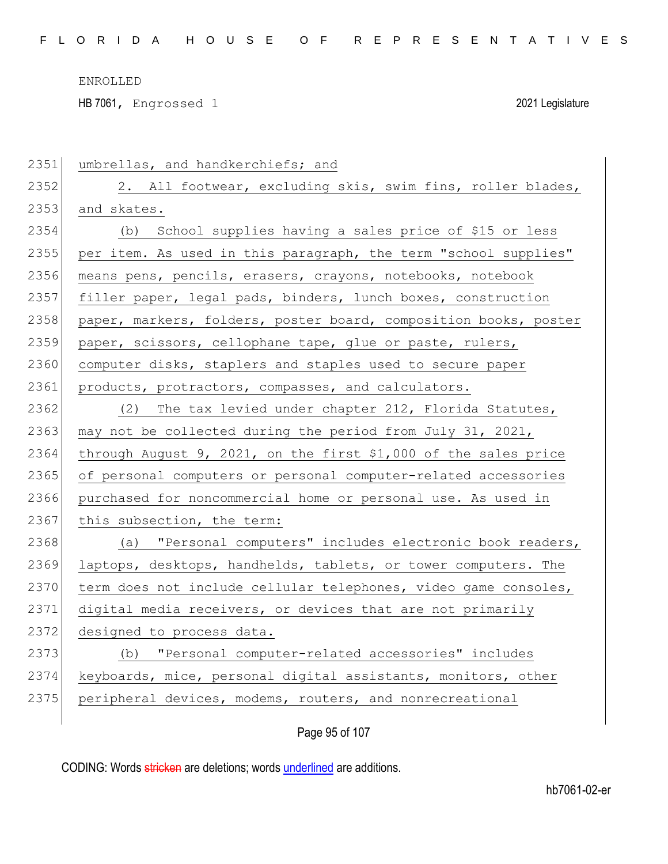HB 7061, Engrossed 1 2021 Legislature

| 2351 | umbrellas, and handkerchiefs; and                                |
|------|------------------------------------------------------------------|
| 2352 | 2. All footwear, excluding skis, swim fins, roller blades,       |
| 2353 | and skates.                                                      |
| 2354 | School supplies having a sales price of \$15 or less<br>(b)      |
| 2355 | per item. As used in this paragraph, the term "school supplies"  |
| 2356 | means pens, pencils, erasers, crayons, notebooks, notebook       |
| 2357 | filler paper, legal pads, binders, lunch boxes, construction     |
| 2358 | paper, markers, folders, poster board, composition books, poster |
| 2359 | paper, scissors, cellophane tape, glue or paste, rulers,         |
| 2360 | computer disks, staplers and staples used to secure paper        |
| 2361 | products, protractors, compasses, and calculators.               |
| 2362 | (2) The tax levied under chapter 212, Florida Statutes,          |
| 2363 | may not be collected during the period from July 31, 2021,       |
| 2364 | through August 9, 2021, on the first \$1,000 of the sales price  |
| 2365 | of personal computers or personal computer-related accessories   |
| 2366 | purchased for noncommercial home or personal use. As used in     |
| 2367 | this subsection, the term:                                       |
| 2368 | (a) "Personal computers" includes electronic book readers,       |
| 2369 | laptops, desktops, handhelds, tablets, or tower computers. The   |
| 2370 | term does not include cellular telephones, video game consoles,  |
| 2371 | digital media receivers, or devices that are not primarily       |
| 2372 | designed to process data.                                        |
| 2373 | "Personal computer-related accessories" includes<br>(b)          |
| 2374 | keyboards, mice, personal digital assistants, monitors, other    |
| 2375 | peripheral devices, modems, routers, and nonrecreational         |
|      |                                                                  |

Page 95 of 107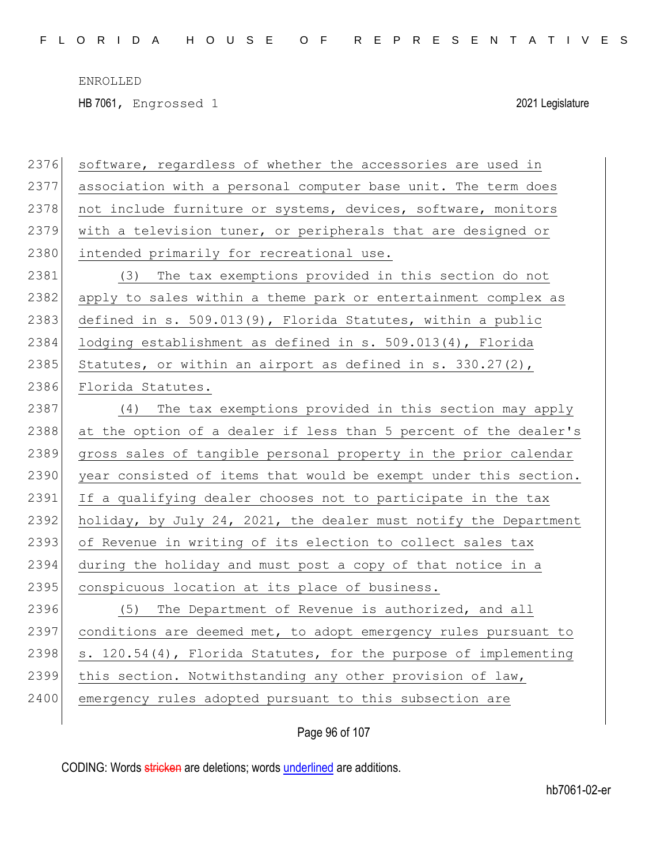HB 7061, Engrossed 1 2021 Legislature

| 2376 | software, regardless of whether the accessories are used in      |
|------|------------------------------------------------------------------|
| 2377 | association with a personal computer base unit. The term does    |
| 2378 | not include furniture or systems, devices, software, monitors    |
| 2379 | with a television tuner, or peripherals that are designed or     |
| 2380 | intended primarily for recreational use.                         |
| 2381 | (3) The tax exemptions provided in this section do not           |
| 2382 | apply to sales within a theme park or entertainment complex as   |
| 2383 | defined in s. 509.013(9), Florida Statutes, within a public      |
| 2384 | lodging establishment as defined in s. 509.013(4), Florida       |
| 2385 | Statutes, or within an airport as defined in s. $330.27(2)$ ,    |
| 2386 | Florida Statutes.                                                |
| 2387 | The tax exemptions provided in this section may apply<br>(4)     |
| 2388 | at the option of a dealer if less than 5 percent of the dealer's |
| 2389 | gross sales of tangible personal property in the prior calendar  |
| 2390 | year consisted of items that would be exempt under this section. |
| 2391 | If a qualifying dealer chooses not to participate in the tax     |
| 2392 | holiday, by July 24, 2021, the dealer must notify the Department |
| 2393 | of Revenue in writing of its election to collect sales tax       |
| 2394 | during the holiday and must post a copy of that notice in a      |
| 2395 | conspicuous location at its place of business.                   |
| 2396 | The Department of Revenue is authorized, and all<br>(5)          |
| 2397 | conditions are deemed met, to adopt emergency rules pursuant to  |
| 2398 | s. 120.54(4), Florida Statutes, for the purpose of implementing  |
| 2399 | this section. Notwithstanding any other provision of law,        |
| 2400 | emergency rules adopted pursuant to this subsection are          |
|      |                                                                  |

Page 96 of 107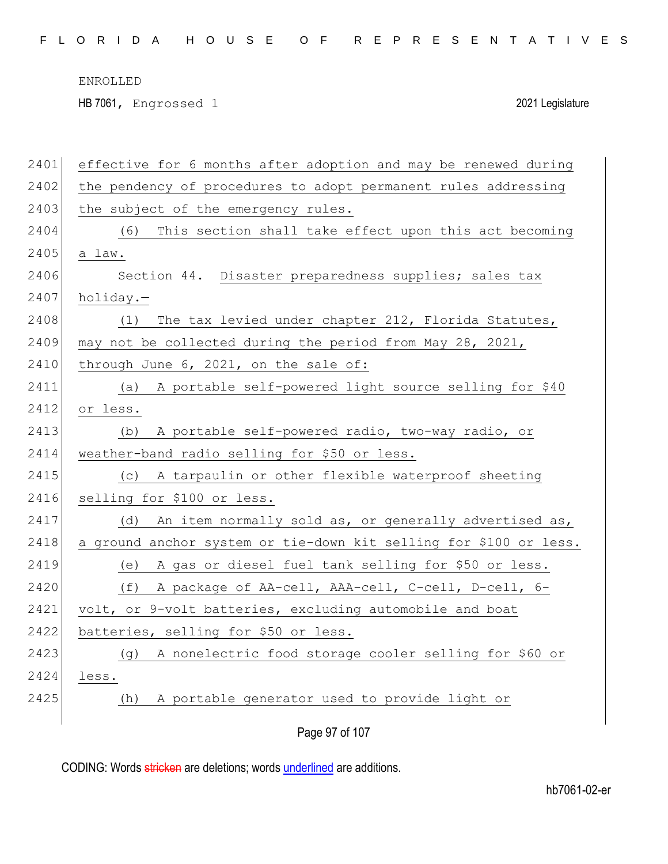F L O R I D A H O U S E O F R E P R E S E N T A T I V E S

ENROLLED

HB 7061, Engrossed 1 2021 Legislature

| 2401 | effective for 6 months after adoption and may be renewed during   |
|------|-------------------------------------------------------------------|
| 2402 | the pendency of procedures to adopt permanent rules addressing    |
| 2403 | the subject of the emergency rules.                               |
| 2404 | (6) This section shall take effect upon this act becoming         |
| 2405 | a law.                                                            |
| 2406 | Section 44. Disaster preparedness supplies; sales tax             |
| 2407 | holiday.-                                                         |
| 2408 | The tax levied under chapter 212, Florida Statutes,<br>(1)        |
| 2409 | may not be collected during the period from May 28, 2021,         |
| 2410 | through June 6, 2021, on the sale of:                             |
| 2411 | A portable self-powered light source selling for \$40<br>(a)      |
| 2412 | or less.                                                          |
| 2413 | A portable self-powered radio, two-way radio, or<br>(b)           |
| 2414 | weather-band radio selling for \$50 or less.                      |
| 2415 | A tarpaulin or other flexible waterproof sheeting<br>(C)          |
| 2416 | selling for \$100 or less.                                        |
| 2417 | An item normally sold as, or generally advertised as,<br>(d)      |
| 2418 | a ground anchor system or tie-down kit selling for \$100 or less. |
| 2419 | A gas or diesel fuel tank selling for \$50 or less.<br>(e)        |
| 2420 | (f)<br>A package of AA-cell, AAA-cell, C-cell, D-cell, 6-         |
| 2421 | volt, or 9-volt batteries, excluding automobile and boat          |
| 2422 | batteries, selling for \$50 or less.                              |
| 2423 | A nonelectric food storage cooler selling for \$60 or<br>(g)      |
| 2424 | less.                                                             |
| 2425 | A portable generator used to provide light or<br>(h)              |
|      | Page 97 of 107                                                    |
|      |                                                                   |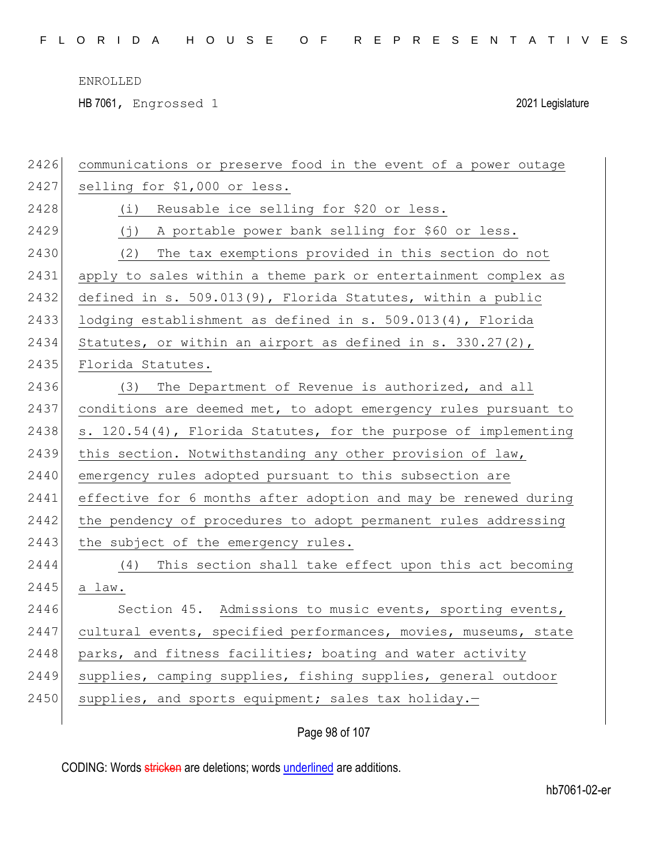HB 7061, Engrossed 1 2021 Legislature

| 2426 | communications or preserve food in the event of a power outage  |
|------|-----------------------------------------------------------------|
| 2427 | selling for \$1,000 or less.                                    |
| 2428 | Reusable ice selling for \$20 or less.<br>(i)                   |
| 2429 | A portable power bank selling for \$60 or less.<br>( j )        |
| 2430 | The tax exemptions provided in this section do not<br>(2)       |
| 2431 | apply to sales within a theme park or entertainment complex as  |
| 2432 | defined in s. 509.013(9), Florida Statutes, within a public     |
| 2433 | lodging establishment as defined in s. 509.013(4), Florida      |
| 2434 | Statutes, or within an airport as defined in s. $330.27(2)$ ,   |
| 2435 | Florida Statutes.                                               |
| 2436 | The Department of Revenue is authorized, and all<br>(3)         |
| 2437 | conditions are deemed met, to adopt emergency rules pursuant to |
| 2438 | s. 120.54(4), Florida Statutes, for the purpose of implementing |
| 2439 | this section. Notwithstanding any other provision of law,       |
| 2440 | emergency rules adopted pursuant to this subsection are         |
| 2441 | effective for 6 months after adoption and may be renewed during |
| 2442 | the pendency of procedures to adopt permanent rules addressing  |
| 2443 | the subject of the emergency rules.                             |
| 2444 | This section shall take effect upon this act becoming<br>(4)    |
| 2445 | a law.                                                          |
| 2446 | Section 45. Admissions to music events, sporting events,        |
| 2447 | cultural events, specified performances, movies, museums, state |
| 2448 | parks, and fitness facilities; boating and water activity       |
| 2449 | supplies, camping supplies, fishing supplies, general outdoor   |
| 2450 | supplies, and sports equipment; sales tax holiday.-             |
|      |                                                                 |

Page 98 of 107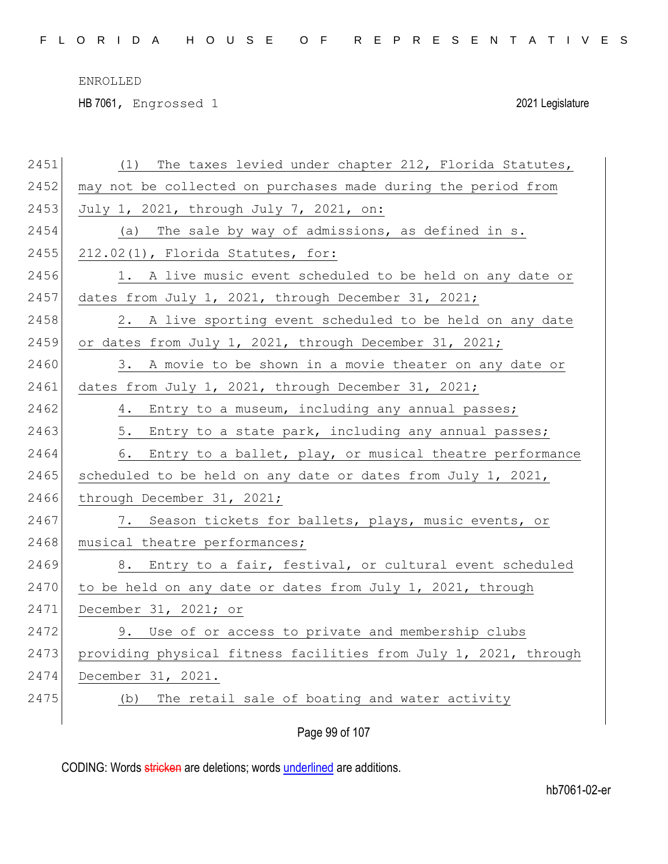HB 7061, Engrossed 1 2021 Legislature

| 2451 | The taxes levied under chapter 212, Florida Statutes,<br>(1)     |
|------|------------------------------------------------------------------|
| 2452 | may not be collected on purchases made during the period from    |
| 2453 | July 1, 2021, through July 7, 2021, on:                          |
| 2454 | The sale by way of admissions, as defined in s.<br>(a)           |
| 2455 | 212.02(1), Florida Statutes, for:                                |
| 2456 | 1. A live music event scheduled to be held on any date or        |
| 2457 | dates from July 1, 2021, through December 31, 2021;              |
| 2458 | 2. A live sporting event scheduled to be held on any date        |
| 2459 | or dates from July 1, 2021, through December 31, 2021;           |
| 2460 | 3. A movie to be shown in a movie theater on any date or         |
| 2461 | dates from July 1, 2021, through December 31, 2021;              |
| 2462 | 4. Entry to a museum, including any annual passes;               |
| 2463 | 5. Entry to a state park, including any annual passes;           |
| 2464 | 6. Entry to a ballet, play, or musical theatre performance       |
| 2465 | scheduled to be held on any date or dates from July 1, 2021,     |
| 2466 | through December 31, 2021;                                       |
| 2467 | 7. Season tickets for ballets, plays, music events, or           |
| 2468 | musical theatre performances;                                    |
| 2469 | 8. Entry to a fair, festival, or cultural event scheduled        |
| 2470 | to be held on any date or dates from July 1, 2021, through       |
| 2471 | December 31, 2021; or                                            |
| 2472 | 9. Use of or access to private and membership clubs              |
| 2473 | providing physical fitness facilities from July 1, 2021, through |
| 2474 | December 31, 2021.                                               |
| 2475 | (b) The retail sale of boating and water activity                |
|      |                                                                  |

Page 99 of 107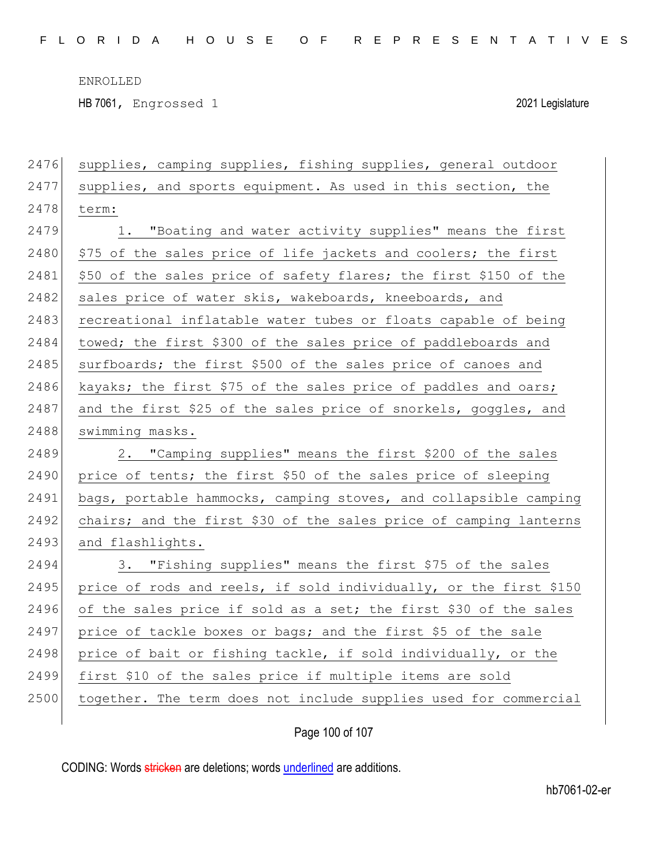HB 7061, Engrossed 1 2021 Legislature

| 2476 | supplies, camping supplies, fishing supplies, general outdoor     |
|------|-------------------------------------------------------------------|
| 2477 | supplies, and sports equipment. As used in this section, the      |
| 2478 | term:                                                             |
| 2479 | 1. "Boating and water activity supplies" means the first          |
| 2480 | \$75 of the sales price of life jackets and coolers; the first    |
| 2481 | \$50 of the sales price of safety flares; the first \$150 of the  |
| 2482 | sales price of water skis, wakeboards, kneeboards, and            |
| 2483 | recreational inflatable water tubes or floats capable of being    |
| 2484 | towed; the first \$300 of the sales price of paddleboards and     |
| 2485 | surfboards; the first \$500 of the sales price of canoes and      |
| 2486 | kayaks; the first \$75 of the sales price of paddles and oars;    |
| 2487 | and the first \$25 of the sales price of snorkels, goggles, and   |
| 2488 | swimming masks.                                                   |
| 2489 | 2. "Camping supplies" means the first \$200 of the sales          |
| 2490 | price of tents; the first \$50 of the sales price of sleeping     |
| 2491 | bags, portable hammocks, camping stoves, and collapsible camping  |
| 2492 | chairs; and the first \$30 of the sales price of camping lanterns |
| 2493 | and flashlights.                                                  |
| 2494 | 3. "Fishing supplies" means the first \$75 of the sales           |
| 2495 | price of rods and reels, if sold individually, or the first \$150 |
| 2496 | of the sales price if sold as a set; the first \$30 of the sales  |
| 2497 | price of tackle boxes or bags; and the first \$5 of the sale      |
| 2498 | price of bait or fishing tackle, if sold individually, or the     |
| 2499 | first \$10 of the sales price if multiple items are sold          |
| 2500 | together. The term does not include supplies used for commercial  |
|      |                                                                   |

Page 100 of 107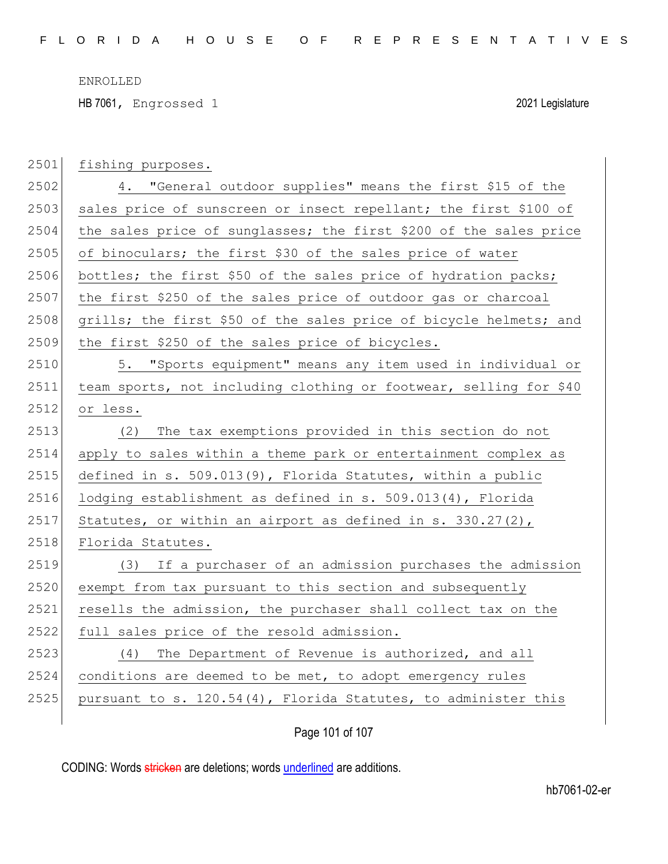HB 7061, Engrossed 1 2021 Legislature

| 2501 | fishing purposes.                                                 |
|------|-------------------------------------------------------------------|
| 2502 | 4. "General outdoor supplies" means the first \$15 of the         |
| 2503 | sales price of sunscreen or insect repellant; the first \$100 of  |
| 2504 | the sales price of sunglasses; the first \$200 of the sales price |
| 2505 | of binoculars; the first \$30 of the sales price of water         |
| 2506 | bottles; the first \$50 of the sales price of hydration packs;    |
| 2507 | the first \$250 of the sales price of outdoor gas or charcoal     |
| 2508 | grills; the first \$50 of the sales price of bicycle helmets; and |
| 2509 | the first \$250 of the sales price of bicycles.                   |
| 2510 | 5. "Sports equipment" means any item used in individual or        |
| 2511 | team sports, not including clothing or footwear, selling for \$40 |
| 2512 | or less.                                                          |
| 2513 | The tax exemptions provided in this section do not<br>(2)         |
| 2514 | apply to sales within a theme park or entertainment complex as    |
| 2515 | defined in s. 509.013(9), Florida Statutes, within a public       |
| 2516 | lodging establishment as defined in s. 509.013(4), Florida        |
| 2517 | Statutes, or within an airport as defined in s. $330.27(2)$ ,     |
| 2518 | Florida Statutes.                                                 |
| 2519 | (3) If a purchaser of an admission purchases the admission        |
| 2520 | exempt from tax pursuant to this section and subsequently         |
| 2521 | resells the admission, the purchaser shall collect tax on the     |
| 2522 | full sales price of the resold admission.                         |
| 2523 | (4) The Department of Revenue is authorized, and all              |
| 2524 | conditions are deemed to be met, to adopt emergency rules         |
| 2525 | pursuant to s. 120.54(4), Florida Statutes, to administer this    |
|      |                                                                   |

Page 101 of 107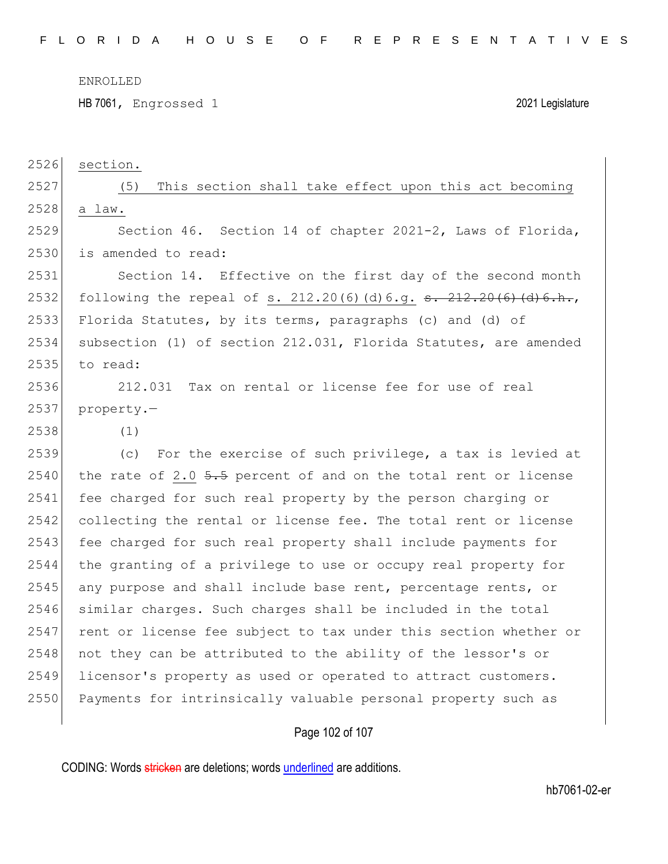HB 7061, Engrossed 1 2021 Legislature

2526 section.

2527 (5) This section shall take effect upon this act becoming 2528 a law.

2529 Section 46. Section 14 of chapter 2021-2, Laws of Florida, 2530 is amended to read:

2531 Section 14. Effective on the first day of the second month 2532 following the repeal of s.  $212.20(6)(d)6.q.$   $\frac{12.20(6)(d)6.h.}{a}$ 2533 Florida Statutes, by its terms, paragraphs (c) and (d) of 2534 subsection (1) of section 212.031, Florida Statutes, are amended 2535 to read:

2536 212.031 Tax on rental or license fee for use of real 2537 property.—

2538 (1)

2539 (c) For the exercise of such privilege, a tax is levied at 2540 the rate of 2.0  $5.5$  percent of and on the total rent or license 2541 fee charged for such real property by the person charging or 2542 collecting the rental or license fee. The total rent or license 2543 fee charged for such real property shall include payments for 2544 the granting of a privilege to use or occupy real property for  $2545$  any purpose and shall include base rent, percentage rents, or 2546 similar charges. Such charges shall be included in the total 2547 rent or license fee subject to tax under this section whether or  $2548$  not they can be attributed to the ability of the lessor's or 2549 licensor's property as used or operated to attract customers. 2550 Payments for intrinsically valuable personal property such as

## Page 102 of 107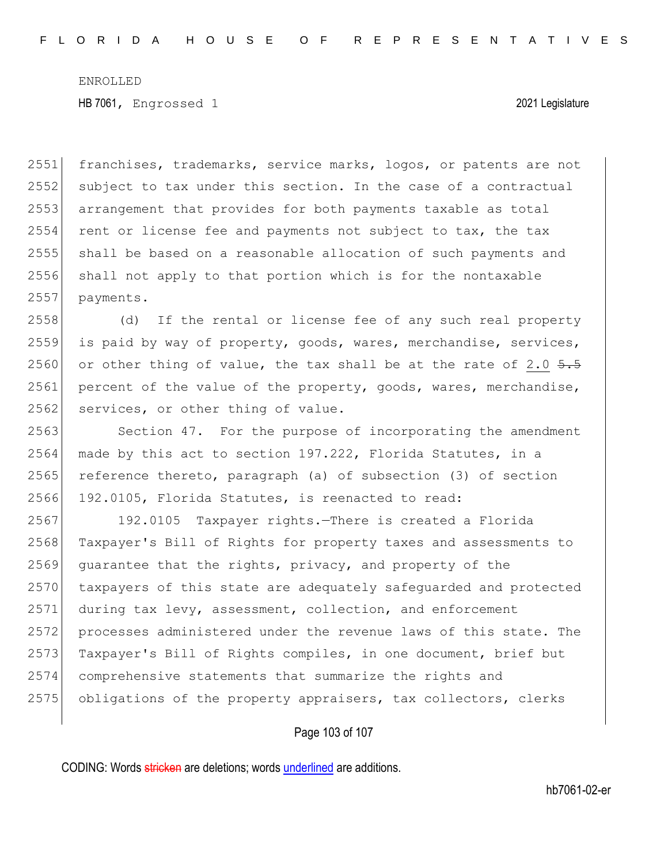2551 franchises, trademarks, service marks, logos, or patents are not 2552 subject to tax under this section. In the case of a contractual 2553 arrangement that provides for both payments taxable as total  $2554$  rent or license fee and payments not subject to tax, the tax 2555 shall be based on a reasonable allocation of such payments and 2556 shall not apply to that portion which is for the nontaxable 2557 payments.

2558 (d) If the rental or license fee of any such real property 2559 is paid by way of property, goods, wares, merchandise, services, 2560 or other thing of value, the tax shall be at the rate of 2.0  $\frac{5.5}{1.5}$ 2561 percent of the value of the property, goods, wares, merchandise, 2562 services, or other thing of value.

2563 Section 47. For the purpose of incorporating the amendment 2564 made by this act to section 197.222, Florida Statutes, in a 2565 reference thereto, paragraph (a) of subsection (3) of section 2566 192.0105, Florida Statutes, is reenacted to read:

2567 192.0105 Taxpayer rights.—There is created a Florida 2568 Taxpayer's Bill of Rights for property taxes and assessments to 2569 guarantee that the rights, privacy, and property of the 2570 taxpayers of this state are adequately safequarded and protected 2571 during tax levy, assessment, collection, and enforcement 2572 processes administered under the revenue laws of this state. The 2573 Taxpayer's Bill of Rights compiles, in one document, brief but 2574 comprehensive statements that summarize the rights and 2575 obligations of the property appraisers, tax collectors, clerks

Page 103 of 107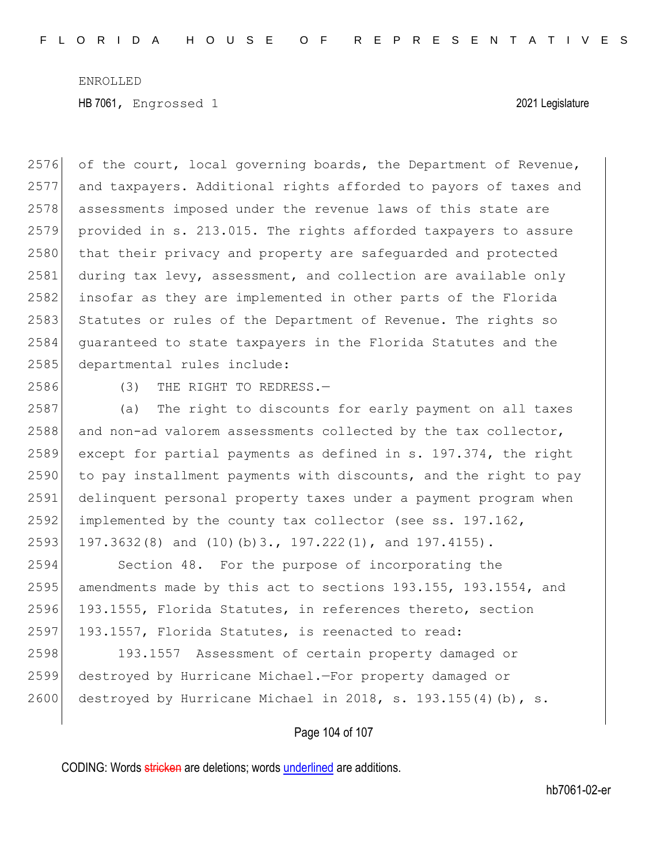2576 of the court, local governing boards, the Department of Revenue, 2577 and taxpayers. Additional rights afforded to payors of taxes and 2578 assessments imposed under the revenue laws of this state are 2579 provided in s. 213.015. The rights afforded taxpayers to assure 2580 that their privacy and property are safequarded and protected 2581 during tax levy, assessment, and collection are available only 2582 insofar as they are implemented in other parts of the Florida 2583 Statutes or rules of the Department of Revenue. The rights so 2584 guaranteed to state taxpayers in the Florida Statutes and the 2585 departmental rules include: 2586 (3) THE RIGHT TO REDRESS. 2587 (a) The right to discounts for early payment on all taxes  $2588$  and non-ad valorem assessments collected by the tax collector, 2589 except for partial payments as defined in s. 197.374, the right 2590 to pay installment payments with discounts, and the right to pay 2591 delinquent personal property taxes under a payment program when 2592 implemented by the county tax collector (see ss. 197.162, 2593 197.3632(8) and (10)(b)3., 197.222(1), and 197.4155). 2594 Section 48. For the purpose of incorporating the 2595 amendments made by this act to sections 193.155, 193.1554, and 2596 193.1555, Florida Statutes, in references thereto, section 2597 193.1557, Florida Statutes, is reenacted to read: 2598 193.1557 Assessment of certain property damaged or 2599 destroyed by Hurricane Michael.—For property damaged or

Page 104 of 107

2600 destroyed by Hurricane Michael in 2018, s. 193.155(4)(b), s.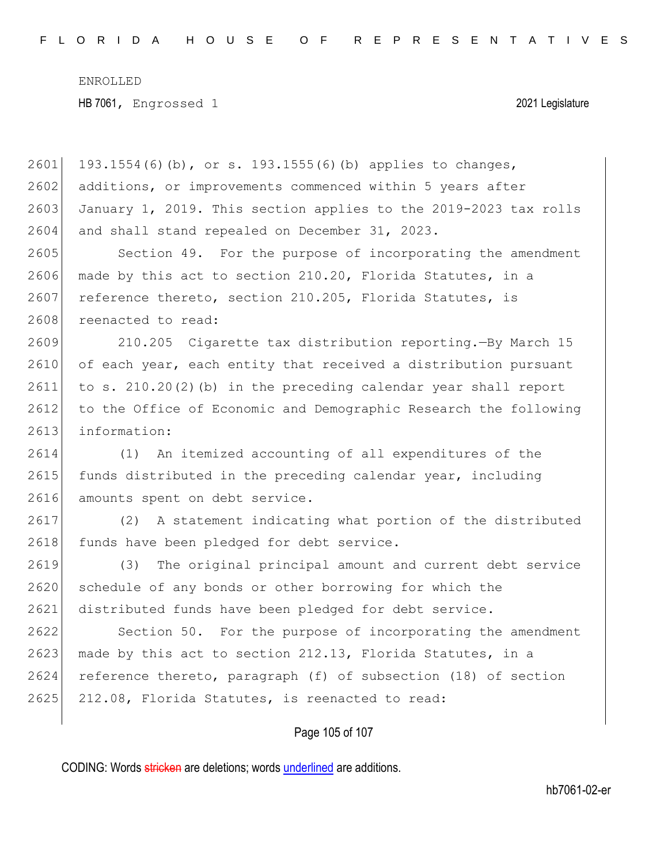Page 105 of 107 2601 193.1554(6)(b), or s. 193.1555(6)(b) applies to changes, 2602 additions, or improvements commenced within 5 years after 2603 January 1, 2019. This section applies to the 2019-2023 tax rolls 2604 and shall stand repealed on December 31, 2023. 2605 Section 49. For the purpose of incorporating the amendment 2606 made by this act to section 210.20, Florida Statutes, in a 2607 reference thereto, section 210.205, Florida Statutes, is 2608 reenacted to read: 2609 210.205 Cigarette tax distribution reporting.—By March 15 2610 of each year, each entity that received a distribution pursuant 2611 to s. 210.20(2)(b) in the preceding calendar year shall report 2612 to the Office of Economic and Demographic Research the following 2613 information: 2614 (1) An itemized accounting of all expenditures of the 2615 funds distributed in the preceding calendar year, including 2616 amounts spent on debt service. 2617 (2) A statement indicating what portion of the distributed 2618 funds have been pledged for debt service. 2619 (3) The original principal amount and current debt service 2620 schedule of any bonds or other borrowing for which the 2621 distributed funds have been pledged for debt service. 2622 Section 50. For the purpose of incorporating the amendment 2623 made by this act to section 212.13, Florida Statutes, in a 2624 reference thereto, paragraph (f) of subsection (18) of section 2625 212.08, Florida Statutes, is reenacted to read: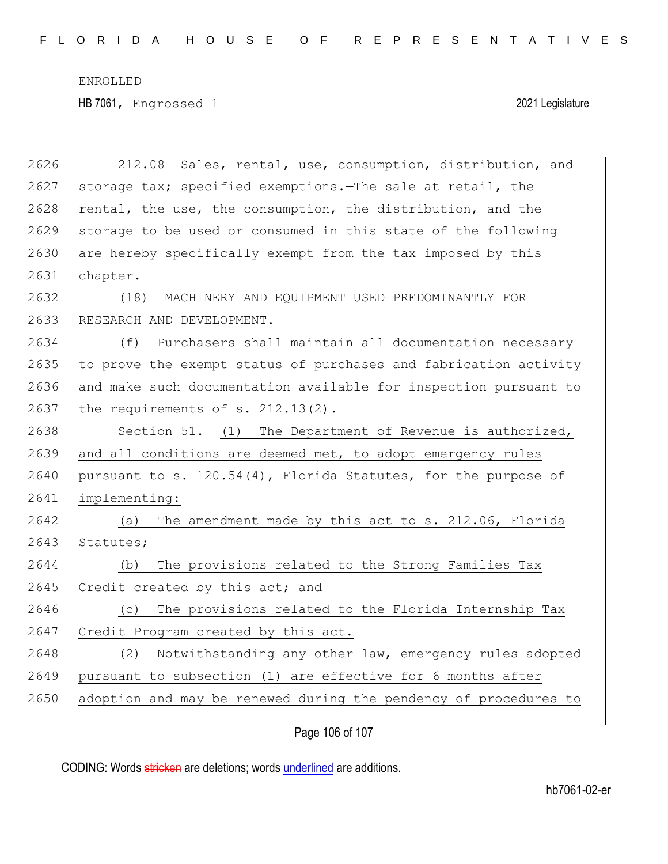HB 7061, Engrossed 1 2021 Legislature

| 2626 | 212.08 Sales, rental, use, consumption, distribution, and        |
|------|------------------------------------------------------------------|
| 2627 | storage tax; specified exemptions. The sale at retail, the       |
| 2628 | rental, the use, the consumption, the distribution, and the      |
| 2629 | storage to be used or consumed in this state of the following    |
| 2630 | are hereby specifically exempt from the tax imposed by this      |
| 2631 | chapter.                                                         |
| 2632 | (18)<br>MACHINERY AND EQUIPMENT USED PREDOMINANTLY FOR           |
| 2633 | RESEARCH AND DEVELOPMENT.-                                       |
| 2634 | (f)<br>Purchasers shall maintain all documentation necessary     |
| 2635 | to prove the exempt status of purchases and fabrication activity |
| 2636 | and make such documentation available for inspection pursuant to |
| 2637 | the requirements of $s. 212.13(2)$ .                             |
| 2638 | Section 51. (1) The Department of Revenue is authorized,         |
| 2639 | and all conditions are deemed met, to adopt emergency rules      |
| 2640 | pursuant to s. 120.54(4), Florida Statutes, for the purpose of   |
| 2641 | implementing:                                                    |
| 2642 | The amendment made by this act to s. 212.06, Florida<br>(a)      |
| 2643 | Statutes;                                                        |
| 2644 | The provisions related to the Strong Families Tax<br>(b)         |
| 2645 | Credit created by this act; and                                  |
| 2646 | The provisions related to the Florida Internship Tax<br>(C)      |
| 2647 | Credit Program created by this act.                              |
| 2648 | Notwithstanding any other law, emergency rules adopted<br>(2)    |
| 2649 | pursuant to subsection (1) are effective for 6 months after      |
| 2650 | adoption and may be renewed during the pendency of procedures to |
|      |                                                                  |

Page 106 of 107